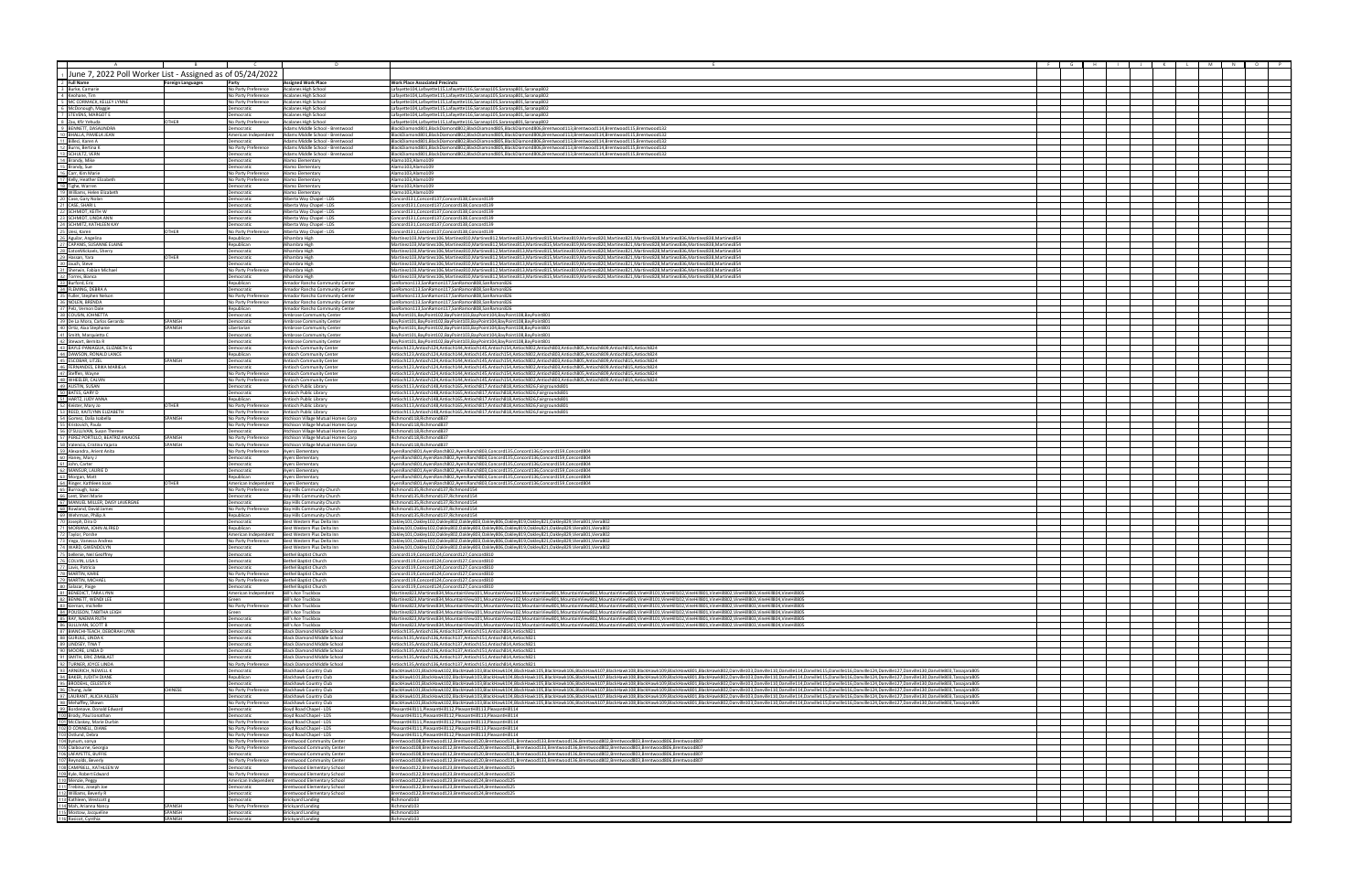| $\tau$<br>$\overline{B}$ and $\overline{B}$ and $\overline{B}$                                                                                                                                                                                     | $\sim$ $\sim$ $\sim$ $\sim$ $\sim$ $\sim$  |                                                                          |                                                                                                                                                                                                                                                                                                                                                                                                                                                                  |  |  | F G H I J K L M N O P |  |
|----------------------------------------------------------------------------------------------------------------------------------------------------------------------------------------------------------------------------------------------------|--------------------------------------------|--------------------------------------------------------------------------|------------------------------------------------------------------------------------------------------------------------------------------------------------------------------------------------------------------------------------------------------------------------------------------------------------------------------------------------------------------------------------------------------------------------------------------------------------------|--|--|-----------------------|--|
| 1 June 7, 2022 Poll Worker List - Assigned as of 05/24/2022                                                                                                                                                                                        |                                            |                                                                          |                                                                                                                                                                                                                                                                                                                                                                                                                                                                  |  |  |                       |  |
| 2 Full Name                                                                                                                                                                                                                                        |                                            | <b>Assigned Work Place</b>                                               | <b>Work Place Associated Precincts</b>                                                                                                                                                                                                                                                                                                                                                                                                                           |  |  |                       |  |
| <b>Foreign Languages</b><br>3 Burke, Camarie                                                                                                                                                                                                       | Party<br>No Party Preference               | Acalanes High School                                                     | Lafavette104.Lafavette115.Lafavette116.Saranan105.Saranan801.Saranan802                                                                                                                                                                                                                                                                                                                                                                                          |  |  |                       |  |
| 4 Keohane, Tim                                                                                                                                                                                                                                     | No Party Preference                        | Acalanes High School                                                     | Lafayette104,Lafayette115,Lafayette116,Saranap105,Saranap801,Saranap802                                                                                                                                                                                                                                                                                                                                                                                          |  |  |                       |  |
| 5 MC CORMACK, KELLEY LYNNE<br>6 McDonough, Maggie                                                                                                                                                                                                  | No Party Preference<br>Democratic          | Acalanes High School<br>Acalanes High School                             | Lafayette104,Lafayette115,Lafayette116,Saranap105,Saranap801,Saranap802<br>Lafayette104,Lafayette115,Lafayette116,Saranap105,Saranap801,Saranap802                                                                                                                                                                                                                                                                                                               |  |  |                       |  |
| 7 STEVENS, MARGOT E                                                                                                                                                                                                                                | Democratic                                 | Acalanes High School                                                     | Lafayette104,Lafayette115,Lafayette116,Saranap105,Saranap801,Saranap802                                                                                                                                                                                                                                                                                                                                                                                          |  |  |                       |  |
| 8 Zax, Kfir Yehuda<br>9 BENNETT, DASAUNDRA<br>OTHER                                                                                                                                                                                                | No Party Preference                        | Acalanes High School                                                     | Lafayette104,Lafayette115,Lafayette116,Saranap105,Saranap801,Saranap802                                                                                                                                                                                                                                                                                                                                                                                          |  |  |                       |  |
|                                                                                                                                                                                                                                                    | Democratic<br>American Independent         | dams Middle School - Brentwood<br>Adams Middle School - Brentwood        | BlackDiamond801.BlackDiamond802.BlackDiamond805.BlackDiamond806.Brentwood113.Brentwood114.Brentwood115.Brentwood132<br>BlackDiamond801,BlackDiamond802,BlackDiamond805,BlackDiamond806,Brentwood113,Brentwood114,Brentwood115,Brentwood132                                                                                                                                                                                                                       |  |  |                       |  |
|                                                                                                                                                                                                                                                    | Democratic                                 | Adams Middle School - Brentwood                                          | BlackDiamond801,BlackDiamond802,BlackDiamond805,BlackDiamond806,Brentwood113,Brentwood114,Brentwood115,Brentwood132                                                                                                                                                                                                                                                                                                                                              |  |  |                       |  |
|                                                                                                                                                                                                                                                    | No Party Preference                        | Adams Middle School - Brentwood                                          | BlackDiamond801,BlackDiamond802,BlackDiamond805,BlackDiamond806,Brentwood113,Brentwood114,Brentwood115,Brentwood132                                                                                                                                                                                                                                                                                                                                              |  |  |                       |  |
| <b>10 BHALLA, PANELA JEAN</b><br>11 Billeci, Karen A<br>12 Burns, Bertina K<br>13 SCHULTZ, VERN<br>14 Brandy, Mike                                                                                                                                 | Democratic<br>Democratic                   | Adams Middle School - Brentwood<br>Alamo Elementary                      | BlackDiamond801,BlackDiamond802,BlackDiamond805,BlackDiamond806,Brentwood113,Brentwood114,Brentwood115,Brentwood132<br>Alamo103,Alamo109                                                                                                                                                                                                                                                                                                                         |  |  |                       |  |
| 15 Brandy, Sue                                                                                                                                                                                                                                     | Democratic                                 | Alamo Elementary                                                         | Alamo103.Alamo109                                                                                                                                                                                                                                                                                                                                                                                                                                                |  |  |                       |  |
| 16 Carr, Kim Marie                                                                                                                                                                                                                                 | No Party Preference                        | Alamo Elementary                                                         | Alamo103,Alamo109                                                                                                                                                                                                                                                                                                                                                                                                                                                |  |  |                       |  |
| 17 Kelly, Heather Elizabet<br>18 Tighe, Warren                                                                                                                                                                                                     | No Party Preference<br>Democratic          | Alamo Elementary<br>Alamo Elementary                                     | Alamo103,Alamo109<br>Alamo103,Alamo109                                                                                                                                                                                                                                                                                                                                                                                                                           |  |  |                       |  |
| 19 Williams, Helen Elizabeth                                                                                                                                                                                                                       | Democratic                                 | Alamo Elementary                                                         | Alamo103,Alamo109                                                                                                                                                                                                                                                                                                                                                                                                                                                |  |  |                       |  |
| 20 Case, Gary Nolan                                                                                                                                                                                                                                | Democratic                                 | Alberta Way Chapel - LDS<br>Alberta Way Chapel - LDS                     | Concord131,Concord137,Concord138,Concord139<br>Concord131,Concord137,Concord138,Concord139                                                                                                                                                                                                                                                                                                                                                                       |  |  |                       |  |
|                                                                                                                                                                                                                                                    | Democratic<br>Democratic                   | Alberta Way Chapel - LDS                                                 | Concord131.Concord137.Concord138.Concord139                                                                                                                                                                                                                                                                                                                                                                                                                      |  |  |                       |  |
| 22 SCHMIDT, KEITH W<br>23 SCHMIDT, LINDA AN<br>SCHMIDT, LINDA ANN                                                                                                                                                                                  | Democratic                                 | Alberta Way Chapel - LDS                                                 | Concord131,Concord137,Concord138,Concord139                                                                                                                                                                                                                                                                                                                                                                                                                      |  |  |                       |  |
| 23 SCHWITZ, KATHLEEN KAY<br>25 Uesi, Karen<br>26 Aguilar, Angelina<br>27 CAPANIS, SUSANNE ELAINE<br>OTHER                                                                                                                                          | Democratic<br>No Party Preference          | Alberta Way Chapel - LDS<br>Alberta Way Chapel - LDS                     | Concord131,Concord137,Concord138,Concord139<br>Concord131,Concord137,Concord138,Concord139                                                                                                                                                                                                                                                                                                                                                                       |  |  |                       |  |
|                                                                                                                                                                                                                                                    | Republican                                 | Alhambra High                                                            | Martinez103,Martinez106,Martinez810,Martinez812,Martinez813,Martinez815,Martinez819,Martinez820,Martinez821,Martinez828,Martinez836,Martinez838,Martinez838,Martinez828,Martinez836,Martinez828,Martinez828,Martinez828,Martin                                                                                                                                                                                                                                   |  |  |                       |  |
|                                                                                                                                                                                                                                                    | Republican                                 | Alhambra High                                                            | Martinez103.Martinez106.Martinez810.Martinez812.Martinez813.Martinez815.Martinez819.Martinez820.Martinez821.Martinez828.Martinez836.Martinez838.Martinez838.Martinez854                                                                                                                                                                                                                                                                                          |  |  |                       |  |
| 28 EatonMickaels, Sherry<br>29 Hassan, Yara<br><b>OTHER</b>                                                                                                                                                                                        | Democratic<br>Democratic                   | Alhambra High<br>Alhambra High                                           | Martinez103.Martinez106.Martinez810.Martinez812.Martinez813.Martinez815.Martinez819.Martinez820.Martinez821.Martinez828.Martinez826.Martinez836.Martinez838.Martinez8236.Martinez828<br>Martinez103,Martinez106,Martinez810,Martinez812,Martinez813,Martinez815,Martinez819,Martinez820,Martinez821,Martinez828,Martinez836,Martinez836,Martinez838,Martinez838,Martinez820,Martinez820,Martinez820,Martinez820,Martin                                           |  |  |                       |  |
| 30 Jauch, Steve                                                                                                                                                                                                                                    | Democratic                                 | Alhambra High                                                            | Martinez103,Martinez106,Martinez810,Martinez812,Martinez813,Martinez815,Martinez819,Martinez820,Martinez821,Martinez828,Martinez836,Martinez838,Martinez838,Martinez854                                                                                                                                                                                                                                                                                          |  |  |                       |  |
| 31 Sherwin, Fabian Michael                                                                                                                                                                                                                         | No Party Preference                        | Alhambra High                                                            | Martinez103, Martinez106, Martinez810, Martinez812, Martinez813, Martinez815, Martinez819, Martinez820, Martinez821, Martinez828, Martinez836, Martinez838, Martinez838, Martinez828, Martinez838, Martinez838, Martinez854                                                                                                                                                                                                                                      |  |  |                       |  |
| 32 Torres, Bianca<br>33 Burford, Eric<br>34 FLEMING, DEBRA A                                                                                                                                                                                       | Democratic<br>Republican                   | Alhambra High<br>Amador Rancho Community Center                          | Martinez103,Martinez106,Martinez810,Martinez812,Martinez813,Martinez815,Martinez819,Martinez820,Martinez821,Martinez828,Martinez836,Martinez838,Martinez838,Martinez838,Martinez828,Martinez836,Martinez838,Martinez854<br>SanRamon113,SanRamon117,SanRamon808,SanRamon826                                                                                                                                                                                       |  |  |                       |  |
|                                                                                                                                                                                                                                                    | Democratic                                 | Amador Rancho Community Center                                           | SanRamon113.SanRamon117.SanRamon808.SanRamon826                                                                                                                                                                                                                                                                                                                                                                                                                  |  |  |                       |  |
| 35 Fuller, Stephen Nelson<br>36 NOLEN, BRENDA<br>37 Pelz, Vernon Dale                                                                                                                                                                              | No Party Preference                        | Amador Rancho Community Center                                           | SanRamon113,SanRamon117,SanRamon808,SanRamon826                                                                                                                                                                                                                                                                                                                                                                                                                  |  |  |                       |  |
|                                                                                                                                                                                                                                                    | No Party Preference<br>Republican          | Amador Rancho Community Center<br>Amador Rancho Community Center         | SanRamon113,SanRamon117,SanRamon808,SanRamon826<br>SanRamon113,SanRamon117,SanRamon808,SanRamon826                                                                                                                                                                                                                                                                                                                                                               |  |  |                       |  |
| 38 COUSIN, JOHNETTA<br>39 De La Mora, Carlos Gerardo                                                                                                                                                                                               | Democratic                                 | Ambrose Community Center                                                 | BayPoint101,BayPoint102,BayPoint103,BayPoint104,BayPoint108,BayPoint801                                                                                                                                                                                                                                                                                                                                                                                          |  |  |                       |  |
| SPANISH<br>40 Ortiz, Aixa Stephanie<br>SPANISH                                                                                                                                                                                                     | Democratic                                 | Ambrose Community Center                                                 | BayPoint101.BayPoint102.BayPoint103.BayPoint104.BayPoint108.BayPoint801<br>BayPoint101.BayPoint102.BayPoint103.BayPoint104.BayPoint108.BayPoint801                                                                                                                                                                                                                                                                                                               |  |  |                       |  |
| 41 Smith, Marquietta C                                                                                                                                                                                                                             | Libertarian<br>Democratic                  | Ambrose Community Center<br>Ambrose Community Center                     | BayPoint101.BayPoint102.BayPoint103.BayPoint104.BayPoint108.BayPoint801                                                                                                                                                                                                                                                                                                                                                                                          |  |  |                       |  |
| 42 Stewart, Bernita R                                                                                                                                                                                                                              | Democratic                                 | Ambrose Community Center                                                 | BayPoint101,BayPoint102,BayPoint103,BayPoint104,BayPoint108,BayPoint801                                                                                                                                                                                                                                                                                                                                                                                          |  |  |                       |  |
| 43 BAYLE-PANIAGUA, ELIZABETH G<br>44 DAWSON, RONALD LANCE                                                                                                                                                                                          | Democratic                                 | Antioch Community Center                                                 | Antioch123,Antioch124,Antioch144,Antioch145,Antioch154,Antioch802,Antioch803,Antioch805,Antioch809,Antioch815,Antioch824                                                                                                                                                                                                                                                                                                                                         |  |  |                       |  |
| 45 ESCOBAR, LITZEL<br><b>SPANISH</b>                                                                                                                                                                                                               | Republican<br>Democratic                   | <b>Antioch Community Center</b><br>Antioch Community Center              | Antioch123,Antioch124,Antioch144,Antioch145,Antioch154,Antioch802,Antioch803,Antioch805,Antioch809,Antioch815,Antioch824<br>Antioch123.Antioch124.Antioch144.Antioch145.Antioch154.Antioch802.Antioch803.Antioch805.Antioch809.Antioch815.Antioch824                                                                                                                                                                                                             |  |  |                       |  |
| 46 FERNANDES, ERIKA MARIELA                                                                                                                                                                                                                        | Democratic                                 | <b>Antioch Community Cente</b>                                           | Antioch123,Antioch124,Antioch144,Antioch145,Antioch154,Antioch802,Antioch803,Antioch805,Antioch809,Antioch815,Antioch824                                                                                                                                                                                                                                                                                                                                         |  |  |                       |  |
| 48 WHEELER, CALVIN                                                                                                                                                                                                                                 | No Party Preference<br>No Party Preference | Antioch Community Cente<br>Antioch Community Cente                       | 428dom123,Antioch124,Antioch144,Antioch145,Antioch154,Antioch802,Antioch803,Antioch805,Antioch809,Antioch815,Antioch824<br>ntioch123,Antioch124,Antioch144,Antioch145,Antioch154,Antioch802,Antioch803,Antioch805,Antioch809,Antioch815,Antioch824                                                                                                                                                                                                               |  |  |                       |  |
|                                                                                                                                                                                                                                                    | Democratic                                 | Intioch Public Library                                                   | \ntioch113,Antioch148,Antioch165,Antioch817,Antioch818,Antioch826,Fairgrounds801                                                                                                                                                                                                                                                                                                                                                                                 |  |  |                       |  |
| 49 AUSTIN, SUSAN<br>50 BATES, GARY D                                                                                                                                                                                                               | Democratic                                 | Antioch Public Library                                                   | Antioch113,Antioch148,Antioch165,Antioch817,Antioch818,Antioch826,Fairgrounds801                                                                                                                                                                                                                                                                                                                                                                                 |  |  |                       |  |
| 51 HARTZ, JUDY ANNA<br>52 Keister, Mary Jo<br><b>OTHER</b>                                                                                                                                                                                         | Republican                                 | Antioch Public Library<br>Antioch Public Library                         | Antioch113,Antioch148,Antioch165,Antioch817,Antioch818,Antioch826,Fairgrounds801<br>Antioch113,Antioch148,Antioch165,Antioch817,Antioch818,Antioch826,Fairgrounds801                                                                                                                                                                                                                                                                                             |  |  |                       |  |
| 53 REED, KAITLYNN ELIZABETH                                                                                                                                                                                                                        | No Party Preference<br>No Party Preference | Antioch Public Library                                                   | Antioch113,Antioch148,Antioch165,Antioch817,Antioch818,Antioch826,Fairgrounds801                                                                                                                                                                                                                                                                                                                                                                                 |  |  |                       |  |
| 54 Gomez, Dalia Isabella<br>SPANISH                                                                                                                                                                                                                | No Party Preference                        | Atchison Village Mutual Homes Corp                                       | Richmond118.Richmond837                                                                                                                                                                                                                                                                                                                                                                                                                                          |  |  |                       |  |
| 55 Kristovich, Paula<br>56 O'SULLIVAN, Susan Therese                                                                                                                                                                                               | No Party Preference<br>Democratic          | Atchison Village Mutual Homes Corp<br>Atchison Village Mutual Homes Corp | Richmond118, Richmond837<br>Richmond118, Richmond837                                                                                                                                                                                                                                                                                                                                                                                                             |  |  |                       |  |
| SPANISH                                                                                                                                                                                                                                            | No Party Preference                        | Atchison Village Mutual Homes Corp                                       | Richmond118, Richmond837                                                                                                                                                                                                                                                                                                                                                                                                                                         |  |  |                       |  |
| <b>ST PEREZ PORTILLO, BEATRIZ ANAIOSE<br/> ST PEREZ PORTILLO, BEATRIZ ANAIOSE<br/> SE Valencia, Cristina Yajaria<br/> 69 Haney, Mary J<br/> 60 Haney, Mary J<br/> 61 John, Carter<br/> 62 MANSUR, LAURIE D<br/> 62 MANSUR, LAURIE D</b><br>SPANISH | No Party Preference                        | Atchison Village Mutual Homes Corp                                       | Richmond118.Richmond837                                                                                                                                                                                                                                                                                                                                                                                                                                          |  |  |                       |  |
|                                                                                                                                                                                                                                                    | No Party Preference<br>Democratic          | Ayers Elementary                                                         | AyersRanch801,AyersRanch802,AyersRanch803,Concord135,Concord136,Concord159,Concord804<br>AyersRanch801,AyersRanch802,AyersRanch803,Concord135,Concord136,Concord159,Concord804                                                                                                                                                                                                                                                                                   |  |  |                       |  |
|                                                                                                                                                                                                                                                    | Democratic                                 | Ayers Elementary<br>Ayers Elementary                                     | AyersRanch801,AyersRanch802,AyersRanch803,Concord135,Concord136,Concord159,Concord804                                                                                                                                                                                                                                                                                                                                                                            |  |  |                       |  |
|                                                                                                                                                                                                                                                    | Democratic                                 | Ayers Elementary                                                         | AyersRanch801,AyersRanch802,AyersRanch803,Concord135,Concord136,Concord159,Concord804                                                                                                                                                                                                                                                                                                                                                                            |  |  |                       |  |
| <b>OTHER</b>                                                                                                                                                                                                                                       | Republican<br>American Independent         | yers Elementary<br>Ayers Elementary                                      | AyersRanch801,AyersRanch802,AyersRanch803,Concord135,Concord136,Concord159,Concord804<br>AyersRanch801,AyersRanch802,AyersRanch803,Concord135,Concord136,Concord159,Concord804                                                                                                                                                                                                                                                                                   |  |  |                       |  |
| 63 Morgan, Matt<br>64 Ringer, Kathleen Joan<br>65 Burrough, Isaac<br>66 Lent, Sheri Marie                                                                                                                                                          | No Party Preference                        | Bay Hills Community Church                                               | Richmond135.Richmond137.Richmond154                                                                                                                                                                                                                                                                                                                                                                                                                              |  |  |                       |  |
|                                                                                                                                                                                                                                                    | Democratic                                 | <b>Bay Hills Community Church</b>                                        | Richmond135, Richmond137, Richmond154                                                                                                                                                                                                                                                                                                                                                                                                                            |  |  |                       |  |
| 67 MANUEL MILLER, DAISY LAVERGNE<br>68 Rowland, David James                                                                                                                                                                                        | Democratic<br>No Party Preference          | Bay Hills Community Church<br>Bay Hills Community Church                 | tichmond135, Richmond137, Richmond154<br>Richmond135, Richmond137, Richmond154                                                                                                                                                                                                                                                                                                                                                                                   |  |  |                       |  |
| 69 Wehrman, Philip A                                                                                                                                                                                                                               | Republican                                 | Bay Hills Community Church                                               | Richmond135, Richmond137, Richmond154                                                                                                                                                                                                                                                                                                                                                                                                                            |  |  |                       |  |
| 70 Joseph, Dira D<br>71 MORIANA, JOHN ALFRED                                                                                                                                                                                                       | Democratic                                 | <b>Best Western Plus Delta Inn</b>                                       | Oakley101,Oakley102,Oakley802,Oakley803,Oakley806,Oakley819,Oakley821,Oakley829,Viera801,Viera802                                                                                                                                                                                                                                                                                                                                                                |  |  |                       |  |
|                                                                                                                                                                                                                                                    | Republican<br>American Independent         | Best Western Plus Delta Inn<br>Best Western Plus Delta Inn               | 20201,0001/Dakley102,0akley802,0akley803,0akley806,0akley819,0akley821,0akley829,Viera801<br>2020)Jakley101.Oakley102.Oakley802.Oakley803.Oakley806.Oakley819.Oakley821.Oakley829.Viera801.Viera80                                                                                                                                                                                                                                                               |  |  |                       |  |
| 72 Taylor, Porshe<br>73 Vega, Vanessa Andrea                                                                                                                                                                                                       | No Party Preference                        | Best Western Plus Delta Inn                                              | akley101, Oakley102, Oakley802, Oakley803, Oakley806, Oakley819, Oakley821, Oakley829, Viera801, Viera802                                                                                                                                                                                                                                                                                                                                                        |  |  |                       |  |
| 74 WARD, GWENDOLYN                                                                                                                                                                                                                                 | <b>Democratic</b><br>emocratic             | Best Western Plus Delta Inn<br>Bethel Baptist Church                     | 2akley101,Oakley102,Oakley802,Oakley803,Oakley806,Oakley819,Oakley821,Oakley829,Viera801,Viera802<br>Concord119,Concord124,Concord127,Concord810                                                                                                                                                                                                                                                                                                                 |  |  |                       |  |
| 75 believie, Neil Geoffrey                                                                                                                                                                                                                         | acratic                                    | il Rantist Church                                                        | ard119 Concord124 Concord127                                                                                                                                                                                                                                                                                                                                                                                                                                     |  |  |                       |  |
| 77 Lavis, Patricia                                                                                                                                                                                                                                 | Democratic                                 | Bethel Baptist Church                                                    | Concord119.Concord124.Concord127.Concord810                                                                                                                                                                                                                                                                                                                                                                                                                      |  |  |                       |  |
| 78 MARTIN, KARIE<br>79 MARTIN, MICHAEL                                                                                                                                                                                                             | No Party Preference<br>No Party Preference | <b>Bethel Baptist Church</b><br><b>Bethel Baptist Church</b>             | Concord119.Concord124.Concord127.Concord810<br>Concord119,Concord124,Concord127,Concord810                                                                                                                                                                                                                                                                                                                                                                       |  |  |                       |  |
| 80 Salazar, Paige                                                                                                                                                                                                                                  | Democratic                                 | Bethel Baptist Church                                                    | Concord119,Concord124,Concord127,Concord810                                                                                                                                                                                                                                                                                                                                                                                                                      |  |  |                       |  |
| 81 BENEDICT, TARA LYNN                                                                                                                                                                                                                             | American Independent Bill's Ace Truckbox   |                                                                          | Martinez823,Martinez834,MountainView101,MountainView102,MountainView801,MountainView802,MountainView803,VineHill101,VineHill102,VineHill801,VineHill802,VineHill803,VineHill803,VineHill804,VineHill804,VineHill804,VineHill80                                                                                                                                                                                                                                   |  |  |                       |  |
| 82 BENNETT, WENDI LEE                                                                                                                                                                                                                              | Green<br>No Party Preference               | <b>Bill's Ace Truckbox</b><br><b>Bill's Ace Truckbox</b>                 | Martinez823,Martinez834,MountainView101,MountainView102,MountainView801,MountainView802,MountainView803,VineHill101,VineHill102,VineHill1001,VineHill801,VineHill802,VineHill803,VineHill803,VineHill804,VineHill804,VineHill8<br>Martinez823,Martinez834,MountainView101,MountainView102,MountainView801,MountainView802,MountainView803,VineHill101,VineHill102,VineHill80,VineHill802,VineHill803,VineHill803,VineHill804,VineHill804,VineHill804,VineHill804 |  |  |                       |  |
| 83 kiernan, michelle<br>84 POUSSON, TABITHA LEIGH                                                                                                                                                                                                  | Green                                      | <b>Bill's Ace Truckbox</b>                                               | Martinez823.Martinez834.MountainView101.MountainView102.MountainView801.MountainView802.MountainView803.VineHill101.VineHill102.VineHill801.VineHill802.VineHill803.VineHill803.VineHill802.VineHill803.VineHill804.VineHill80                                                                                                                                                                                                                                   |  |  |                       |  |
| 85 RAY, NAEMA RUTH<br>86 SULLIVAN, SCOTT B                                                                                                                                                                                                         | Democratic                                 | <b>Bill's Ace Truckbox</b>                                               | Martinez823,Martinez834,MountainView101,MountainView102,MountainView801,MountainView802,MountainView803,VineHill101,VineHill102,VineHill801,VineHill802,VineHill803,VineHill803,VineHill804,VineHill804,VineHill804,VineHill80<br>Martinez823,Martinez834,MountainView101,MountainView102,MountainView801,MountainView802,MountainView803,VineHill101,VineHill102,VineHill801,VineHill802,VineHill803,VineHill803,VineHill803,VineHill804,VineHill804,VineHill80 |  |  |                       |  |
| 87 BIANCHI-TEACH, DEBORAH LYNN                                                                                                                                                                                                                     | Democratic<br>Democratic                   | Bill's Ace Truckbox<br>Black Diamond Middle School                       | Antioch135,Antioch136,Antioch137,Antioch151,Antioch814,Antioch82:                                                                                                                                                                                                                                                                                                                                                                                                |  |  |                       |  |
| 88 GURULE, LINDA K                                                                                                                                                                                                                                 | Democratic                                 | Black Diamond Middle School                                              | Antioch135.Antioch136.Antioch137.Antioch151.Antioch814.Antioch821                                                                                                                                                                                                                                                                                                                                                                                                |  |  |                       |  |
| 89 LINDSEY, TINA T<br>90 MOORE, LINDA D                                                                                                                                                                                                            | Democratic<br>Democratic                   | Rlack Diamond Middle School<br>Black Diamond Middle School               | Antioch135.Antioch136.Antioch137.Antioch151.Antioch814.Antioch821<br>Antioch135.Antioch136.Antioch137.Antioch151.Antioch814.Antioch82?                                                                                                                                                                                                                                                                                                                           |  |  |                       |  |
| 91 SMITH, ERIC ZIMBLAST                                                                                                                                                                                                                            | Democratic                                 | Black Diamond Middle School                                              | Antioch135.Antioch136.Antioch137.Antioch151.Antioch814.Antioch82?                                                                                                                                                                                                                                                                                                                                                                                                |  |  |                       |  |
| 92 TURNER, JOYCE LINDA                                                                                                                                                                                                                             | No Party Preference                        | Black Diamond Middle School                                              | Antioch135.Antioch136.Antioch137.Antioch151.Antioch814.Antioch821                                                                                                                                                                                                                                                                                                                                                                                                |  |  |                       |  |
| 93 ARNERICH, NEWELL K<br>94 BAKER, JUDITH DIANE                                                                                                                                                                                                    | Democratic<br>Republican                   | <b>Blackhawk Country Club</b><br><b>Blackhawk Country Club</b>           | BlackHawk101,BlackHawk102,BlackHawk103,BlackHawk104,BlackHawk105,BlackHawk107,BlackHawk107,BlackHawk109,BlackHawk109,BlackHawk801,DackHawk801,DanckHawk802,Danville110,Danville110,Danville114,Danville115,Danville114,Danvill<br>BlackHawk101,BlackHawk102,BlackHawk103,BlackHawk104,BlackHawk105,BlackHawk106,BlackHawk107,BlackHawk109,BlackHawk801,BlackHawk801,BlackHawk801,BlackHawk801,BlackHawk801,DlackHawk801,Dlanville113,Danville114,Danville115,Dan |  |  |                       |  |
| 95 BRODEHL, CELESTE R                                                                                                                                                                                                                              | Democratic                                 | Blackhawk Country Club                                                   | BlackHawk101,BlackHawk102,BlackHawk103,BlackHawk104,BlackHawk105,BlackHawk106,BlackHawk108,BlackHawk109,BlackHawk109,BlackHawk109,BlackHawk801,BlackHawk801,BlackHawk802,Danville103,Danville110,Danville114,Danville115,Danvi                                                                                                                                                                                                                                   |  |  |                       |  |
| 96 Chung, Julie<br>97 LAURANT, ALICIA AILEEN<br><b>CHINESE</b>                                                                                                                                                                                     | No Party Preference                        | <b>Blackhawk Country Club</b>                                            | RiackHawk101.BlackHawk102.BlackHawk103.BlackHawk104.BlackHawk105.BlackHawk106.BlackHawk108.BlackHawk109.BlackHawk109.BlackHawk109.BlackHawk801.BlackHawk801.BlackHawk801.Danville101.Danville103.Danville110.Danville114.Danvi<br>BlackHawk101.BlackHawk102.BlackHawk103.BlackHawk104.BlackHawk105.BlackHawk106.BlackHawk108.BlackHawk108.BlackHawk109.BlackHawk109.BlackHawk801.BlackHawk802.Danville103.Danville103.Danville110.Danville114.Danville115.Danvil |  |  |                       |  |
| 98 Mehaffey, Shawn                                                                                                                                                                                                                                 | Democratic<br>No Party Preference          | <b>Blackhawk Country Club</b><br>Blackhawk Country Club                  | NackHawk101,BlackHawk102,BlackHawk103,BlackHawk104,BlackHawk105,BlackHawk106,BlackHawk107,BlackHawk108,BlackHawk108,BlackHawk108,BlackHawk108,BlackHawk108,BlackHawk108,BlackHawk108,BlackHawk108,BlackHawk109,BlackHawk801,Bl                                                                                                                                                                                                                                   |  |  |                       |  |
| 99 Bordenave, Donald Edward<br>100 Brody, Paul Jonathan                                                                                                                                                                                            | Democratic                                 | Boyd Road Chapel - LDS                                                   | PleasantHill111,PleasantHill112,PleasantHill113,PleasantHill114                                                                                                                                                                                                                                                                                                                                                                                                  |  |  |                       |  |
|                                                                                                                                                                                                                                                    | Democratic                                 | Boyd Road Chapel - LDS                                                   | PleasantHill111,PleasantHill112,PleasantHill113,PleasantHill114                                                                                                                                                                                                                                                                                                                                                                                                  |  |  |                       |  |
| 101 McClaskey, Marie Durbin<br>102 O CONNELL, DIANE<br>103 Ostlund, Debra                                                                                                                                                                          | No Party Preference<br>No Party Preference | Boyd Road Chapel - LDS<br>Boyd Road Chapel - LDS                         | PleasantHill111, PleasantHill112, PleasantHill113, PleasantHill114<br>PleasantHill111,PleasantHill112,PleasantHill113,PleasantHill114                                                                                                                                                                                                                                                                                                                            |  |  |                       |  |
|                                                                                                                                                                                                                                                    | No Party Preference                        | Boyd Road Chapel - LDS                                                   | PleasantHill111.PleasantHill112.PleasantHill113.PleasantHill114                                                                                                                                                                                                                                                                                                                                                                                                  |  |  |                       |  |
| 104 bynum, sonya<br>105 Claibourne, Georgia                                                                                                                                                                                                        | No Party Preference<br>No Party Preference | <b>Brentwood Community Center</b><br><b>Brentwood Community Center</b>   | Brentwood108.Brentwood112.Brentwood120.Brentwood131.Brentwood133.Brentwood136.Brentwood802.Brentwood803.Brentwood806.Brentwood807<br>Brentwood108,Brentwood112,Brentwood120,Brentwood131,Brentwood133,Brentwood136,Brentwood802,Brentwood803,Brentwood806,Brentwood807                                                                                                                                                                                           |  |  |                       |  |
| 106 LAFAYETTE, BUFFIE                                                                                                                                                                                                                              | Democratic                                 | <b>Brentwood Community Center</b>                                        | Brentwood108,Brentwood112,Brentwood120,Brentwood131,Brentwood133,Brentwood136,Brentwood802,Brentwood803,Brentwood806,Brentwood806,Brentwood807,Brentwood806,Brentwood807,                                                                                                                                                                                                                                                                                        |  |  |                       |  |
|                                                                                                                                                                                                                                                    | No Party Preference                        | <b>Brentwood Community Center</b>                                        | Brentwood108,Brentwood112,Brentwood120,Brentwood131,Brentwood133,Brentwood136,Brentwood802,Brentwood803,Brentwood806,Brentwood806,Brentwood806,Brentwood807,                                                                                                                                                                                                                                                                                                     |  |  |                       |  |
|                                                                                                                                                                                                                                                    | Democratic<br>No Party Preference          | Brentwood Elementary School<br>Brentwood Elementary School               | Brentwood122.Brentwood123.Brentwood124.Brentwood125<br>Brentwood122.Brentwood123.Brentwood124.Brentwood125                                                                                                                                                                                                                                                                                                                                                       |  |  |                       |  |
| 107 Reynolds, Beverly<br>108 CAMPBELL, KATHLEEN W<br>109 Kyle, Robert Edward<br>110 Menzie, Peggy<br>111 Trebino, Joseph Joe                                                                                                                       | American Independent                       | Brentwood Elementary Schoo                                               | Brentwood122,Brentwood123,Brentwood124,Brentwood125                                                                                                                                                                                                                                                                                                                                                                                                              |  |  |                       |  |
| 112 Williams, Beverly R                                                                                                                                                                                                                            | Democratic<br>Democratic                   | <b>Brentwood Elementary School</b><br><b>Brentwood Elementary School</b> | Brentwood122,Brentwood123,Brentwood124,Brentwood125<br>Brentwood122.Brentwood123.Brentwood124.Brentwood125                                                                                                                                                                                                                                                                                                                                                       |  |  |                       |  |
|                                                                                                                                                                                                                                                    | <b>Democratic</b>                          | <b>Brickyard Landing</b>                                                 | Richmond103                                                                                                                                                                                                                                                                                                                                                                                                                                                      |  |  |                       |  |
| 113 Kathleen, Westcott g<br>114 Mah, Arianna Nancy<br>115 Mostow, Jacqueline<br>116 Rasicot, Cynthia<br>SPANISH                                                                                                                                    | No Party Preference                        | <b>Brickyard Landing</b>                                                 | Richmond103                                                                                                                                                                                                                                                                                                                                                                                                                                                      |  |  |                       |  |
| SPANISH<br>SPANISH                                                                                                                                                                                                                                 | Democratic<br>Democratic                   | <b>Brickyard Landing</b><br><b>Brickyard Landing</b>                     | Richmond103<br>Richmond103                                                                                                                                                                                                                                                                                                                                                                                                                                       |  |  |                       |  |
|                                                                                                                                                                                                                                                    |                                            |                                                                          |                                                                                                                                                                                                                                                                                                                                                                                                                                                                  |  |  |                       |  |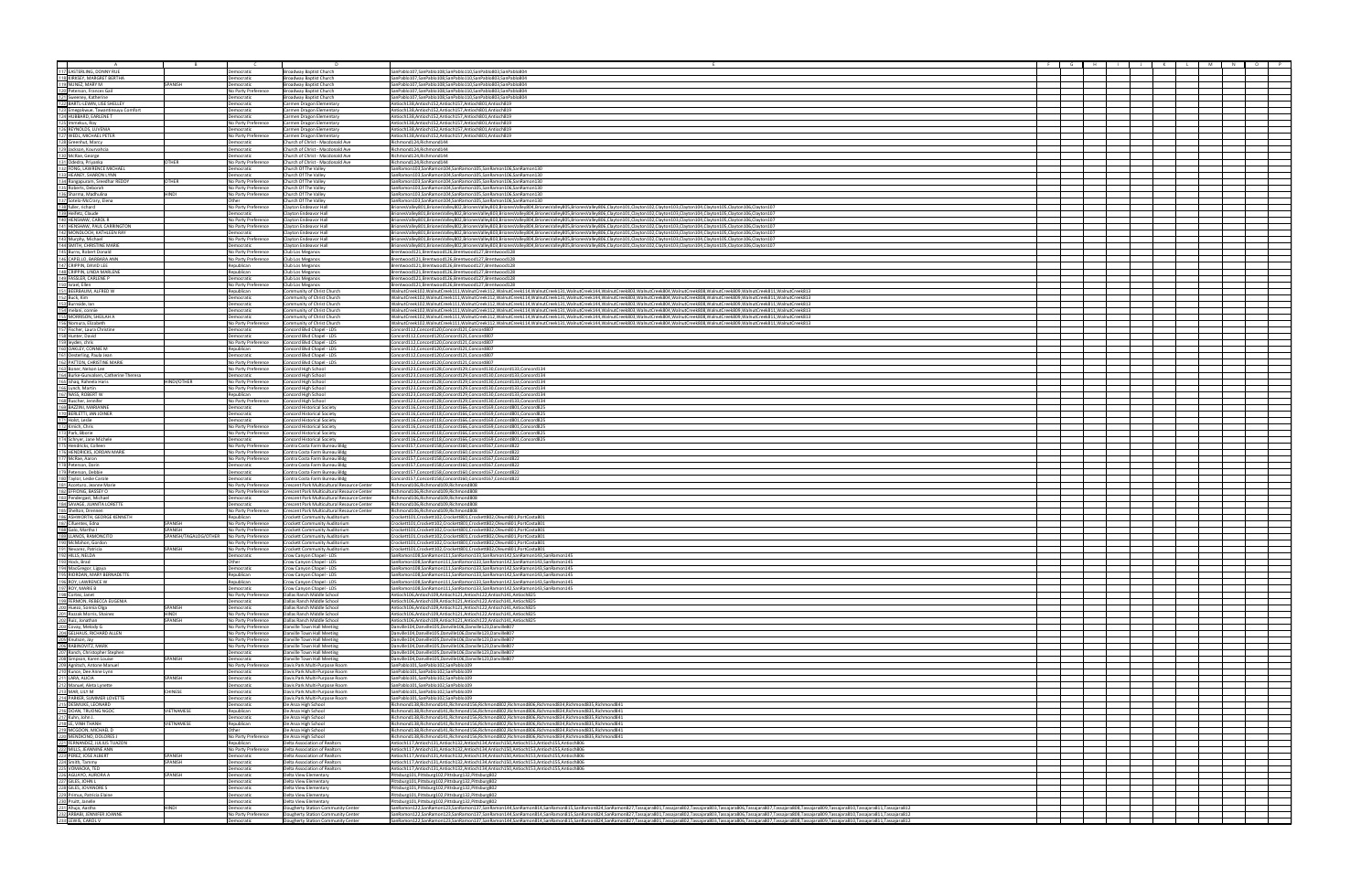|                                                                                                                                                                                                                                                             |                                            | n.                                                                                         |                                                                                                                                                                                                                                                                                                                                                                                                                                                                  |  |  | <b>M</b> |  |
|-------------------------------------------------------------------------------------------------------------------------------------------------------------------------------------------------------------------------------------------------------------|--------------------------------------------|--------------------------------------------------------------------------------------------|------------------------------------------------------------------------------------------------------------------------------------------------------------------------------------------------------------------------------------------------------------------------------------------------------------------------------------------------------------------------------------------------------------------------------------------------------------------|--|--|----------|--|
|                                                                                                                                                                                                                                                             | Democratic                                 | Broadway Baptist Church                                                                    | SanPablo107,SanPablo108,SanPablo110,SanPablo803,SanPablo804                                                                                                                                                                                                                                                                                                                                                                                                      |  |  |          |  |
|                                                                                                                                                                                                                                                             | Democratic                                 | Broadway Baptist Church                                                                    | SanPablo107,SanPablo108,SanPablo110,SanPablo803,SanPablo804                                                                                                                                                                                                                                                                                                                                                                                                      |  |  |          |  |
| A<br>112 EASTERLING, DONN'RUE<br>118 KIRKSEY, MARGRET BERTHA<br>119 NUNEZ, MARY M<br>1221 Sweeney, Katherine<br>1221 Sweeney, Katherine<br>1222 Empelowue, Tawarthissyu Comfort<br>1224 HUBBARD, EARLENE T<br>1226 Immekus, Roy<br>1222 Immekus,<br>SPANISH | Democratic<br>No Party Preference          | Broadway Baptist Church<br>Broadway Baptist Church                                         | SanPablo107,SanPablo108,SanPablo110,SanPablo803,SanPablo804<br>SanPablo107,SanPablo108,SanPablo110,SanPablo803,SanPablo804                                                                                                                                                                                                                                                                                                                                       |  |  |          |  |
|                                                                                                                                                                                                                                                             | Democratic                                 | Broadway Baptist Church                                                                    | SanPablo107.SanPablo108.SanPablo110.SanPablo803.SanPablo804                                                                                                                                                                                                                                                                                                                                                                                                      |  |  |          |  |
|                                                                                                                                                                                                                                                             | Democratic                                 | Carmen Dragon Elementary                                                                   | Antioch138,Antioch152,Antioch157,Antioch801,Antioch819                                                                                                                                                                                                                                                                                                                                                                                                           |  |  |          |  |
|                                                                                                                                                                                                                                                             | emocratic                                  | Carmen Dragon Elementary                                                                   | /htioch138,Antioch152,Antioch157,Antioch801,Antioch819                                                                                                                                                                                                                                                                                                                                                                                                           |  |  |          |  |
|                                                                                                                                                                                                                                                             | emocratic<br>No Party Preference           | Carmen Dragon Elementary<br>Carmen Dragon Elementary                                       | //htioch138,Antioch152,Antioch157,Antioch801,Antioch819<br>Antioch138,Antioch152,Antioch157,Antioch801,Antioch819                                                                                                                                                                                                                                                                                                                                                |  |  |          |  |
|                                                                                                                                                                                                                                                             | Democratic                                 | Carmen Dragon Elementary                                                                   | Antioch138,Antioch152,Antioch157,Antioch801,Antioch819                                                                                                                                                                                                                                                                                                                                                                                                           |  |  |          |  |
|                                                                                                                                                                                                                                                             | No Party Preference                        | Carmen Dragon Elementary                                                                   | Antioch138.Antioch152.Antioch157.Antioch801.Antioch819                                                                                                                                                                                                                                                                                                                                                                                                           |  |  |          |  |
|                                                                                                                                                                                                                                                             | Democratic<br>Democratic                   | Church of Christ - Macdonald Ave<br>Church of Christ - Macdonald Ave                       | Richmond124.Richmond144<br>Richmond124, Richmond144                                                                                                                                                                                                                                                                                                                                                                                                              |  |  |          |  |
|                                                                                                                                                                                                                                                             | Democratic                                 | Church of Christ - Macdonald Ave                                                           | Richmond124, Richmond144                                                                                                                                                                                                                                                                                                                                                                                                                                         |  |  |          |  |
| 1300 McRae, George<br>131 Odedra, Priyanka<br>132 FOMG, LAWRENCE MICHAEL<br>132 HEANEY, SHARON LYNN<br>132 Rengapuram, Sreedhar REDDY<br>1326 Roberts, Geborah<br>132 Shother, richard<br>132 Sharon, Madhulina<br>132 Heller, richard<br>142 HE<br>OTHER   | No Party Preference                        | Church of Christ - Macdonald Ave                                                           | Richmond124, Richmond144                                                                                                                                                                                                                                                                                                                                                                                                                                         |  |  |          |  |
|                                                                                                                                                                                                                                                             | Democratic                                 | Church Of The Valley                                                                       | SanRamon103,SanRamon104,SanRamon105,SanRamon106,SanRamon130                                                                                                                                                                                                                                                                                                                                                                                                      |  |  |          |  |
| THER                                                                                                                                                                                                                                                        | Democratic<br>No Party Preference          | Church Of The Valley<br>Church Of The Valley                                               | SanRamon103,SanRamon104,SanRamon105,SanRamon106,SanRamon130<br>SanRamon103,SanRamon104,SanRamon105,SanRamon106,SanRamon130                                                                                                                                                                                                                                                                                                                                       |  |  |          |  |
|                                                                                                                                                                                                                                                             | No Party Preference                        | hurch Of The Valley                                                                        | SanRamon103,SanRamon104,SanRamon105,SanRamon106,SanRamon130                                                                                                                                                                                                                                                                                                                                                                                                      |  |  |          |  |
| HINDI                                                                                                                                                                                                                                                       | No Party Preference                        | Church Of The Valley                                                                       | SanRamon103,SanRamon104,SanRamon105,SanRamon106,SanRamon130                                                                                                                                                                                                                                                                                                                                                                                                      |  |  |          |  |
|                                                                                                                                                                                                                                                             | Other<br>No Party Preference               | Church Of The Valley<br><b>Clayton Endeavor Hall</b>                                       | SanRamon103,SanRamon104,SanRamon105,SanRamon106,SanRamon130<br>BrionesValley801.BrionesValley802.BrionesValley803.BrionesValley804.BrionesValley805.BrionesValley806.Clayton101.Clayton102.Clayton103.Clayton104.Clayton105.Clayton106.Clayton107.Clayton107.Clayton107.Clayton107.Clayton103                                                                                                                                                                    |  |  |          |  |
|                                                                                                                                                                                                                                                             | Democratic                                 | Clayton Endeavor Hal                                                                       | BrionesValley801,BrionesValley802,BrionesValley803,BrionesValley804,BrionesValley805,BrionesValley806,Clayton101,Clayton102,Clayton103,Clayton104,Clayton105,Clayton106,Clayton106,Clayton106,Clayton106,Clayton107,Clayton108                                                                                                                                                                                                                                   |  |  |          |  |
|                                                                                                                                                                                                                                                             | No Party Preference                        | Clayton Endeavor Hall                                                                      | BrionesValley801,BrionesValley802,BrionesValley803,BrionesValley804,BrionesValley805,BrionesValley806,Clayton101,Clayton102,Clayton103,Clayton104,Clayton105,Clayton106,Clayton106,Clayton106,Clayton106,Clayton107,Clayton108                                                                                                                                                                                                                                   |  |  |          |  |
|                                                                                                                                                                                                                                                             | No Party Preference<br>Democratic          | Clayton Endeavor Hall<br>Clayton Endeavor Hall                                             | BrionesValley801,BrionesValley802,BrionesValley803,BrionesValley804,BrionesValley805,BrionesValley806,Clayton101,Clayton102,Clayton103,Clayton104,Clayton105,Clayton106,Clayton106,Clayton106,Clayton106,Clayton107,Clayton109<br>BrionesValley801,BrionesValley802,BrionesValley803,BrionesValley804,BrionesValley805,BrionesValley805,Clayton101,Clayton102,Clayton103,Clayton104,Clayton105,Clayton106,Clayton106,Clayton106,Clayton106,Clayton107            |  |  |          |  |
|                                                                                                                                                                                                                                                             | No Party Preference                        | Clayton Endeavor Hall                                                                      | BrionesValley801,BrionesValley802,BrionesValley803,BrionesValley804,BrionesValley805,BrionesValley806,Clayton101,Clayton102,Clayton103,Clayton104,Clayton105,Clayton106,Clayton106,Clayton106,Clayton106,Clayton107                                                                                                                                                                                                                                              |  |  |          |  |
|                                                                                                                                                                                                                                                             | Democratic                                 | Clayton Endeavor Hall                                                                      | BrionesValley801,BrionesValley802,BrionesValley803,BrionesValley804,BrionesValley805,BrionesValley806,Clayton101,Clayton102,Clayton103,Clayton104,Clayton105,Clayton106,Clayton106,Clayton106,Clayton106,Clayton107                                                                                                                                                                                                                                              |  |  |          |  |
|                                                                                                                                                                                                                                                             | No Party Preference<br>No Party Preference | Club Los Meganos                                                                           | Brentwood121,Brentwood126,Brentwood127,Brentwood128<br>Brentwood121,Brentwood126,Brentwood127,Brentwood128                                                                                                                                                                                                                                                                                                                                                       |  |  |          |  |
|                                                                                                                                                                                                                                                             | Republican                                 | Club Los Meganos<br>Club Los Meganos                                                       | Brentwood121,Brentwood126,Brentwood127,Brentwood128                                                                                                                                                                                                                                                                                                                                                                                                              |  |  |          |  |
|                                                                                                                                                                                                                                                             | Republican                                 | Club Los Meganos                                                                           | Brentwood121,Brentwood126,Brentwood127,Brentwood128                                                                                                                                                                                                                                                                                                                                                                                                              |  |  |          |  |
|                                                                                                                                                                                                                                                             | Democratic                                 | Club Los Meganos                                                                           | Brentwood121,Brentwood126,Brentwood127,Brentwood128                                                                                                                                                                                                                                                                                                                                                                                                              |  |  |          |  |
|                                                                                                                                                                                                                                                             | No Party Preference<br>Republican          | Club Los Meganos<br>ommunity of Christ Churcl                                              | Brentwood121,Brentwood126,Brentwood127,Brentwood128<br>WalnutCreek102,WalnutCreek111,WalnutCreek112,WalnutCreek114,WalnutCreek131,WalnutCreek144,WalnutCreek803,WalnutCreek804,WalnutCreek808,WalnutCreek809,WalnutCreek809,WalnutCreek809,WalnutCreek809,WalnutCreek8011,WalnutCreek                                                                                                                                                                            |  |  |          |  |
|                                                                                                                                                                                                                                                             | Democratic                                 | Community of Christ Church                                                                 | WalnutCreek102,WalnutCreek111,WalnutCreek112,WalnutCreek114,WalnutCreek131,WalnutCreek144,WalnutCreek803,WalnutCreek804,WalnutCreek808,WalnutCreek809,WalnutCreek809,WalnutCreek804,WalnutCreek809,WalnutCreek801,WalnutCreek8                                                                                                                                                                                                                                   |  |  |          |  |
|                                                                                                                                                                                                                                                             | Democratic                                 | Community of Christ Churcl                                                                 | WalnutCreek102.WalnutCreek111.WalnutCreek112.WalnutCreek114.WalnutCreek131.WalnutCreek144.WalnutCreek803.WalnutCreek804.WalnutCreek808.WalnutCreek809.WalnutCreek809.WalnutCreek809.WalnutCreek801.WalnutCreek811.WalnutCreek8                                                                                                                                                                                                                                   |  |  |          |  |
| 141 HENSHAW, PAUL CARRINGTON<br>142 MONDLOCH, KATHLEEN RAY<br>142 Murphy, Michael<br>144 SMITH, CHRISTINE MARIE<br>145 Burre, Robert Donald<br>140 CAPELLO, BARBARA ANN<br>142 CRIPPIN, UNDA MARIEN<br>152 ISRAER CARLENE P<br>152 ISRAER CARLENE P<br>15   | Democratic<br>Democratic                   | Community of Christ Church<br>Community of Christ Church                                   | WalnutCreek102,WalnutCreek111,WalnutCreek112,WalnutCreek114,WalnutCreek131,WalnutCreek144,WalnutCreek803,WalnutCreek804,WalnutCreek808,WalnutCreek809,WalnutCreek8191,WalnutCreek813<br>WalnutCreek102,WalnutCreek111,WalnutCreek112,WalnutCreek114,WalnutCreek131,WalnutCreek144,WalnutCreek803,WalnutCreek804,WalnutCreek808,WalnutCreek809,WalnutCreek809,WalnutCreek8104,WalnutCreek809,WalnutCreek809,WalnutCreek                                           |  |  |          |  |
|                                                                                                                                                                                                                                                             | No Party Preference                        | Community of Christ Church                                                                 | WalnutCreek102,WalnutCreek111,WalnutCreek112,WalnutCreek114,WalnutCreek131,WalnutCreek144,WalnutCreek803,WalnutCreek804,WalnutCreek808,WalnutCreek809,WalnutCreek813,WalnutCreek813                                                                                                                                                                                                                                                                              |  |  |          |  |
| 154 melani, connie<br>155 MoRNitoy, SHEILAH A<br>1550 MoRNing, SHEILAH A<br>1550 Riomura, Elizabeth<br>1580 Nomura, Elizabeth<br>1590 Igyden, chisi<br>1690 GAKLEY, CONNIE M<br>1690 GAKLEY, CONNIE M<br>1690 GAKLEY, CONNIE M<br>1690 BAKLEY, C            | Democratic                                 | Concord Blvd Chapel - LDS                                                                  | Concord112,Concord120,Concord121,Concord807                                                                                                                                                                                                                                                                                                                                                                                                                      |  |  |          |  |
|                                                                                                                                                                                                                                                             | Democratic                                 | Concord Blvd Chapel - LDS                                                                  | Concord112,Concord120,Concord121,Concord807                                                                                                                                                                                                                                                                                                                                                                                                                      |  |  |          |  |
|                                                                                                                                                                                                                                                             | No Party Preference<br>Republican          | Concord Blvd Chapel - LD<br>Concord Blvd Chapel - LDS                                      | Concord112,Concord120,Concord121,Concord807<br>Concord112,Concord120,Concord121,Concord80                                                                                                                                                                                                                                                                                                                                                                        |  |  |          |  |
|                                                                                                                                                                                                                                                             | Democratic                                 | Concord Blvd Chapel - LDS                                                                  | Concord112.Concord120.Concord121.Concord807                                                                                                                                                                                                                                                                                                                                                                                                                      |  |  |          |  |
|                                                                                                                                                                                                                                                             | No Party Preference                        | Concord Blvd Chapel - LDS                                                                  | Concord112,Concord120,Concord121,Concord807                                                                                                                                                                                                                                                                                                                                                                                                                      |  |  |          |  |
|                                                                                                                                                                                                                                                             | No Party Preference<br>Democratic          | Concord High School<br>Concord High School                                                 | Concord123,Concord128,Concord129,Concord130,Concord133,Concord134<br>Concord123,Concord128,Concord129,Concord130,Concord133,Concord134                                                                                                                                                                                                                                                                                                                           |  |  |          |  |
| HINDI/OTHER                                                                                                                                                                                                                                                 | No Party Preference                        | Concord High School                                                                        | Concord123,Concord128,Concord129,Concord130,Concord133,Concord134                                                                                                                                                                                                                                                                                                                                                                                                |  |  |          |  |
|                                                                                                                                                                                                                                                             | No Party Preference                        | Concord High School                                                                        | Concord123,Concord128,Concord129,Concord130,Concord133,Concord134                                                                                                                                                                                                                                                                                                                                                                                                |  |  |          |  |
|                                                                                                                                                                                                                                                             | Republican                                 | Concord High School                                                                        | Concord123,Concord128,Concord129,Concord130,Concord133,Concord134                                                                                                                                                                                                                                                                                                                                                                                                |  |  |          |  |
|                                                                                                                                                                                                                                                             | No Party Preference<br>Democratic          | Concord High School<br><b>Concord Historical Society</b>                                   | Concord123,Concord128,Concord129,Concord130,Concord133,Concord134<br>Concord116,Concord118,Concord166,Concord169,Concord801,Concord825                                                                                                                                                                                                                                                                                                                           |  |  |          |  |
|                                                                                                                                                                                                                                                             | Democratic                                 | <b>Concord Historical Society</b>                                                          | Concord116,Concord118,Concord166,Concord169,Concord801,Concord825                                                                                                                                                                                                                                                                                                                                                                                                |  |  |          |  |
|                                                                                                                                                                                                                                                             | Democratic                                 | Concord Historical Society                                                                 | Concord116,Concord118,Concord166,Concord169,Concord801,Concord825                                                                                                                                                                                                                                                                                                                                                                                                |  |  |          |  |
|                                                                                                                                                                                                                                                             | No Party Preference<br>No Party Preference | <b>Concord Historical Society</b><br>Concord Historical Society                            | Concord116,Concord118,Concord166,Concord169,Concord801,Concord825<br>Concord116,Concord118,Concord166,Concord169,Concord801,Concord825                                                                                                                                                                                                                                                                                                                           |  |  |          |  |
|                                                                                                                                                                                                                                                             | Democratic                                 | Concord Historical Society                                                                 | Concord116,Concord118,Concord166,Concord169,Concord801,Concord825                                                                                                                                                                                                                                                                                                                                                                                                |  |  |          |  |
|                                                                                                                                                                                                                                                             | No Party Preference                        | Contra Costa Farm Bureau Bldg                                                              | Concord157,Concord158,Concord160,Concord167,Concord822                                                                                                                                                                                                                                                                                                                                                                                                           |  |  |          |  |
|                                                                                                                                                                                                                                                             | No Party Preference<br>No Party Preference | Contra Costa Farm Bureau Bldg<br>Contra Costa Farm Bureau Bldg                             | Concord157,Concord158,Concord160,Concord167,Concord822<br>Concord157,Concord158,Concord160,Concord167,Concord822                                                                                                                                                                                                                                                                                                                                                 |  |  |          |  |
|                                                                                                                                                                                                                                                             | Democratic                                 | Contra Costa Farm Bureau Bldg                                                              | Concord157,Concord158,Concord160,Concord167,Concord822                                                                                                                                                                                                                                                                                                                                                                                                           |  |  |          |  |
|                                                                                                                                                                                                                                                             | Democratic                                 | Contra Costa Farm Bureau Bldg                                                              | Concord157,Concord158,Concord160,Concord167,Concord822                                                                                                                                                                                                                                                                                                                                                                                                           |  |  |          |  |
|                                                                                                                                                                                                                                                             | Democratic                                 | Contra Costa Farm Bureau Bldg                                                              | Concord157,Concord158,Concord160,Concord167,Concord822                                                                                                                                                                                                                                                                                                                                                                                                           |  |  |          |  |
|                                                                                                                                                                                                                                                             | No Party Preference<br>No Party Preference | Crescent Park Multicultural Resource Center<br>Crescent Park Multicultural Resource Center | Richmond106,Richmond109,Richmond808<br>Richmond106.Richmond109.Richmond808                                                                                                                                                                                                                                                                                                                                                                                       |  |  |          |  |
|                                                                                                                                                                                                                                                             | Democratic                                 | Crescent Park Multicultural Resource Center                                                | Richmond106, Richmond109, Richmond808                                                                                                                                                                                                                                                                                                                                                                                                                            |  |  |          |  |
|                                                                                                                                                                                                                                                             | Democratic                                 | Crescent Park Multicultural Resource Center                                                | Richmond106, Richmond109, Richmond808                                                                                                                                                                                                                                                                                                                                                                                                                            |  |  |          |  |
|                                                                                                                                                                                                                                                             | No Party Preference<br>Republican          | Crescent Park Multicultural Resource Center<br>Crockett Community Auditorium               | Richmond106,Richmond109,Richmond808<br>Crockett101,Crockett102,Crockett801,Crockett802,Oleum801,PortCosta801                                                                                                                                                                                                                                                                                                                                                     |  |  |          |  |
| SPANISH                                                                                                                                                                                                                                                     | No Party Preference                        | Crockett Community Auditorium                                                              | :rockett101,Crockett102,Crockett801,Crockett802,Oleum801,PortCosta801                                                                                                                                                                                                                                                                                                                                                                                            |  |  |          |  |
| SPANISH                                                                                                                                                                                                                                                     | No Party Preference                        | Crockett Community Auditorium                                                              | rockett101,Crockett102,Crockett801,Crockett802,Oleum801,PortCosta801                                                                                                                                                                                                                                                                                                                                                                                             |  |  |          |  |
| SPANISH/TAGALOG/OTHER No Party Preference                                                                                                                                                                                                                   | No Party Preference                        | Crockett Community Auditorium<br>Crockett Community Auditorium                             | Crockett101,Crockett102,Crockett801,Crockett802,Oleum801,PortCosta801<br>Crockett101.Crockett102.Crockett801.Crockett802.Oleum801.PortCosta801                                                                                                                                                                                                                                                                                                                   |  |  |          |  |
| SPANISH                                                                                                                                                                                                                                                     | No Party Preference                        | Crockett Community Auditorium                                                              | Crockett101,Crockett102,Crockett801,Crockett802,Oleum801,PortCosta801                                                                                                                                                                                                                                                                                                                                                                                            |  |  |          |  |
|                                                                                                                                                                                                                                                             | Democratic                                 | Crow Canyon Chapel - LDS                                                                   | SanRamon108,SanRamon111,SanRamon133,SanRamon142,SanRamon143,SanRamon145                                                                                                                                                                                                                                                                                                                                                                                          |  |  |          |  |
|                                                                                                                                                                                                                                                             | Other<br>Democratic                        | Crow Canyon Chapel - LDS                                                                   | SanRamon108,SanRamon111,SanRamon133,SanRamon142,SanRamon143,SanRamon14                                                                                                                                                                                                                                                                                                                                                                                           |  |  |          |  |
|                                                                                                                                                                                                                                                             | Republican                                 | Crow Canyon Chapel - LDS<br>Crow Canyon Chapel - LDS                                       | SanRamon108,SanRamon111,SanRamon133,SanRamon142,SanRamon143,SanRamon145<br>SanRamon108,SanRamon111,SanRamon133,SanRamon142,SanRamon143,SanRamon145                                                                                                                                                                                                                                                                                                               |  |  |          |  |
|                                                                                                                                                                                                                                                             | Republican                                 | Crow Canyon Chapel - LDS                                                                   | SanRamon108,SanRamon111,SanRamon133,SanRamon142,SanRamon143,SanRamon145                                                                                                                                                                                                                                                                                                                                                                                          |  |  |          |  |
|                                                                                                                                                                                                                                                             | Democratic                                 | Crow Canyon Chapel - LDS                                                                   | SanRamon108.SanRamon111.SanRamon133.SanRamon142.SanRamon143.SanRamon145                                                                                                                                                                                                                                                                                                                                                                                          |  |  |          |  |
|                                                                                                                                                                                                                                                             | No Party Preference<br>Democratic          | Dallas Ranch Middle School<br>Dallas Ranch Middle School                                   | /htioch106,Antioch109,Antioch121,Antioch122,Antioch141,Antioch825<br>Antioch106,Antioch109,Antioch121,Antioch122,Antioch141,Antioch825                                                                                                                                                                                                                                                                                                                           |  |  |          |  |
| SPANISH                                                                                                                                                                                                                                                     | emocratic                                  | Jallas Ranch Middle School                                                                 | Antioch106,Antioch109,Antioch121,Antioch122,Antioch141,Antioch825                                                                                                                                                                                                                                                                                                                                                                                                |  |  |          |  |
| HINDI<br>SPANISH                                                                                                                                                                                                                                            | No Party Preference                        | Dallas Ranch Middle School                                                                 | Antioch106.Antioch109.Antioch121.Antioch122.Antioch141.Antioch825                                                                                                                                                                                                                                                                                                                                                                                                |  |  |          |  |
|                                                                                                                                                                                                                                                             | No Party Preference<br>No Party Preference | Dallas Ranch Middle Schoo<br>Danville Town Hall Meeting                                    | Antioch106.Antioch109.Antioch121.Antioch122.Antioch141.Antioch825<br>Danville104.Danville105.Danville106.Danville123.Danville807                                                                                                                                                                                                                                                                                                                                 |  |  |          |  |
|                                                                                                                                                                                                                                                             | No Party Preference                        | Danville Town Hall Meeting                                                                 | Danville104,Danville105,Danville106,Danville123,Danville807                                                                                                                                                                                                                                                                                                                                                                                                      |  |  |          |  |
| 1921 MILLS, NEIDA<br>1921 Mock Gregor, Ligaya<br>1921 Mock Gregor, Ligaya<br>1921 MocK Gregor, Ligaya<br>1990 ROV, MAWIRE BENADETTE<br>1990 ROV, MAWIRE BECA EUGENIA<br>1990 FCMCR, JAMIRE BECA EUGENIA<br>2011 Razzak Morris, Shainez<br>2011              | No Party Preference                        | Danville Town Hall Meeting                                                                 | Danville104,Danville105,Danville106,Danville123,Danville807                                                                                                                                                                                                                                                                                                                                                                                                      |  |  |          |  |
|                                                                                                                                                                                                                                                             | No Party Preference<br>Democratic          | Danville Town Hall Meeting<br>Danville Town Hall Meeting                                   | Danville104,Danville105,Danville106,Danville123,Danville807<br>Danville104.Danville105.Danville106.Danville123.Danville807                                                                                                                                                                                                                                                                                                                                       |  |  |          |  |
| SPANISH                                                                                                                                                                                                                                                     | Democratic                                 | Danville Town Hall Meeting                                                                 | Danville104,Danville105,Danville106,Danville123,Danville807                                                                                                                                                                                                                                                                                                                                                                                                      |  |  |          |  |
|                                                                                                                                                                                                                                                             | No Party Preference                        | Davis Park Multi-Purpose Room                                                              | SanPablo101.SanPablo102.SanPablo109                                                                                                                                                                                                                                                                                                                                                                                                                              |  |  |          |  |
| SPANISH                                                                                                                                                                                                                                                     | Democratic<br>Democratic                   | Javis Park Multi-Purpose Room<br>Javis Park Multi-Purpose Room                             | SanPablo101,SanPablo102,SanPablo109<br>SanPablo101,SanPablo102,SanPablo109                                                                                                                                                                                                                                                                                                                                                                                       |  |  |          |  |
|                                                                                                                                                                                                                                                             | emocratic                                  | )avis Park Multi-Purpose Room                                                              | ianPablo101,SanPablo102,SanPablo109                                                                                                                                                                                                                                                                                                                                                                                                                              |  |  |          |  |
| <b>CHINESE</b>                                                                                                                                                                                                                                              | Democratic                                 | Davis Park Multi-Purpose Room                                                              | SanPablo101,SanPablo102,SanPablo109                                                                                                                                                                                                                                                                                                                                                                                                                              |  |  |          |  |
|                                                                                                                                                                                                                                                             | Democratic<br>Democratic                   | Davis Park Multi-Purpose Room<br>De Anza High School                                       | SanPablo101.SanPablo102.SanPablo109<br>Richmond138. Richmond141. Richmond156. Richmond802. Richmond806. Richmond834. Richmond835. Richmond841                                                                                                                                                                                                                                                                                                                    |  |  |          |  |
| VIETNAMESE                                                                                                                                                                                                                                                  | Republican                                 | De Anza High School                                                                        | Richmond138, Richmond141, Richmond156, Richmond802, Richmond806, Richmond834, Richmond835, Richmond841                                                                                                                                                                                                                                                                                                                                                           |  |  |          |  |
|                                                                                                                                                                                                                                                             | Democratic                                 | De Anza High School                                                                        | Richmond138,Richmond141,Richmond156,Richmond802,Richmond806,Richmond834,Richmond835,Richmond841                                                                                                                                                                                                                                                                                                                                                                  |  |  |          |  |
| VIETNAMESE                                                                                                                                                                                                                                                  | Republican<br>Other                        | De Anza High School                                                                        | Richmond138,Richmond141,Richmond156,Richmond802,Richmond806,Richmond834,Richmond835,Richmond841<br>Richmond138, Richmond141, Richmond156, Richmond802, Richmond806, Richmond834, Richmond835, Richmond841                                                                                                                                                                                                                                                        |  |  |          |  |
|                                                                                                                                                                                                                                                             | No Party Preference                        | De Anza High School<br>De Anza High School                                                 | 244Richmond138,Richmond141,Richmond156,Richmond802,Richmond806,Richmond834,Richmond835,Richmond841                                                                                                                                                                                                                                                                                                                                                               |  |  |          |  |
|                                                                                                                                                                                                                                                             | Republican                                 | Delta Association of Realton                                                               | \ntioch117.Antioch131.Antioch132.Antioch134.Antioch150.Antioch153.Antioch155.Antioch806                                                                                                                                                                                                                                                                                                                                                                          |  |  |          |  |
| SPANISH                                                                                                                                                                                                                                                     | No Party Preference                        | Delta Association of Realtors                                                              | Antioch117.Antioch131.Antioch132.Antioch134.Antioch150.Antioch153.Antioch155.Antioch806                                                                                                                                                                                                                                                                                                                                                                          |  |  |          |  |
| SPANISH                                                                                                                                                                                                                                                     | Democratic<br>Democratic                   | Delta Association of Realtors<br>Delta Association of Realtor:                             | /htioch117,Antioch131,Antioch132,Antioch134,Antioch150,Antioch153,Antioch155,Antioch806<br>/htioch117,Antioch131,Antioch132,Antioch134,Antioch150,Antioch153,Antioch155,Antioch806                                                                                                                                                                                                                                                                               |  |  |          |  |
|                                                                                                                                                                                                                                                             | Democratic                                 | Delta Association of Realtors                                                              | Antioch117,Antioch131,Antioch132,Antioch134,Antioch150,Antioch153,Antioch155,Antioch806                                                                                                                                                                                                                                                                                                                                                                          |  |  |          |  |
| SPANISH                                                                                                                                                                                                                                                     | Democratic                                 | Delta View Elementary                                                                      | Pittsburg101,Pittsburg102,Pittsburg132,Pittsburg802                                                                                                                                                                                                                                                                                                                                                                                                              |  |  |          |  |
|                                                                                                                                                                                                                                                             | Democratic<br>Democratic                   | Delta View Elementary<br>Delta View Elementary                                             | Pittsburg101,Pittsburg102,Pittsburg132,Pittsburg802<br>Pittsburg101,Pittsburg102,Pittsburg132,Pittsburg802                                                                                                                                                                                                                                                                                                                                                       |  |  |          |  |
|                                                                                                                                                                                                                                                             | Democratic                                 | Delta View Elementary                                                                      | Pittsburg101,Pittsburg102,Pittsburg132,Pittsburg802                                                                                                                                                                                                                                                                                                                                                                                                              |  |  |          |  |
|                                                                                                                                                                                                                                                             | Democratic                                 | Delta View Elementary                                                                      | Pittsburg101,Pittsburg102,Pittsburg132,Pittsburg802                                                                                                                                                                                                                                                                                                                                                                                                              |  |  |          |  |
| HINDI                                                                                                                                                                                                                                                       | Democratic<br>No Party Preference          | Dougherty Station Community Center                                                         | SanRamon122,SanRamon123,SanRamon137,SanRamon144,SanRamon814,SanRamon815,SanRamon824,SanRamon827,Tassajara801,Tassajara802,Tassajara803,Tassajara802,Tassajara807,Tassajara809,Tassajara809,Tassajara809,Tassajara809,Tassajara                                                                                                                                                                                                                                   |  |  |          |  |
| <b>211 DEMAND CONSUMER CONSUMER</b><br>211 DESMURC, LEONARD<br>212 ICMN, DRONG NGOC<br>212 ICMN, DADI J.<br>212 ICMN, DADI J.<br>221 ICMN, DADI J.<br>222 IMILS, JEANNINE ANN<br>222 ICMNACION, DOLORES J.<br>222 ICMNACION, DRONG NGOC<br>222 ICMNAC       | Democratic                                 | Dougherty Station Community Center<br><b>Jougherty Station Community Center</b>            | SanRamon122,SanRamon123,SanRamon137,SanRamon144,SanRamon814,SanRamon815,SanRamon824,Tasmanon827,Tassajara801,Tassajara802,Tassajara806,Tassajara806,Tassajara807,Tassajara808,Tassajara809,Tassajara809,Tassajara810,Tassajara<br>SanRamon122,SanRamon123,SanRamon137,SanRamon144,SanRamon814,SanRamon815,SanRamon824,SanRamon827,Tassajara801,Tassajara802,Tassajara803,Tassajara806,Tassajara807,Tassajara808,Tassajara808,Tassajara810,Tassajara810,Tassajara |  |  |          |  |
|                                                                                                                                                                                                                                                             |                                            |                                                                                            |                                                                                                                                                                                                                                                                                                                                                                                                                                                                  |  |  |          |  |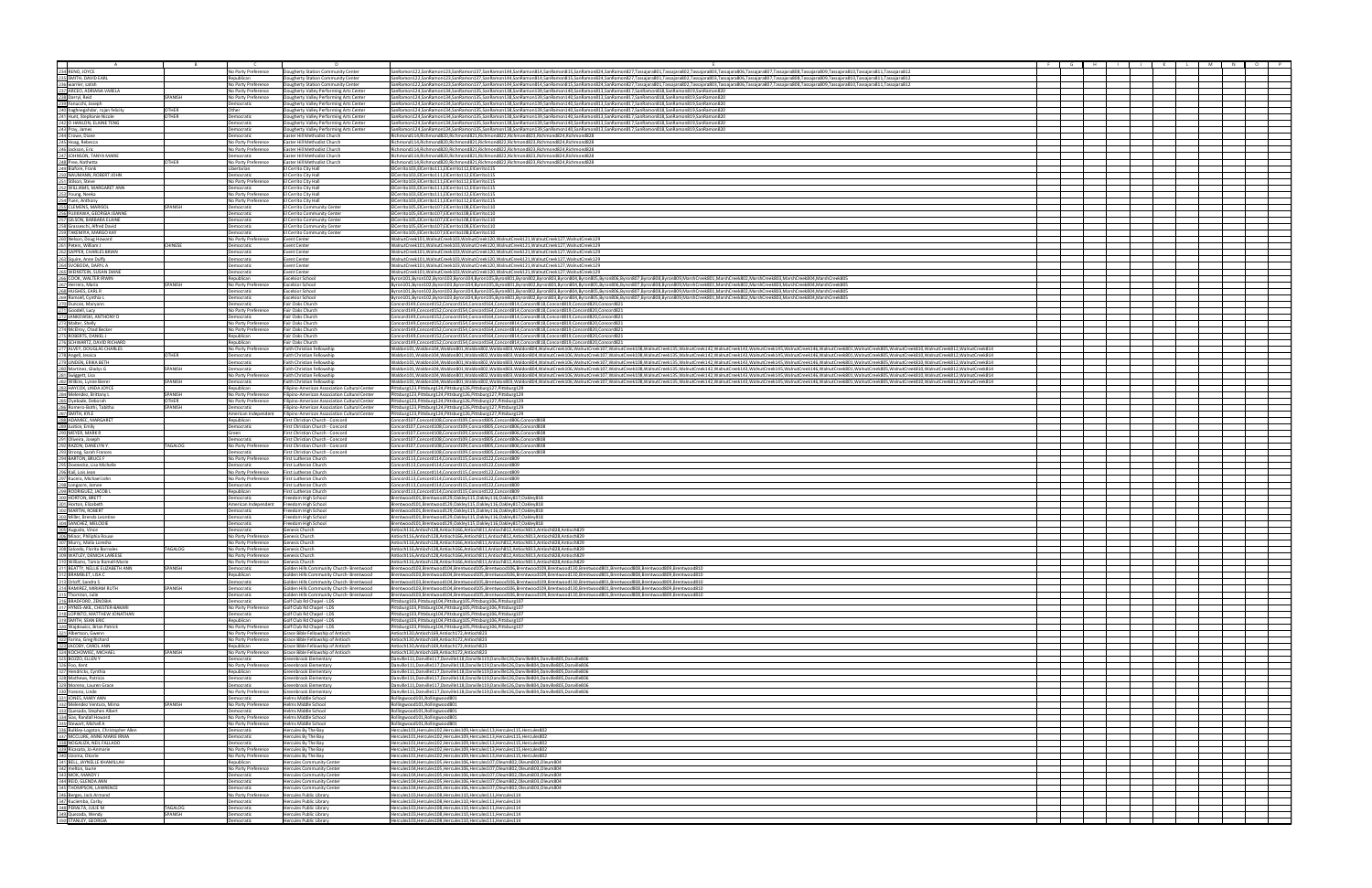|                                                                                                                                                                                                                                                                                                                                                                                                                                                               |                |                                          | n.                                                                                   |                                                                                                                                                                                                                                                                                                                                      |  |  |  |
|---------------------------------------------------------------------------------------------------------------------------------------------------------------------------------------------------------------------------------------------------------------------------------------------------------------------------------------------------------------------------------------------------------------------------------------------------------------|----------------|------------------------------------------|--------------------------------------------------------------------------------------|--------------------------------------------------------------------------------------------------------------------------------------------------------------------------------------------------------------------------------------------------------------------------------------------------------------------------------------|--|--|--|
|                                                                                                                                                                                                                                                                                                                                                                                                                                                               |                | No Party Preference                      | Dougherty Station Community Center                                                   | SanRamon122,SanRamon123,SanRamon137,SanRamon144,SanRamon814,SanRamon815,SanRamon824,SanRamon827,Tassajara801,Tassajara802,Tassajara806,Tassajara806,Tassajara807,Tassajara807,Tassajara807,Tassajara809,Tassajara809,Tassajara                                                                                                       |  |  |  |
|                                                                                                                                                                                                                                                                                                                                                                                                                                                               |                | Republican                               | Dougherty Station Community Center                                                   | SanRamon122,SanRamon123,SanRamon137,SanRamon144,SanRamon814,SanRamon815,SanRamon824,SanRamon827,Tassajara801,Tassajara802,Tassajara806,Tassajara807,Tassajara808,Tassajara808,Tassajara809,Tassajara809,Tassajara809,Tassajara                                                                                                       |  |  |  |
|                                                                                                                                                                                                                                                                                                                                                                                                                                                               |                | No Party Preference                      | Dougherty Station Community Center                                                   | SanRamon122,SanRamon123,SanRamon137,SanRamon144,SanRamon814,SanRamon815,SanRamon824,Tasnamon827,Tassajara801,Tassajara802,Tassajara806,Tassajara8006,Tassajara8027,Tassajara807,Tassajara807,Tassajara809,Tassajara809,Tassaja                                                                                                       |  |  |  |
| $\begin{tabular}{ c c } \hline & & & \\ \hline \multicolumn{1}{c}{\textbf{232}} \textbf{RENO, JOYCE} & & \\ \hline \multicolumn{1}{c}{\textbf{233}} \textbf{SMITH, DAVID EAR} \\ \hline \multicolumn{1}{c}{\textbf{232}} \textbf{Wartrier, satsh} \\ \hline \multicolumn{1}{c}{\textbf{233}} \textbf{B} \textbf{Carret}, \textbf{ODRIANA VARELA} \\ \hline \multicolumn{1}{c}{\textbf{232}} \textbf{B} \textbf{R} \textbf{P} \textbf{P} \textbf{P} \textbf{P$ |                | No Party Preference                      | Dougherty Valley Performing Arts Center                                              | SanRamon124,SanRamon134,SanRamon135,SanRamon138,SanRamon139,SanRamon140,SanRamon813,SanRamon817,SanRamon818,SanRamon819,SanRamon820                                                                                                                                                                                                  |  |  |  |
|                                                                                                                                                                                                                                                                                                                                                                                                                                                               | SPANISH        | No Party Preference                      | Dougherty Valley Performing Arts Center                                              | SanRamon124.SanRamon134.SanRamon135.SanRamon138.SanRamon139.SanRamon140.SanRamon813.SanRamon817.SanRamon818.SanRamon819.SanRamon820                                                                                                                                                                                                  |  |  |  |
|                                                                                                                                                                                                                                                                                                                                                                                                                                                               |                | Democratic                               | Dougherty Valley Performing Arts Center                                              | SanRamon124,SanRamon134,SanRamon135,SanRamon138,SanRamon139,SanRamon140,SanRamon813,SanRamon817,SanRamon818,SanRamon819,SanRamon820                                                                                                                                                                                                  |  |  |  |
|                                                                                                                                                                                                                                                                                                                                                                                                                                                               | <b>OTHER</b>   | ther                                     | Dougherty Valley Performing Arts Center                                              | SanRamon124,SanRamon134,SanRamon135,SanRamon138,SanRamon139,SanRamon140,SanRamon813,SanRamon817,SanRamon818,SanRamon819,SanRamon820                                                                                                                                                                                                  |  |  |  |
|                                                                                                                                                                                                                                                                                                                                                                                                                                                               | OTHER          | Democratic                               | Dougherty Valley Performing Arts Center                                              | SanRamon124,SanRamon134,SanRamon135,SanRamon138,SanRamon139,SanRamon140,SanRamon813,SanRamon817,SanRamon818,SanRamon819,SanRamon820                                                                                                                                                                                                  |  |  |  |
|                                                                                                                                                                                                                                                                                                                                                                                                                                                               |                | Democratic                               | Dougherty Valley Performing Arts Center                                              | SanRamon124,SanRamon134,SanRamon135,SanRamon138,SanRamon139,SanRamon140,SanRamon813,SanRamon817,SanRamon818,SanRamon819,SanRamon820                                                                                                                                                                                                  |  |  |  |
|                                                                                                                                                                                                                                                                                                                                                                                                                                                               |                | <b>Democratic</b>                        | Dougherty Valley Performing Arts Center                                              | SanRamon124.SanRamon134.SanRamon135.SanRamon138.SanRamon139.SanRamon140.SanRamon813.SanRamon817.SanRamon818.SanRamon819.SanRamon820                                                                                                                                                                                                  |  |  |  |
|                                                                                                                                                                                                                                                                                                                                                                                                                                                               |                | emocratic                                | Easter Hill Methodist Church                                                         | Richmond114.Richmond820.Richmond821.Richmond822.Richmond823.Richmond824.Richmond828                                                                                                                                                                                                                                                  |  |  |  |
|                                                                                                                                                                                                                                                                                                                                                                                                                                                               |                | No Party Preference                      | Easter Hill Methodist Church                                                         | Richmond114, Richmond820, Richmond821, Richmond822, Richmond823, Richmond824, Richmond828                                                                                                                                                                                                                                            |  |  |  |
|                                                                                                                                                                                                                                                                                                                                                                                                                                                               |                | No Party Preference                      | Easter Hill Methodist Church                                                         | Richmond114,Richmond820,Richmond821,Richmond822,Richmond823,Richmond824,Richmond828                                                                                                                                                                                                                                                  |  |  |  |
|                                                                                                                                                                                                                                                                                                                                                                                                                                                               |                | Democratic                               | Easter Hill Methodist Church                                                         | Richmond114,Richmond820,Richmond821,Richmond822,Richmond823,Richmond824,Richmond828                                                                                                                                                                                                                                                  |  |  |  |
|                                                                                                                                                                                                                                                                                                                                                                                                                                                               | OTHER          | No Party Preference                      | Easter Hill Methodist Church                                                         | Richmond114, Richmond820, Richmond821, Richmond822, Richmond823, Richmond824, Richmond828                                                                                                                                                                                                                                            |  |  |  |
|                                                                                                                                                                                                                                                                                                                                                                                                                                                               |                | Libertarian                              | El Cerrito City Hall                                                                 | ElCerrito103,ElCerrito111,ElCerrito112,ElCerrito115                                                                                                                                                                                                                                                                                  |  |  |  |
|                                                                                                                                                                                                                                                                                                                                                                                                                                                               |                | <b>Democratic</b><br>No Party Preference | El Cerrito City Hall<br>El Cerrito City Hall                                         | ElCerrito103,ElCerrito111,ElCerrito112,ElCerrito115<br>ElCerrito103,ElCerrito111,ElCerrito112,ElCerrito115                                                                                                                                                                                                                           |  |  |  |
|                                                                                                                                                                                                                                                                                                                                                                                                                                                               |                | <b>Democratic</b>                        | l Cerrito City Hall                                                                  | ElCerrito103,ElCerrito111,ElCerrito112,ElCerrito115                                                                                                                                                                                                                                                                                  |  |  |  |
|                                                                                                                                                                                                                                                                                                                                                                                                                                                               |                | No Party Preference                      | El Cerrito City Hall                                                                 | ElCerrito103,ElCerrito111,ElCerrito112,ElCerrito115                                                                                                                                                                                                                                                                                  |  |  |  |
|                                                                                                                                                                                                                                                                                                                                                                                                                                                               |                | No Party Preference                      | El Cerrito City Hall                                                                 | ElCerrito103,ElCerrito111,ElCerrito112,ElCerrito115                                                                                                                                                                                                                                                                                  |  |  |  |
|                                                                                                                                                                                                                                                                                                                                                                                                                                                               | SPANISH        | Democratic                               | El Cerrito Community Cente                                                           | EICerrito105.EICerrito107.EICerrito108.EICerrito110                                                                                                                                                                                                                                                                                  |  |  |  |
|                                                                                                                                                                                                                                                                                                                                                                                                                                                               |                | emocratic                                | I Cerrito Community Cente                                                            | ElCerrito105,ElCerrito107,ElCerrito108,ElCerrito110                                                                                                                                                                                                                                                                                  |  |  |  |
|                                                                                                                                                                                                                                                                                                                                                                                                                                                               |                | Democratic                               | El Cerrito Community Cente                                                           | ElCerrito105,ElCerrito107,ElCerrito108,ElCerrito110                                                                                                                                                                                                                                                                                  |  |  |  |
|                                                                                                                                                                                                                                                                                                                                                                                                                                                               |                | Democratic                               | El Cerrito Community Cente                                                           | ElCerrito105,ElCerrito107,ElCerrito108,ElCerrito110                                                                                                                                                                                                                                                                                  |  |  |  |
|                                                                                                                                                                                                                                                                                                                                                                                                                                                               |                | Democratic                               | El Cerrito Community Center                                                          | ElCerrito105,ElCerrito107,ElCerrito108,ElCerrito110                                                                                                                                                                                                                                                                                  |  |  |  |
|                                                                                                                                                                                                                                                                                                                                                                                                                                                               |                | No Party Preference                      | <b>Event Center</b>                                                                  | WalnutCreek101, WalnutCreek103, WalnutCreek120, WalnutCreek121, WalnutCreek127, WalnutCreek129                                                                                                                                                                                                                                       |  |  |  |
|                                                                                                                                                                                                                                                                                                                                                                                                                                                               | CHINESE        | Democratic                               | <b>Event Center</b>                                                                  | WalnutCreek101, WalnutCreek103, WalnutCreek120, WalnutCreek121, WalnutCreek127, WalnutCreek129                                                                                                                                                                                                                                       |  |  |  |
|                                                                                                                                                                                                                                                                                                                                                                                                                                                               |                | Democratic                               | <b>Event Center</b>                                                                  | WalnutCreek101, WalnutCreek103, WalnutCreek120, WalnutCreek121, WalnutCreek127, WalnutCreek129                                                                                                                                                                                                                                       |  |  |  |
|                                                                                                                                                                                                                                                                                                                                                                                                                                                               |                | Democratic                               | <b>Event Center</b>                                                                  | WalnutCreek101.WalnutCreek103.WalnutCreek120.WalnutCreek121.WalnutCreek127.WalnutCreek129                                                                                                                                                                                                                                            |  |  |  |
|                                                                                                                                                                                                                                                                                                                                                                                                                                                               |                | Democratic                               | Event Center                                                                         | WalnutCreek101, WalnutCreek103, WalnutCreek120, WalnutCreek121, WalnutCreek127, WalnutCreek129                                                                                                                                                                                                                                       |  |  |  |
|                                                                                                                                                                                                                                                                                                                                                                                                                                                               |                | Democratic                               | <b>Event Center</b>                                                                  | WalnutCreek101, WalnutCreek103, WalnutCreek120, WalnutCreek121, WalnutCreek127, WalnutCreek129                                                                                                                                                                                                                                       |  |  |  |
|                                                                                                                                                                                                                                                                                                                                                                                                                                                               |                | Republican                               | <b>Excelsior School</b>                                                              | Byron101,Byron102,Byron103,Byron104,Byron105,Byron801,Byron802,Byron803,Byron804,Byron805,Byron806,Byron807,Byron808,Byron809,MarshCreek801,MarshCreek802,MarshCreek803,MarshCreek804,MarshCreek804,MarshCreek804,MarshCreek80                                                                                                       |  |  |  |
|                                                                                                                                                                                                                                                                                                                                                                                                                                                               | SPANISH        | No Party Preference                      | <b>Excelsior School</b>                                                              | Byron101,Byron102,Byron103,Byron104,Byron105,Byron801,Byron802,Byron803,Byron804,Byron805,Byron806,Byron807,Byron808,Byron808,Byron809,MarshCreek801,MarshCreek802,MarshCreek803,MarshCreek804,MarshCreek804,MarshCreek804,Mar                                                                                                       |  |  |  |
|                                                                                                                                                                                                                                                                                                                                                                                                                                                               |                | emocratic                                | <b>Excelsior School</b>                                                              | Byron101,Byron102,Byron103,Byron104,Byron105,Byron801,Byron802,Byron803,Byron804,Byron805,Byron806,Byron807,Byron808,Byron809,MarshCreek801,MarshCreek802,MarshCreek803,MarshCreek804,MarshCreek804,MarshCreek804,MarshCreek80                                                                                                       |  |  |  |
|                                                                                                                                                                                                                                                                                                                                                                                                                                                               |                | emocratic                                | Excelsior School<br>Fair Oaks Church                                                 | Byron101,Byron102,Byron103,Byron104,Byron105,Byron801,Byron802,Byron803,Byron804,Byron806,Byron806,Byron807,Byron808,Byron809,MarshCreek801,MarshCreek802,MarshCreek803,MarshCreek804,MarshCreek804,MarshCreek804,MarshCreek80<br>Concord149.Concord152.Concord154.Concord164.Concord814.Concord818.Concord819.Concord820.Concord821 |  |  |  |
|                                                                                                                                                                                                                                                                                                                                                                                                                                                               |                | Democratic<br>No Party Preference        | Fair Oaks Church                                                                     | Concord149,Concord152,Concord154,Concord164,Concord814,Concord818,Concord819,Concord820,Concord821                                                                                                                                                                                                                                   |  |  |  |
|                                                                                                                                                                                                                                                                                                                                                                                                                                                               |                | Democratic                               | Fair Oaks Church                                                                     |                                                                                                                                                                                                                                                                                                                                      |  |  |  |
|                                                                                                                                                                                                                                                                                                                                                                                                                                                               |                | No Party Preference                      | Fair Oaks Church                                                                     | Concord149,Concord152,Concord154,Concord164,Concord814,Concord818,Concord819,Concord820,Concord821<br>Concord149,Concord152,Concord154,Concord164,Concord814,Concord818,Concord819,Concord820,Concord821                                                                                                                             |  |  |  |
|                                                                                                                                                                                                                                                                                                                                                                                                                                                               |                | No Party Preference                      | Fair Oaks Church                                                                     | Concord149,Concord152,Concord154,Concord164,Concord814,Concord818,Concord819,Concord820,Concord821                                                                                                                                                                                                                                   |  |  |  |
|                                                                                                                                                                                                                                                                                                                                                                                                                                                               |                | Republican                               | Fair Oaks Church                                                                     | Concord149,Concord152,Concord154,Concord164,Concord814,Concord818,Concord819,Concord820,Concord821                                                                                                                                                                                                                                   |  |  |  |
|                                                                                                                                                                                                                                                                                                                                                                                                                                                               |                | Republican                               | Fair Oaks Church                                                                     | Concord149,Concord152,Concord154,Concord164,Concord814,Concord818,Concord819,Concord820,Concord821                                                                                                                                                                                                                                   |  |  |  |
|                                                                                                                                                                                                                                                                                                                                                                                                                                                               |                | No Party Preference                      | Faith Christian Fellowship                                                           | Waldon104,Waldon104,Waldon801,Waldon802,Waldon803,Waldon804,WalnutCreek106,WalnutCreek107,WalnutCreek108,WalnutCreek108,WalnutCreek108,WalnutCreek106,WalnutCreek108,WalnutCreek108,WalnutCreek106,WalnutCreek142,WalnutCreek1                                                                                                       |  |  |  |
|                                                                                                                                                                                                                                                                                                                                                                                                                                                               | OTHER          | Democratic                               | Faith Christian Fellowship                                                           | Waldon101,Waldon104,Waldon801,Waldon802,Waldon803,Waldon804,WalnutCreek106,WalnutCreek107,WalnutCreek108,WalnutCreek135,WalnutCreek143,WalnutCreek145,WalnutCreek145,WalnutCreek145,WalnutCreek145,WalnutCreek145,WalnutCreek1                                                                                                       |  |  |  |
|                                                                                                                                                                                                                                                                                                                                                                                                                                                               |                | Democratic                               | Faith Christian Fellowship                                                           | Waldon101,Waldon104,Waldon801,Waldon802,Waldon802,Waldon804,WalnutCreek106,WalnutCreek103,WalnutCreek108,WalnutCreek1135,WalnutCreek143,WalnutCreek143,WalnutCreek145,WalnutCreek145,WalnutCreek145,WalnutCreek805,WalnutCree                                                                                                        |  |  |  |
|                                                                                                                                                                                                                                                                                                                                                                                                                                                               | <b>SPANISH</b> | <b>Democratic</b>                        | Faith Christian Fellowshi                                                            | VValdon101.Waldon104.Waldon801.Waldon802.Waldon803.Waldon804.WalnutCreek106.WalnutCreek106.WalnutCreek106.WalnutCreek106.WalnutCreek106.WalnutCreek106.WalnutCreek106.WalnutCreek106.WalnutCreek106.WalnutCreek145.WalnutCreek                                                                                                       |  |  |  |
|                                                                                                                                                                                                                                                                                                                                                                                                                                                               |                | No Party Preference                      | Faith Christian Fellowship                                                           | Waldon101,Waldon104,Waldon801,Waldon802,Waldon803,Waldon804,WalnutCreek106,WalnutCreek107,WalnutCreek108,WalnutCreek108,WalnutCreek135,WalnutCreek125,WalnutCreek12,WalnutCreek145,WalnutCreek145,WalnutCreek145,WalnutCreek14                                                                                                       |  |  |  |
|                                                                                                                                                                                                                                                                                                                                                                                                                                                               | SPANISH        | Democratic                               | Faith Christian Fellowship                                                           | VValdon101.Waldon104.Waldon801.Waldon802.Waldon803.Waldon804.WalnutCreek106.WalnutCreek106.WalnutCreek106.WalnutCreek106.WalnutCreek106.WalnutCreek106.WalnutCreek106.WalnutCreek106.WalnutCreek106.WalnutCreek145.WalnutCreek                                                                                                       |  |  |  |
|                                                                                                                                                                                                                                                                                                                                                                                                                                                               |                | Republican                               | Filipino-American Association Cultural Center                                        | Pittsburg123, Pittsburg124, Pittsburg126, Pittsburg127, Pittsburg129                                                                                                                                                                                                                                                                 |  |  |  |
|                                                                                                                                                                                                                                                                                                                                                                                                                                                               | SPANISH        | No Party Preference                      | Filipino-American Association Cultural Center                                        | Pittsburg123,Pittsburg124,Pittsburg126,Pittsburg127,Pittsburg129                                                                                                                                                                                                                                                                     |  |  |  |
|                                                                                                                                                                                                                                                                                                                                                                                                                                                               | OTHER          | No Party Preference                      | Filipino-American Association Cultural Center                                        | Pittsburg123,Pittsburg124,Pittsburg126,Pittsburg127,Pittsburg129                                                                                                                                                                                                                                                                     |  |  |  |
|                                                                                                                                                                                                                                                                                                                                                                                                                                                               | SPANISH        | Democratic                               | Filipino-American Association Cultural Center                                        | Pittsburg123,Pittsburg124,Pittsburg126,Pittsburg127,Pittsburg129                                                                                                                                                                                                                                                                     |  |  |  |
|                                                                                                                                                                                                                                                                                                                                                                                                                                                               |                | American Independent                     | Filipino-American Association Cultural Center                                        | Pittsburg123,Pittsburg124,Pittsburg126,Pittsburg127,Pittsburg129                                                                                                                                                                                                                                                                     |  |  |  |
|                                                                                                                                                                                                                                                                                                                                                                                                                                                               |                | Republican                               | First Christian Church - Concord                                                     | Concord107,Concord108,Concord109,Concord805,Concord806,Concord808                                                                                                                                                                                                                                                                    |  |  |  |
|                                                                                                                                                                                                                                                                                                                                                                                                                                                               |                | Democratic                               | First Christian Church - Concord                                                     | Concord107,Concord108,Concord109,Concord805,Concord806,Concord808                                                                                                                                                                                                                                                                    |  |  |  |
|                                                                                                                                                                                                                                                                                                                                                                                                                                                               |                | Green                                    | First Christian Church - Concord                                                     | Concord107,Concord108,Concord109,Concord805,Concord806,Concord808                                                                                                                                                                                                                                                                    |  |  |  |
|                                                                                                                                                                                                                                                                                                                                                                                                                                                               | TAGALOG        | Democratic                               | First Christian Church - Concord                                                     | Concord107,Concord108,Concord109,Concord805,Concord806,Concord808                                                                                                                                                                                                                                                                    |  |  |  |
|                                                                                                                                                                                                                                                                                                                                                                                                                                                               |                | No Party Preference                      | First Christian Church - Concord                                                     | Concord107,Concord108,Concord109,Concord805,Concord806,Concord808                                                                                                                                                                                                                                                                    |  |  |  |
|                                                                                                                                                                                                                                                                                                                                                                                                                                                               |                | emocratic<br>No Party Preference         | First Christian Church - Concord<br><b>IFirst Lutheran Church</b>                    | Concord107,Concord108,Concord109,Concord805,Concord806,Concord808<br>Concord113,Concord114,Concord115,Concord122,Concord809                                                                                                                                                                                                          |  |  |  |
|                                                                                                                                                                                                                                                                                                                                                                                                                                                               |                | Democratic                               | First Lutheran Church                                                                | Concord113.Concord114.Concord115.Concord122.Concord809                                                                                                                                                                                                                                                                               |  |  |  |
|                                                                                                                                                                                                                                                                                                                                                                                                                                                               |                | No Party Preference                      | First Lutheran Church                                                                | Concord113,Concord114,Concord115,Concord122,Concord809                                                                                                                                                                                                                                                                               |  |  |  |
|                                                                                                                                                                                                                                                                                                                                                                                                                                                               |                | No Party Preference                      | First Lutheran Church                                                                | Concord113,Concord114,Concord115,Concord122,Concord809                                                                                                                                                                                                                                                                               |  |  |  |
|                                                                                                                                                                                                                                                                                                                                                                                                                                                               |                | Democratic                               | First Lutheran Church                                                                | Concord113,Concord114,Concord115,Concord122,Concord809                                                                                                                                                                                                                                                                               |  |  |  |
|                                                                                                                                                                                                                                                                                                                                                                                                                                                               |                | Republican                               | First Lutheran Church                                                                | Concord113.Concord114.Concord115.Concord122.Concord809                                                                                                                                                                                                                                                                               |  |  |  |
|                                                                                                                                                                                                                                                                                                                                                                                                                                                               |                | Democratic                               | Freedom High School                                                                  | Brentwood101,Brentwood129,Oakley115,Oakley116,Oakley817,Oakley818                                                                                                                                                                                                                                                                    |  |  |  |
|                                                                                                                                                                                                                                                                                                                                                                                                                                                               |                | American Independen                      | Freedom High School                                                                  | Brentwood101,Brentwood129,Oakley115,Oakley116,Oakley817,Oakley818                                                                                                                                                                                                                                                                    |  |  |  |
|                                                                                                                                                                                                                                                                                                                                                                                                                                                               |                | <b>Democratic</b>                        | Freedom High School                                                                  | Brentwood101,Brentwood129,Oakley115,Oakley116,Oakley817,Oakley818                                                                                                                                                                                                                                                                    |  |  |  |
|                                                                                                                                                                                                                                                                                                                                                                                                                                                               |                | Democratic                               | Freedom High School                                                                  | Brentwood101,Brentwood129,Oakley115,Oakley116,Oakley817,Oakley818                                                                                                                                                                                                                                                                    |  |  |  |
|                                                                                                                                                                                                                                                                                                                                                                                                                                                               |                | emocratic                                | Freedom High School                                                                  | Brentwood101,Brentwood129,Oakley115,Oakley116,Oakley817,Oakley818                                                                                                                                                                                                                                                                    |  |  |  |
|                                                                                                                                                                                                                                                                                                                                                                                                                                                               |                | emocratic                                | Genesis Church                                                                       | Antioch116,Antioch128,Antioch166,Antioch811,Antioch812,Antioch813,Antioch828,Antioch829                                                                                                                                                                                                                                              |  |  |  |
|                                                                                                                                                                                                                                                                                                                                                                                                                                                               |                | No Party Preference                      | Genesis Church                                                                       | Antioch116.Antioch128.Antioch166.Antioch811.Antioch812.Antioch813.Antioch828.Antioch829                                                                                                                                                                                                                                              |  |  |  |
|                                                                                                                                                                                                                                                                                                                                                                                                                                                               |                | No Party Preference                      | Genesis Church                                                                       | Antioch116.Antioch128.Antioch166.Antioch811.Antioch812.Antioch813.Antioch828.Antioch829                                                                                                                                                                                                                                              |  |  |  |
| 285 Oyebade, Deborah<br>282 Samero-Both), Tabitha<br>282 SMIMI-KKIE<br>282 SMIMI-KKIE<br>282 SMIMI-KKIE<br>282 SMIMI-KKIE<br>282 Matcher, MARK R<br>293 Matcher, MARK R<br>293 Marcon, DARK<br>293 Demecte, Lisa Michelle<br>293 Strong, Carach Ho                                                                                                                                                                                                            | TAGALOG        | No Party Preference                      | Genesis Church                                                                       | Antioch116.Antioch128.Antioch166.Antioch811.Antioch812.Antioch813.Antioch828.Antioch829                                                                                                                                                                                                                                              |  |  |  |
|                                                                                                                                                                                                                                                                                                                                                                                                                                                               |                | No Party Preference                      | Genesis Church                                                                       | Antioch116,Antioch128,Antioch166,Antioch811,Antioch812,Antioch813,Antioch828,Antioch829                                                                                                                                                                                                                                              |  |  |  |
|                                                                                                                                                                                                                                                                                                                                                                                                                                                               |                | No Party Preference                      | Genesis Church                                                                       | Antioch116,Antioch128,Antioch166,Antioch811,Antioch812,Antioch813,Antioch828,Antioch829                                                                                                                                                                                                                                              |  |  |  |
|                                                                                                                                                                                                                                                                                                                                                                                                                                                               | SPANISH        | Democratic                               | Golden Hills Community Church- Brentwood<br>Golden Hills Community Church- Brentwood | Brentwood103,Brentwood104,Brentwood105,Brentwood106,Brentwood109,Brentwood130,Brentwood801,Brentwood808,Brentwood809,Brentwood801<br>Brentwood103,Brentwood104,Brentwood105,Brentwood106,Brentwood109,Brentwood130,Brentwood801,Brentwood808,Brentwood809,Brentwood809,Brentwood810                                                  |  |  |  |
|                                                                                                                                                                                                                                                                                                                                                                                                                                                               |                | Republican<br>Democratic                 | Golden Hills Community Church- Brentwood                                             | Brentwood103,Brentwood104,Brentwood105,Brentwood106,Brentwood109,Brentwood130,Brentwood801,Brentwood808,Brentwood809,Brentwood809,Brentwood810                                                                                                                                                                                       |  |  |  |
|                                                                                                                                                                                                                                                                                                                                                                                                                                                               | SPANISH        | Democratic                               | Golden Hills Community Church- Brentwood                                             | Brentwood103,Brentwood104,Brentwood105,Brentwood106,Brentwood109,Brentwood130,Brentwood801,Brentwood808,Brentwood809,Brentwood809,Brentwood809,Brentwood809,Brentwood810                                                                                                                                                             |  |  |  |
|                                                                                                                                                                                                                                                                                                                                                                                                                                                               |                | Democratic                               | Golden Hills Community Church- Brentwood                                             | Brentwood103,Brentwood104,Brentwood105,Brentwood106,Brentwood109,Brentwood130,Brentwood801,Brentwood808,Brentwood809,Brentwood809,Brentwood809,Brentwood809,Brentwood809,Brentwood809,Brentwood810                                                                                                                                   |  |  |  |
|                                                                                                                                                                                                                                                                                                                                                                                                                                                               |                | Democratic                               | Golf Club Rd Chapel - LDS                                                            | Pittsburg103,Pittsburg104,Pittsburg105,Pittsburg106,Pittsburg107                                                                                                                                                                                                                                                                     |  |  |  |
|                                                                                                                                                                                                                                                                                                                                                                                                                                                               |                | <b>Vo Party Preference</b>               | Golf Club Rd Chapel - LDS                                                            | Pittsburg103,Pittsburg104,Pittsburg105,Pittsburg106,Pittsburg107                                                                                                                                                                                                                                                                     |  |  |  |
|                                                                                                                                                                                                                                                                                                                                                                                                                                                               |                | Democratic                               | Golf Club Rd Chapel - LDS                                                            | Pittsburg103,Pittsburg104,Pittsburg105,Pittsburg106,Pittsburg107                                                                                                                                                                                                                                                                     |  |  |  |
|                                                                                                                                                                                                                                                                                                                                                                                                                                                               |                | Republican                               | Golf Club Rd Chapel - LDS                                                            | Pittsburg103, Pittsburg104, Pittsburg105, Pittsburg106, Pittsburg107                                                                                                                                                                                                                                                                 |  |  |  |
|                                                                                                                                                                                                                                                                                                                                                                                                                                                               |                | No Party Preference                      | Golf Club Rd Chapel - LDS                                                            | Pittsburg103,Pittsburg104,Pittsburg105,Pittsburg106,Pittsburg107                                                                                                                                                                                                                                                                     |  |  |  |
| 310 Williams, Tamia Romell-Marie<br>3111 BEATTY, NELLIE EUZABETH ANN<br>312 BRAMBLET, USA C<br>312 ORAMBLET, USA C<br>314 GAMIREZ, MIRUG EUZABETH ANN<br>312 INONTOR, Julie<br>316 GAMIREZ, MIRUG CHECRE RAKRI<br>319 GAMIREZ, MIRUG CHECRE                                                                                                                                                                                                                   |                | No Party Preference                      | Grace Bible Fellowship of Antioch                                                    | Antioch130,Antioch169,Antioch172,Antioch823                                                                                                                                                                                                                                                                                          |  |  |  |
|                                                                                                                                                                                                                                                                                                                                                                                                                                                               |                | No Party Preference                      | Grace Bible Fellowship of Antioch                                                    | Antioch130,Antioch169,Antioch172,Antioch823                                                                                                                                                                                                                                                                                          |  |  |  |
|                                                                                                                                                                                                                                                                                                                                                                                                                                                               |                | Republican                               | Grace Bible Fellowship of Antioch                                                    | Antioch130, Antioch169, Antioch172, Antioch823                                                                                                                                                                                                                                                                                       |  |  |  |
|                                                                                                                                                                                                                                                                                                                                                                                                                                                               | SPANISH        | No Party Preference                      | Grace Bible Fellowship of Antioch                                                    | Antioch130.Antioch169.Antioch172.Antioch823                                                                                                                                                                                                                                                                                          |  |  |  |
|                                                                                                                                                                                                                                                                                                                                                                                                                                                               |                | Democratic                               | Greenbrook Elementary                                                                | Danville111,Danville117,Danville118,Danville119,Danville126,Danville804,Danville805,Danville806                                                                                                                                                                                                                                      |  |  |  |
|                                                                                                                                                                                                                                                                                                                                                                                                                                                               |                | No Party Preference<br>Republican        | Greenbrook Elementary<br>Greenbrook Elementary                                       | Danville111,Danville117,Danville118,Danville119,Danville126,Danville804,Danville805,Danville806<br>Danville111,Danville117,Danville118,Danville119,Danville126,Danville804,Danville805,Danville806                                                                                                                                   |  |  |  |
|                                                                                                                                                                                                                                                                                                                                                                                                                                                               |                | Democratic                               | Greenbrook Elementary                                                                | Danville111,Danville117,Danville118,Danville119,Danville126,Danville804,Danville805,Danville806                                                                                                                                                                                                                                      |  |  |  |
|                                                                                                                                                                                                                                                                                                                                                                                                                                                               |                | emocratic                                | Greenbrook Elementary                                                                | 2006/Danville111,Danville117,Danville118,Danville119,Danville126,Danville804,Danville805,Danville806                                                                                                                                                                                                                                 |  |  |  |
|                                                                                                                                                                                                                                                                                                                                                                                                                                                               |                | No Party Preference                      | Greenbrook Elementary                                                                | Danville111,Danville117,Danville118,Danville119,Danville126,Danville804,Danville805,Danville806                                                                                                                                                                                                                                      |  |  |  |
|                                                                                                                                                                                                                                                                                                                                                                                                                                                               |                | Democratic                               | Helms Middle School                                                                  | Rollingwood101,Rollingwood801                                                                                                                                                                                                                                                                                                        |  |  |  |
|                                                                                                                                                                                                                                                                                                                                                                                                                                                               | SPANISH        | No Party Preference                      | Helms Middle School                                                                  | Rollingwood101,Rollingwood801                                                                                                                                                                                                                                                                                                        |  |  |  |
|                                                                                                                                                                                                                                                                                                                                                                                                                                                               |                | Democratic                               | Helms Middle School                                                                  | Rollingwood101,Rollingwood801                                                                                                                                                                                                                                                                                                        |  |  |  |
|                                                                                                                                                                                                                                                                                                                                                                                                                                                               |                | No Party Preference                      | Helms Middle School                                                                  | Rollingwood101,Rollingwood801                                                                                                                                                                                                                                                                                                        |  |  |  |
|                                                                                                                                                                                                                                                                                                                                                                                                                                                               |                | No Party Preference                      | Helms Middle School                                                                  | Rollingwood101,Rollingwood801                                                                                                                                                                                                                                                                                                        |  |  |  |
|                                                                                                                                                                                                                                                                                                                                                                                                                                                               |                | Democratic                               | Hercules By The Bay                                                                  | Hercules101,Hercules102,Hercules109,Hercules113,Hercules115,Hercules802                                                                                                                                                                                                                                                              |  |  |  |
|                                                                                                                                                                                                                                                                                                                                                                                                                                                               |                | emocratic                                | Hercules By The Bay                                                                  | Hercules101, Hercules102, Hercules109, Hercules113, Hercules115, Hercules802                                                                                                                                                                                                                                                         |  |  |  |
|                                                                                                                                                                                                                                                                                                                                                                                                                                                               |                | emocratic                                | Hercules By The Bay                                                                  | Hercules101,Hercules102,Hercules109,Hercules113,Hercules115,Hercules802                                                                                                                                                                                                                                                              |  |  |  |
|                                                                                                                                                                                                                                                                                                                                                                                                                                                               |                | No Party Preference                      | Hercules By The Bay                                                                  | Hercules101, Hercules102, Hercules109, Hercules113, Hercules115, Hercules802                                                                                                                                                                                                                                                         |  |  |  |
|                                                                                                                                                                                                                                                                                                                                                                                                                                                               |                | No Party Preference                      | Hercules By The Bay                                                                  | Hercules101,Hercules102,Hercules109,Hercules113,Hercules115,Hercules802                                                                                                                                                                                                                                                              |  |  |  |
|                                                                                                                                                                                                                                                                                                                                                                                                                                                               |                | epublican                                | <b>Hercules Community Center</b>                                                     | Hercules104,Hercules105,Hercules106,Hercules107,Oleum802,Oleum803,Oleum804                                                                                                                                                                                                                                                           |  |  |  |
|                                                                                                                                                                                                                                                                                                                                                                                                                                                               |                | No Party Preference                      | <b>Hercules Community Center</b>                                                     | -ercules104,Hercules105,Hercules106,Hercules107,Oleum802,Oleum803,Oleum804                                                                                                                                                                                                                                                           |  |  |  |
|                                                                                                                                                                                                                                                                                                                                                                                                                                                               |                | Democratic                               | <b>Hercules Community Center</b>                                                     | Hercules104,Hercules105,Hercules106,Hercules107,Oleum802,Oleum803,Oleum804                                                                                                                                                                                                                                                           |  |  |  |
|                                                                                                                                                                                                                                                                                                                                                                                                                                                               |                | emocratic                                | <b>Hercules Community Center</b>                                                     | Hercules104, Hercules105, Hercules106, Hercules107, Oleum 802, Oleum 803, Oleum 804                                                                                                                                                                                                                                                  |  |  |  |
|                                                                                                                                                                                                                                                                                                                                                                                                                                                               |                | Democratic                               | <b>Hercules Community Center</b>                                                     | Hercules104,Hercules105,Hercules106,Hercules107,Oleum802,Oleum803,Oleum804                                                                                                                                                                                                                                                           |  |  |  |
|                                                                                                                                                                                                                                                                                                                                                                                                                                                               |                | No Party Preference<br>Democratic        | Hercules Public Library<br>Hercules Public Library                                   | Hercules103, Hercules108, Hercules110, Hercules111, Hercules114<br>Hercules103,Hercules108,Hercules110,Hercules111,Hercules114                                                                                                                                                                                                       |  |  |  |
|                                                                                                                                                                                                                                                                                                                                                                                                                                                               | TAGALOG        | Democratic                               | Hercules Public Library                                                              | Hercules103, Hercules108, Hercules110, Hercules111, Hercules114                                                                                                                                                                                                                                                                      |  |  |  |
|                                                                                                                                                                                                                                                                                                                                                                                                                                                               | SPANISH        | Democratic                               | Hercules Public Library                                                              | Hercules103, Hercules108, Hercules110, Hercules111, Hercules114                                                                                                                                                                                                                                                                      |  |  |  |
|                                                                                                                                                                                                                                                                                                                                                                                                                                                               |                | mocratic                                 | lercules Public Library                                                              | /Hercules103,Hercules108,Hercules110,Hercules111,Hercules114                                                                                                                                                                                                                                                                         |  |  |  |
|                                                                                                                                                                                                                                                                                                                                                                                                                                                               |                |                                          |                                                                                      |                                                                                                                                                                                                                                                                                                                                      |  |  |  |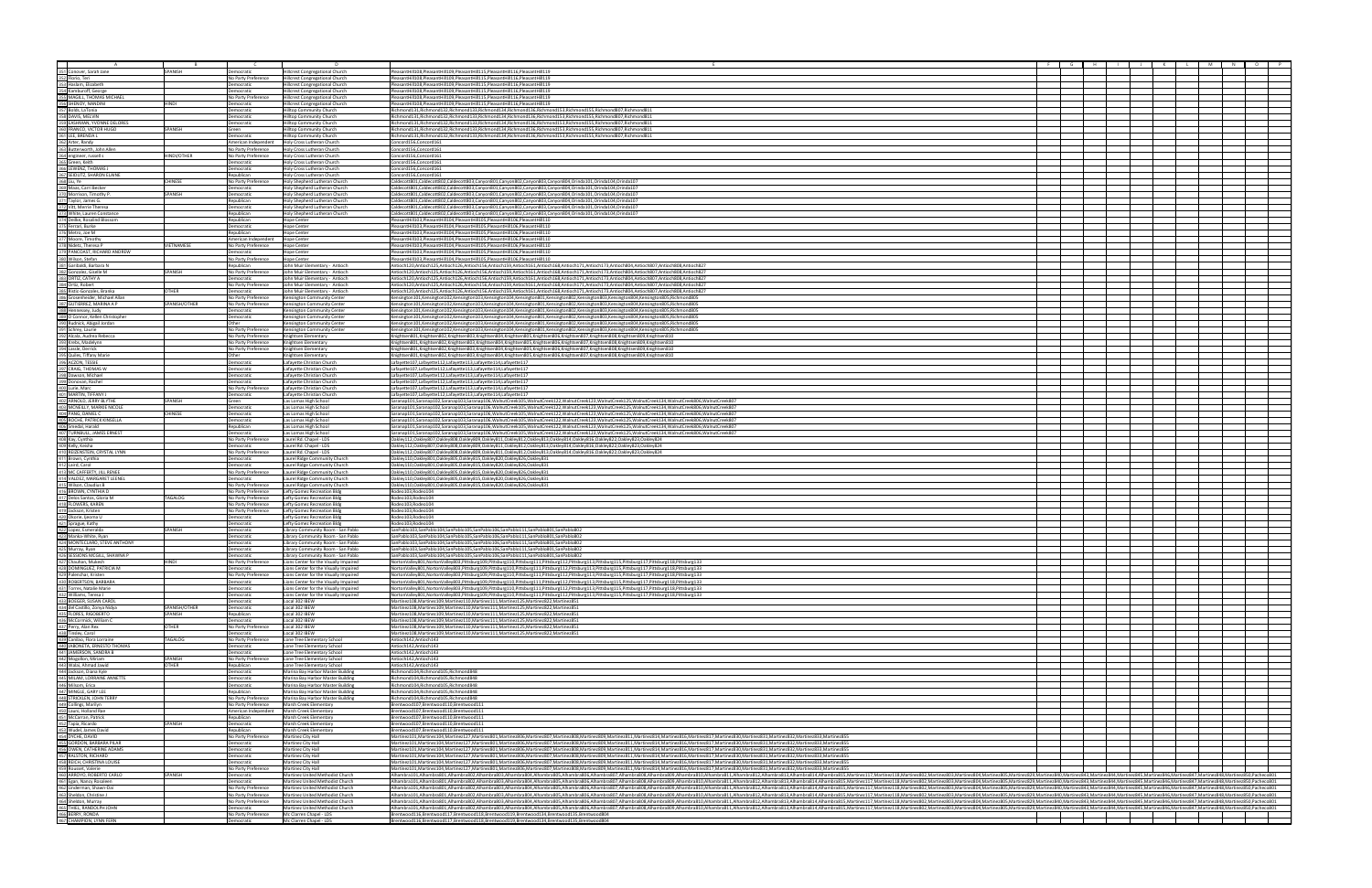| ┱ |                                                                                                                                                                         |                   |                                             | $\Box$                                                                           |                                                                                                                                                                                                                                                                                                                                                                                                                                                                  |  |  |  |
|---|-------------------------------------------------------------------------------------------------------------------------------------------------------------------------|-------------------|---------------------------------------------|----------------------------------------------------------------------------------|------------------------------------------------------------------------------------------------------------------------------------------------------------------------------------------------------------------------------------------------------------------------------------------------------------------------------------------------------------------------------------------------------------------------------------------------------------------|--|--|--|
|   |                                                                                                                                                                         |                   |                                             |                                                                                  |                                                                                                                                                                                                                                                                                                                                                                                                                                                                  |  |  |  |
|   | 351 Conover, Sarah Jane<br>352 Florio, Teri                                                                                                                             | SPANISH           | Democratic                                  | <b>Hillcrest Congregational Church</b>                                           | PleasantHill108,PleasantHill109,PleasantHill115,PleasantHill116,PleasantHill119<br>PleasantHill108,PleasantHill109,PleasantHill115,PleasantHill116,PleasantHill119                                                                                                                                                                                                                                                                                               |  |  |  |
|   | 353 Haslam, Elizabeth                                                                                                                                                   |                   | No Party Preference                         | <b>Hillcrest Congregational Church</b>                                           |                                                                                                                                                                                                                                                                                                                                                                                                                                                                  |  |  |  |
|   |                                                                                                                                                                         |                   | Democratic<br>Democratic                    | Hillcrest Congregational Church                                                  | PleasantHill108,PleasantHill109,PleasantHill115,PleasantHill116,PleasantHill119                                                                                                                                                                                                                                                                                                                                                                                  |  |  |  |
|   | 354 Kamburoff, George<br>355 MAGILL, THOMAS MICHAEL                                                                                                                     |                   | No Party Preference                         | Hillcrest Congregational Church                                                  | PleasantHill108,PleasantHill109,PleasantHill115,PleasantHill116,PleasantHill119<br>PleasantHill108.PleasantHill109.PleasantHill115.PleasantHill116.PleasantHill119                                                                                                                                                                                                                                                                                               |  |  |  |
|   |                                                                                                                                                                         | HINDI             | Democratic                                  | Hillcrest Congregational Church                                                  | PleasantHill108,PleasantHill109,PleasantHill115,PleasantHill116,PleasantHill119                                                                                                                                                                                                                                                                                                                                                                                  |  |  |  |
|   | 356 SHENOY, NANDINI<br>357 Bolds, LaTonia<br>358 DAVIS, MELVIN                                                                                                          |                   | <b>Democratic</b>                           | <b>Hillcrest Congregational Church</b><br><b>Hilltop Community Church</b>        | Richmond131,Richmond132,Richmond133,Richmond134,Richmond136,Richmond153,Richmond155,Richmond807,Richmond811                                                                                                                                                                                                                                                                                                                                                      |  |  |  |
|   |                                                                                                                                                                         |                   | Democratic                                  | Hilltop Community Church                                                         | Richmond131,Richmond132,Richmond133,Richmond134,Richmond136,Richmond153,Richmond155,Richmond807,Richmond811                                                                                                                                                                                                                                                                                                                                                      |  |  |  |
|   | 359 EASHMAN, YVONNE DELORES<br>360 FRANCO, VICTOR HUGO<br>361 LEE, BRENDA L                                                                                             |                   | Democratic                                  | Hilltop Community Church                                                         | Richmond131,Richmond132,Richmond133,Richmond134,Richmond136,Richmond153,Richmond155,Richmond807,Richmond811                                                                                                                                                                                                                                                                                                                                                      |  |  |  |
|   |                                                                                                                                                                         | SPANISH           | Green                                       | Hilltop Community Church                                                         | Richmond131,Richmond132,Richmond133,Richmond134,Richmond136,Richmond153,Richmond155,Richmond807,Richmond81                                                                                                                                                                                                                                                                                                                                                       |  |  |  |
|   |                                                                                                                                                                         |                   | Democratic                                  | Hilltop Community Church                                                         | Richmond131.Richmond132.Richmond133.Richmond134.Richmond136.Richmond153.Richmond155.Richmond807.Richmond811                                                                                                                                                                                                                                                                                                                                                      |  |  |  |
|   | 362 Arter, Randy                                                                                                                                                        |                   | American Independent                        | Holy Cross Lutheran Church                                                       | Concord156.Concord161                                                                                                                                                                                                                                                                                                                                                                                                                                            |  |  |  |
|   | 363 Butterworth, John Aller                                                                                                                                             |                   | No Party Preference                         | Holy Cross Lutheran Church                                                       | Concord156, Concord161                                                                                                                                                                                                                                                                                                                                                                                                                                           |  |  |  |
|   |                                                                                                                                                                         | HINDI/OTHER       | No Party Preference                         | Holy Cross Lutheran Church                                                       | Concord156, Concord161                                                                                                                                                                                                                                                                                                                                                                                                                                           |  |  |  |
|   | 364 engineer, russell s<br>365 Green, Keith                                                                                                                             |                   | Democratic                                  | Holy Cross Lutheran Church                                                       | Concord156, Concord161                                                                                                                                                                                                                                                                                                                                                                                                                                           |  |  |  |
|   | 366 LEWENZ, THOMAS J                                                                                                                                                    |                   | Democratic                                  | Holy Cross Lutheran Church                                                       | Concord156.Concord161                                                                                                                                                                                                                                                                                                                                                                                                                                            |  |  |  |
|   |                                                                                                                                                                         |                   | Republican                                  | Holy Cross Lutheran Church                                                       | Concord156,Concord16                                                                                                                                                                                                                                                                                                                                                                                                                                             |  |  |  |
|   |                                                                                                                                                                         | CHINESE           | No Party Preference                         | Holy Shepherd Lutheran Church                                                    | Caldecott801,Caldecott802,Caldecott803,Canyon801,Canyon802,Canyon803,Canyon804,Orinda101,Orinda104,Orinda107                                                                                                                                                                                                                                                                                                                                                     |  |  |  |
|   |                                                                                                                                                                         |                   | Democratic                                  | loly Shepherd Lutheran Church                                                    | 2016/aldecott801,Caldecott802,Caldecott803,Canyon801,Canyon802,Canyon803,Canyon804,Orinda101,Orinda104,Orinda                                                                                                                                                                                                                                                                                                                                                    |  |  |  |
|   | <b>367 SEIDLITZ, SHARON ELAINE</b><br><b>368 Liu, Ye</b><br><b>369 Maas, Carri Becker</b><br><b>370 Morrison, Timothy P.</b><br><b>371 Taylor, James G.</b>             | SPANISH           | Democratic                                  | Holy Shepherd Lutheran Church                                                    | Caldecott801,Caldecott802,Caldecott803,Canyon801,Canyon802,Canyon803,Canyon804,Orinda101,Orinda104,Orinda107                                                                                                                                                                                                                                                                                                                                                     |  |  |  |
|   |                                                                                                                                                                         |                   | Republican                                  | Holy Shepherd Lutheran Church                                                    | Caldecott801,Caldecott802,Caldecott803,Canyon801,Canyon802,Canyon803,Canyon804,Orinda101,Orinda104,Orinda107                                                                                                                                                                                                                                                                                                                                                     |  |  |  |
|   | 372 Vitt, Merrie Theresa                                                                                                                                                |                   | Democratic                                  | loly Shepherd Lutheran Church                                                    | Caldecott801,Caldecott802,Caldecott803,Canyon801,Canyon802,Canyon803,Canyon804,Orinda101,Orinda104,Orinda107                                                                                                                                                                                                                                                                                                                                                     |  |  |  |
|   | 373 White, Lauren Constance                                                                                                                                             |                   | Republican                                  | Holy Shepherd Lutheran Church                                                    | Caldecott801,Caldecott802,Caldecott803,Canyon801,Canyon802,Canyon803,Canyon804,Orinda101,Orinda104,Orinda107                                                                                                                                                                                                                                                                                                                                                     |  |  |  |
|   | 374 Deilke, Rosalind Blossom                                                                                                                                            |                   | Republican                                  | <b>Hope Center</b>                                                               | PleasantHill103,PleasantHill104,PleasantHill105,PleasantHill106,PleasantHill110                                                                                                                                                                                                                                                                                                                                                                                  |  |  |  |
|   | 375 Ferrari, Burke                                                                                                                                                      |                   | Democratic                                  | Hope Center                                                                      | PleasantHill103,PleasantHill104,PleasantHill105,PleasantHill106,PleasantHill110                                                                                                                                                                                                                                                                                                                                                                                  |  |  |  |
|   | 376 Metro, Joe M                                                                                                                                                        |                   | Republican                                  | Hope Center                                                                      | PleasantHill103,PleasantHill104,PleasantHill105,PleasantHill106,PleasantHill110                                                                                                                                                                                                                                                                                                                                                                                  |  |  |  |
|   | 377 Moore, Timothy                                                                                                                                                      |                   | American Independent                        | <b>Hope Center</b>                                                               | PleasantHill103,PleasantHill104,PleasantHill105,PleasantHill106,PleasantHill110                                                                                                                                                                                                                                                                                                                                                                                  |  |  |  |
|   | 378 Nidetz, Theresa P                                                                                                                                                   | <b>VIFTNAMESE</b> | No Party Preference                         | <b>Hope Center</b>                                                               | PleasantHill103,PleasantHill104,PleasantHill105,PleasantHill106,PleasantHill110                                                                                                                                                                                                                                                                                                                                                                                  |  |  |  |
|   | 379 PANCOAST, RICHARD ANDREW<br>380 Wilson, Stefan                                                                                                                      |                   | Democratic                                  | Hope Center                                                                      | PleasantHill103,PleasantHill104,PleasantHill105,PleasantHill106,PleasantHill110                                                                                                                                                                                                                                                                                                                                                                                  |  |  |  |
|   |                                                                                                                                                                         |                   | No Party Preference                         | Hope Center                                                                      | PleasantHill103,PleasantHill104,PleasantHill105,PleasantHill106,PleasantHill110                                                                                                                                                                                                                                                                                                                                                                                  |  |  |  |
|   | 381 Garibaldi, Barbara N                                                                                                                                                |                   | Republican                                  | John Muir Elementary - Antioch                                                   | /htioch120,Antioch125,Antioch126,Antioch156,Antioch159,Antioch161,Antioch168,Antioch171,Antioch173,Antioch804,Antioch807,Antioch808,Antioch808,Antioch827                                                                                                                                                                                                                                                                                                        |  |  |  |
|   | 382 Gonzalez, Giselle M                                                                                                                                                 | SPANISH           | No Party Preference                         | John Muir Elementary - Antioch                                                   | Antioch120,Antioch125,Antioch126,Antioch156,Antioch159,Antioch161,Antioch168,Antioch171,Antioch173,Antioch804,Antioch807,Antioch808,Antioch827                                                                                                                                                                                                                                                                                                                   |  |  |  |
|   | 383 ORTIZ, CATHY A                                                                                                                                                      |                   | Democratic                                  | Iohn Muir Elementary - Antioch                                                   | Antioch120,Antioch125,Antioch126,Antioch156,Antioch159,Antioch161,Antioch168,Antioch171,Antioch173,Antioch804,Antioch807,Antioch808,Antioch827                                                                                                                                                                                                                                                                                                                   |  |  |  |
|   | 384 Ortiz, Robert<br>385 Ristic-Gonzales, Branka                                                                                                                        |                   | No Party Preference                         | John Muir Elementary - Antioch                                                   | Antioch120,Antioch125,Antioch126,Antioch156,Antioch159,Antioch161,Antioch168,Antioch171,Antioch173,Antioch804,Antioch807,Antioch808,Antioch827                                                                                                                                                                                                                                                                                                                   |  |  |  |
|   |                                                                                                                                                                         | <b>OTHER</b>      | Democratic                                  | John Muir Elementary - Antioch                                                   | Antioch120,Antioch125,Antioch126,Antioch156,Antioch159,Antioch161,Antioch168,Antioch171,Antioch173,Antioch804,Antioch807,Antioch808,Antioch827                                                                                                                                                                                                                                                                                                                   |  |  |  |
|   | 386 Grosenheider, Michael Allan                                                                                                                                         |                   | No Party Preference                         | Kensington Community Center                                                      | Kensington101,Kensington102,Kensington103,Kensington104,Kensington801,Kensington802,Kensington803,Kensington804,Kensington805,Richmond805                                                                                                                                                                                                                                                                                                                        |  |  |  |
|   | 387 GUTIERREZ, MARINA A P                                                                                                                                               | SPANISH/OTHER     | No Party Preference                         | <b>Kensington Community Center</b>                                               | Kensington101,Kensington102,Kensington103,Kensington104,Kensington801,Kensington802,Kensington803,Kensington804,Kensington805,Richmond805                                                                                                                                                                                                                                                                                                                        |  |  |  |
|   | 388 Hennessey, Judy                                                                                                                                                     |                   | Democratic                                  | Kensington Community Centei                                                      | Kensington101,Kensington102,Kensington103,Kensington104,Kensington801,Kensington802,Kensington803,Kensington804,Kensington805,Richmond805                                                                                                                                                                                                                                                                                                                        |  |  |  |
|   | 389 O Connor, Kellen Christopher<br>390 Rudnick, Abigail Jordan                                                                                                         |                   | Democratic                                  | Kensington Community Center                                                      | Kensington101,Kensington102,Kensington103,Kensington104,Kensington801,Kensington802,Kensington803,Kensington804,Kensington805,Richmond805                                                                                                                                                                                                                                                                                                                        |  |  |  |
|   |                                                                                                                                                                         |                   | Other                                       | Kensington Community Center                                                      | Kensington101,Kensington102,Kensington103,Kensington104,Kensington801,Kensington802,Kensington803,Kensington804,Kensington805,Richmond805                                                                                                                                                                                                                                                                                                                        |  |  |  |
|   | 391 Schrey, Laurie                                                                                                                                                      |                   | No Party Preference                         | Kensington Community Center                                                      | Kensington101,Kensington102,Kensington103,Kensington104,Kensington801,Kensington802,Kensington803,Kensington804,Kensington805,Richmond805                                                                                                                                                                                                                                                                                                                        |  |  |  |
|   |                                                                                                                                                                         |                   | No Party Preference                         | Knightsen Elementary                                                             | Knightsen801,Knightsen802,Knightsen803,Knightsen804,Knightsen805,Knightsen806,Knightsen807,Knightsen808,Knightsen809,Knightsen809,Knightsen810                                                                                                                                                                                                                                                                                                                   |  |  |  |
|   | 392 Alcala, Audrea Rebecca<br>393 Krebs, Madelynn<br>394 Lassle, Derrick<br>395 Quiles, Tiffany Marie<br>396 ACZON, TESSIE<br>397 CRAIG, THOMAS W                       |                   | No Party Preference                         | Knightsen Elementary                                                             | Knightsen801,Knightsen802,Knightsen803,Knightsen804,Knightsen805,Knightsen806,Knightsen807,Knightsen808,Knightsen809,Knightsen809,Knightsen80                                                                                                                                                                                                                                                                                                                    |  |  |  |
|   |                                                                                                                                                                         |                   | No Party Preference                         | Knightsen Elementary                                                             | Knightsen801,Knightsen802,Knightsen803,Knightsen804,Knightsen805,Knightsen806,Knightsen807,Knightsen808,Knightsen809,Knightsen809,Knightsen810                                                                                                                                                                                                                                                                                                                   |  |  |  |
|   |                                                                                                                                                                         |                   | Other                                       | Knightsen Elementary                                                             | Knightsen801,Knightsen802,Knightsen803,Knightsen804,Knightsen805,Knightsen806,Knightsen807,Knightsen808,Knightsen809,Knightsen810                                                                                                                                                                                                                                                                                                                                |  |  |  |
|   |                                                                                                                                                                         |                   | Democratic                                  | Lafavette Christian Churcl                                                       | Lafayette107,Lafayette112,Lafayette113,Lafayette114,Lafayette117                                                                                                                                                                                                                                                                                                                                                                                                 |  |  |  |
|   |                                                                                                                                                                         |                   | Democratic                                  | Lafavette Christian Church                                                       | Lafayette107,Lafayette112,Lafayette113,Lafayette114,Lafayette117                                                                                                                                                                                                                                                                                                                                                                                                 |  |  |  |
|   | 398 Dawson, Michael<br>399 Donovan, Rachel                                                                                                                              |                   | Democratic                                  | Lafavette Christian Churcl                                                       | Lafayette107,Lafayette112,Lafayette113,Lafayette114,Lafayette117                                                                                                                                                                                                                                                                                                                                                                                                 |  |  |  |
|   | 400 Lurie, Marc                                                                                                                                                         |                   | Democratic                                  | Lafayette Christian Churcl                                                       | Lafayette107,Lafayette112,Lafayette113,Lafayette114,Lafayette117                                                                                                                                                                                                                                                                                                                                                                                                 |  |  |  |
|   | 401 MARTIN, TIFFANY                                                                                                                                                     |                   | No Party Preference                         | Lafayette Christian Churcl                                                       | Lafayette107,Lafayette112,Lafayette113,Lafayette114,Lafayette111                                                                                                                                                                                                                                                                                                                                                                                                 |  |  |  |
|   | 402 ARNOLD, JERRY BLYTHE                                                                                                                                                | SPANISH           | Democratic<br>Green                         | Lafayette Christian Church<br>Las Lomas High School                              | Lafayette107,Lafayette112,Lafayette113,Lafayette114,Lafayette117<br>Saranap101,Saranap102,Saranap103,Saranap106,WalnutCreek105,WalnutCreek122,WalnutCreek123,WalnutCreek125,WalnutCreek134,WalnutCreek806,WalnutCreek807                                                                                                                                                                                                                                         |  |  |  |
|   | 403 MCNEILLY, MARKIE NICOLE                                                                                                                                             |                   | Democratic                                  | Las Lomas High School                                                            |                                                                                                                                                                                                                                                                                                                                                                                                                                                                  |  |  |  |
|   |                                                                                                                                                                         | <b>CHINESE</b>    | Democratic                                  | Las Lomas High School                                                            | 3aranap101,Saranap102,Saranap103,Saranap106,WalnutCreek105,WalnutCreek122,WalnutCreek123,WalnutCreek125,WalnutCreek134,WalnutCreek806,WalnutCreek806,WalnutCreek807<br>Saranap101,Saranap102,Saranap103,Saranap106,WalnutCreek105,WalnutCreek122,WalnutCreek123,WalnutCreek125,WalnutCreek134,WalnutCreek806,WalnutCreek807                                                                                                                                      |  |  |  |
|   | 404 PANG, DANIEL C<br>405 ROCHE, PATRICK KINSELLA                                                                                                                       |                   | Democratic                                  | Las Lomas High School                                                            | Saranap101,Saranap102,Saranap103,Saranap106,WalnutCreek105,WalnutCreek122,WalnutCreek123,WalnutCreek125,WalnutCreek134,WalnutCreek806,WalnutCreek807                                                                                                                                                                                                                                                                                                             |  |  |  |
|   |                                                                                                                                                                         |                   | Republican                                  | Las Lomas High School                                                            | Saranap101,Saranap102,Saranap103,Saranap106,WalnutCreek105,WalnutCreek122,WalnutCreek123,WalnutCreek125,WalnutCreek134,WalnutCreek806,WalnutCreek806                                                                                                                                                                                                                                                                                                             |  |  |  |
|   | 406 Smedal, Harald<br>407 TURNBULL, JAMES ERNEST                                                                                                                        |                   | Democratic                                  | Las Lomas High School                                                            | 3aranap101,Saranap102,Saranap103,Saranap106,WalnutCreek105,WalnutCreek122,WalnutCreek123,WalnutCreek125,WalnutCreek134,WalnutCreek806,WalnutCreek806,WalnutCreek807                                                                                                                                                                                                                                                                                              |  |  |  |
|   |                                                                                                                                                                         |                   | No Party Preference                         | Laurel Rd. Chapel - LDS                                                          | 223,Oakley112,Oakley807,Oakley808,Oakley809,Oakley811,Oakley812,Oakley813,Oakley814,Oakley816,Oakley822,Oakley823,Oakley824                                                                                                                                                                                                                                                                                                                                      |  |  |  |
|   | 408 Kay, Cynthia<br>409 Kelly, Keisha<br>410 REIZENSTEIN, CRYSTAL LYNN<br>411 Brown, Cynthia                                                                            |                   | Democratic                                  | Laurel Rd. Chapel - LDS                                                          | Oakley112,Oakley807,Oakley808,Oakley809,Oakley811,Oakley812,Oakley813,Oakley814,Oakley816,Oakley822,Oakley823,Oakley824                                                                                                                                                                                                                                                                                                                                          |  |  |  |
|   |                                                                                                                                                                         |                   | No Party Preference                         | Laurel Rd. Chapel - LDS                                                          | 223,Oakley112,Oakley807,Oakley808,Oakley809,Oakley811,Oakley812,Oakley813,Oakley814,Oakley816,Oakley822,Oakley823,Oakley824                                                                                                                                                                                                                                                                                                                                      |  |  |  |
|   |                                                                                                                                                                         |                   | Democratic                                  | aurel Ridge Community Church.                                                    | 2aklev110.Oaklev801.Oaklev805.Oaklev815.Oaklev820.Oaklev826.Oaklev83                                                                                                                                                                                                                                                                                                                                                                                             |  |  |  |
|   | 412 Laird, Carol<br>413 MC CAFFERTY, JILL RENEE                                                                                                                         |                   | Democratic                                  | Laurel Ridge Community Church                                                    | Oaklev110.Oaklev801.Oaklev805.Oaklev815.Oaklev820.Oaklev826.Oaklev83                                                                                                                                                                                                                                                                                                                                                                                             |  |  |  |
|   |                                                                                                                                                                         |                   | No Party Preference                         | Laurel Ridge Community Church                                                    | Oakley110,Oakley801,Oakley805,Oakley815,Oakley820,Oakley826,Oakley831                                                                                                                                                                                                                                                                                                                                                                                            |  |  |  |
|   | 414 VALDEZ, MARGARET LEENEL                                                                                                                                             |                   | Democratic                                  | Laurel Ridge Community Church                                                    | Oakley110,Oakley801,Oakley805,Oakley815,Oakley820,Oakley826,Oakley831                                                                                                                                                                                                                                                                                                                                                                                            |  |  |  |
|   | 415 Wilson, Claudius B                                                                                                                                                  |                   | No Party Preference                         | Laurel Ridge Community Church                                                    | Oakley110,Oakley801,Oakley805,Oakley815,Oakley820,Oakley826,Oakley831                                                                                                                                                                                                                                                                                                                                                                                            |  |  |  |
|   | 416 BROWN, CYNTHIA D                                                                                                                                                    |                   | No Party Preference                         | Lefty Gomez Recreation Blde                                                      | Rodeo103.Rodeo104                                                                                                                                                                                                                                                                                                                                                                                                                                                |  |  |  |
|   | 417 Delos Santos, Gloria M<br>418 FLOWERS, KAREN<br>419 Jackson, Kristen                                                                                                | TAGALOG           | No Party Preference                         | Lefty Gomez Recreation Bld                                                       | Rodeo103.Rodeo104                                                                                                                                                                                                                                                                                                                                                                                                                                                |  |  |  |
|   |                                                                                                                                                                         |                   | No Party Preference                         | Lefty Gomez Recreation Bld                                                       | Rodeo103.Rodeo104                                                                                                                                                                                                                                                                                                                                                                                                                                                |  |  |  |
|   |                                                                                                                                                                         |                   | No Party Preference                         | Lefty Gomez Recreation Bld                                                       | Rodeo103,Rodeo104                                                                                                                                                                                                                                                                                                                                                                                                                                                |  |  |  |
|   | 420 Okorie, ljeoma U<br>421 Sprague, Kathy                                                                                                                              |                   | Democratic                                  | Lefty Gomez Recreation Bldg                                                      | Rodeo103, Rodeo104                                                                                                                                                                                                                                                                                                                                                                                                                                               |  |  |  |
|   |                                                                                                                                                                         |                   | Democratic                                  | Lefty Gomez Recreation Bldg                                                      | Rodeo103.Rodeo104                                                                                                                                                                                                                                                                                                                                                                                                                                                |  |  |  |
|   | 422 Lopez, Esmeralda                                                                                                                                                    | SPANISH           | Democratic                                  | Library Community Room - San Pablo                                               | SanPablo103,SanPablo104,SanPablo105,SanPablo106,SanPablo111,SanPablo801,SanPablo802                                                                                                                                                                                                                                                                                                                                                                              |  |  |  |
|   | 423 Manka-White, Ryan                                                                                                                                                   |                   | Democratic                                  | Library Community Room - San Pablo                                               | SanPablo103,SanPablo104,SanPablo105,SanPablo106,SanPablo111,SanPablo801,SanPablo802                                                                                                                                                                                                                                                                                                                                                                              |  |  |  |
|   | 424 MONTECLARO, STEVE ANTHONY                                                                                                                                           |                   | Democratic                                  | Library Community Room - San Pablo                                               | SanPablo103.SanPablo104.SanPablo105.SanPablo106.SanPablo111.SanPablo801.SanPablo802                                                                                                                                                                                                                                                                                                                                                                              |  |  |  |
|   | 425 Murray, Ryan<br>426 SESSIONS MCGILL, SHAWNA P                                                                                                                       |                   | Democratic                                  | Library Community Room - San Pablo                                               | SanPablo103,SanPablo104,SanPablo105,SanPablo106,SanPablo111,SanPablo801,SanPablo802                                                                                                                                                                                                                                                                                                                                                                              |  |  |  |
|   |                                                                                                                                                                         |                   | Democratic                                  | Library Community Room - San Pablo                                               | SanPablo103,SanPablo104,SanPablo105,SanPablo106,SanPablo111,SanPablo801,SanPablo802                                                                                                                                                                                                                                                                                                                                                                              |  |  |  |
|   | 427 Chauhan, Mukesh                                                                                                                                                     | <b>HINDI</b>      | No Party Preference                         | Lions Center for the Visually Impaired                                           | NortonValley801,NortonValley803,Pittsburg109,Pittsburg110,Pittsburg111,Pittsburg112,Pittsburg113,Pittsburg115,Pittsburg117,Pittsburg118,Pittsburg118,Pittsburg118,Pittsburg118,Pittsburg118,Pittsburg118,Pittsburg13                                                                                                                                                                                                                                             |  |  |  |
|   | 428 DOMINGUEZ, PATRICIA M<br>429 Palenchar, Kristen<br>430 ROBERTSON, BARBARA                                                                                           |                   | Democratic                                  | Lions Center for the Visually Impaired                                           | NortonValley801,NortonValley803,Pittsburg109,Pittsburg110,Pittsburg111,Pittsburg112,Pittsburg113,Pittsburg115,Pittsburg117,Pittsburg118,Pittsburg113,Pittsburg118,Pittsburg1133                                                                                                                                                                                                                                                                                  |  |  |  |
|   |                                                                                                                                                                         |                   | No Party Preference                         | Lions Center for the Visually Impaired                                           | NortonValley801,NortonValley803,Pittsburg109,Pittsburg110,Pittsburg111,Pittsburg112,Pittsburg113,Pittsburg115,Pittsburg117,Pittsburg118,Pittsburg118,Pittsburg118,Pittsburg118,Pittsburg118,Pittsburg118,Pittsburg118,Pittsbur                                                                                                                                                                                                                                   |  |  |  |
|   |                                                                                                                                                                         |                   | Democratic                                  | ions Center for the Visually Impaired                                            | NortonValley801,NortonValley803,Pittsburg109,Pittsburg110,Pittsburg111,Pittsburg112,Pittsburg113,Pittsburg115,Pittsburg117,Pittsburg118,Pittsburg118,Pittsburg118,Pittsburg118,Pittsburg118,Pittsburg118,Pittsburg133                                                                                                                                                                                                                                            |  |  |  |
|   | 431 Torres, Natalie Marie<br>432 Williams, Teresa J<br>433 BOEGER, SUSAN CAROL                                                                                          |                   | Democratic<br>Democratic                    | Lions Center for the Visually Impaired<br>Lions Center for the Visually Impaired | NortonValley801,NortonValley803,Pittsburg109,Pittsburg110,Pittsburg111,Pittsburg112,Pittsburg113,Pittsburg115,Pittsburg117,Pittsburg118,Pittsburg118,Pittsburg118,Pittsburg118,Pittsburg118,Pittsburg118,Pittsburg118,Pittsbur                                                                                                                                                                                                                                   |  |  |  |
|   |                                                                                                                                                                         |                   | Democratic                                  | Local 302 IBEW                                                                   | NortonValley801,NortonValley803,Pittsburg109,Pittsburg110,Pittsburg111,Pittsburg112,Pittsburg113,Pittsburg115,Pittsburg117,Pittsburg118,Pittsburg118,Pittsburg133<br>Martinez108, Martinez109, Martinez110, Martinez111, Martinez125, Martinez822, Martinez851                                                                                                                                                                                                   |  |  |  |
|   |                                                                                                                                                                         | SPANISH/OTHER     | <b>Democratic</b>                           | ocal 302 IBEW                                                                    | Martinez108, Martinez109, Martinez110, Martinez111, Martinez125, Martinez822, Martinez851                                                                                                                                                                                                                                                                                                                                                                        |  |  |  |
|   |                                                                                                                                                                         | SPANISH           | Republican                                  | Local 302 IBEW                                                                   | Martinez108, Martinez109, Martinez110, Martinez111, Martinez125, Martinez822, Martinez851                                                                                                                                                                                                                                                                                                                                                                        |  |  |  |
|   | 433 Brotoch, 3034NCANOL<br>435 FLORES, RIGOBERTO<br>436 McCormick, William C<br>436 McCormick, William C<br>437 Perry, Alan Rex<br>438 Tinsley, Carol                   |                   | Democratic                                  | Local 302 IBEW                                                                   | Martinez108, Martinez109, Martinez110, Martinez111, Martinez125, Martinez822, Martinez851                                                                                                                                                                                                                                                                                                                                                                        |  |  |  |
|   |                                                                                                                                                                         | <b>OTHER</b>      | No Party Preference                         | Local 302 IBEW                                                                   | Martinez108.Martinez109.Martinez110.Martinez111.Martinez125.Martinez822.Martinez851                                                                                                                                                                                                                                                                                                                                                                              |  |  |  |
|   |                                                                                                                                                                         |                   | Democratic                                  | Local 302 IBEW                                                                   | Martinez108, Martinez109, Martinez110, Martinez111, Martinez125, Martinez822, Martinez851                                                                                                                                                                                                                                                                                                                                                                        |  |  |  |
|   |                                                                                                                                                                         | TAGALOG           | No Party Preference                         | Lone Tree Elementary School                                                      | Antioch142, Antioch143                                                                                                                                                                                                                                                                                                                                                                                                                                           |  |  |  |
|   | 439 Canilao, Flora Lorraine<br>440 JABONETA, ERNESTO THOMAS                                                                                                             |                   | Democratic                                  | Lone Tree Elementary School                                                      | Antioch142, Antioch143                                                                                                                                                                                                                                                                                                                                                                                                                                           |  |  |  |
|   | 441 JAMERSON, SANDRA B                                                                                                                                                  |                   | Democratic                                  | Lone Tree Elementary School                                                      | Antioch142, Antioch143                                                                                                                                                                                                                                                                                                                                                                                                                                           |  |  |  |
|   |                                                                                                                                                                         | SPANISH           | No Party Preference                         | Lone Tree Elementary School                                                      | Antioch142, Antioch143                                                                                                                                                                                                                                                                                                                                                                                                                                           |  |  |  |
|   | 442 Mogollon, Miriam<br>442 Mogollon, Miriam<br>443 Walai, Ahmad Jawid<br>444 Jackson, Diana Kyle<br>445 Millom, Erica<br>447 MINGLE, GARY LEE<br>447 MINGLE, GARY LEE  | <b>OTHER</b>      | Republican                                  | Lone Tree Elementary School                                                      | Antioch142.Antioch143                                                                                                                                                                                                                                                                                                                                                                                                                                            |  |  |  |
|   |                                                                                                                                                                         |                   | Democratic                                  | Marina Bay Harbor Master Buildin                                                 | Richmond104, Richmond105, Richmond848                                                                                                                                                                                                                                                                                                                                                                                                                            |  |  |  |
|   |                                                                                                                                                                         |                   | Democratic                                  | Marina Bay Harbor Master Buildin                                                 | Richmond104, Richmond105, Richmond848                                                                                                                                                                                                                                                                                                                                                                                                                            |  |  |  |
|   |                                                                                                                                                                         |                   | Democratic                                  | Marina Bay Harbor Master Buildin                                                 | Richmond104, Richmond105, Richmond848                                                                                                                                                                                                                                                                                                                                                                                                                            |  |  |  |
|   |                                                                                                                                                                         |                   | Republican                                  | Marina Bay Harbor Master Building                                                | Richmond104, Richmond105, Richmond848                                                                                                                                                                                                                                                                                                                                                                                                                            |  |  |  |
|   |                                                                                                                                                                         |                   | No Party Preference                         | Marina Bay Harbor Master Buildin                                                 | Richmond104.Richmond105.Richmond848                                                                                                                                                                                                                                                                                                                                                                                                                              |  |  |  |
|   | 448 STRICKLEN, JOHN TERRY<br>449 Collings, Marilyn<br>450 Launi, Holland Rae                                                                                            |                   | No Party Preference                         | Marsh Creek Elementary                                                           | Brentwood107,Brentwood110,Brentwood11                                                                                                                                                                                                                                                                                                                                                                                                                            |  |  |  |
|   |                                                                                                                                                                         |                   | American Independent                        | Marsh Creek Elementary                                                           | Brentwood107,Brentwood110,Brentwood111                                                                                                                                                                                                                                                                                                                                                                                                                           |  |  |  |
|   | 451 McCarran, Patrick                                                                                                                                                   |                   | Republican                                  | Marsh Creek Elementary                                                           | Brentwood107,Brentwood110,Brentwood111                                                                                                                                                                                                                                                                                                                                                                                                                           |  |  |  |
|   | 452 Tapia, Ricardo                                                                                                                                                      | SPANISH           | Democratic                                  | Marsh Creek Elementary                                                           | Brentwood107,Brentwood110,Brentwood111                                                                                                                                                                                                                                                                                                                                                                                                                           |  |  |  |
|   | 453 Wudel, James David                                                                                                                                                  |                   | Republican                                  | Marsh Creek Elementary                                                           | Brentwood107,Brentwood110,Brentwood111                                                                                                                                                                                                                                                                                                                                                                                                                           |  |  |  |
|   | 454 DYCHE, DAVID                                                                                                                                                        |                   | No Party Preference                         | Martinez City Hall                                                               | Martinez101,Martinez104,Martinez127,Martinez801,Martinez806,Martinez807,Martinez808,Martinez809,Martinez811,Martinez814,Martinez816,Martinez817,Martinez830,Martinez831,Martinez832,Martinez832,Martinez832,Martinez832,Martin                                                                                                                                                                                                                                   |  |  |  |
|   | 455 GORDON, BARBARA PILAR                                                                                                                                               |                   | Democratic                                  | Martinez City Hall                                                               | Martinez101.Martinez104.Martinez127.Martinez801.Martinez806.Martinez807.Martinez808.Martinez809.Martinez811.Martinez811.Martinez814.Martinez816.Martinez817.Martinez832.Martinez832.Martinez833.Martinez855                                                                                                                                                                                                                                                      |  |  |  |
|   | 456 OWEN, CATHERINE ADAMS<br>457 RALSTON, RICHARD                                                                                                                       |                   | Democratic                                  | Martinez City Hall                                                               | Martinez101.Martinez104.Martinez127.Martinez801.Martinez806.Martinez807.Martinez809.Martinez809.Martinez811.Martinez816.Martinez816.Martinez817.Martinez832.Martinez832.Martinez832.Martinez832.Martinez833.Martinez855                                                                                                                                                                                                                                          |  |  |  |
|   |                                                                                                                                                                         |                   | Democratic                                  | Martinez City Hall                                                               | Martinez101,Martinez104,Martinez127,Martinez801,Martinez806,Martinez807,Martinez808,Martinez809,Martinez811,Martinez814,Martinez816,Martinez817,Martinez832,Martinez831,Martinez832,Martinez832,Martinez832,Martinez832,Martin                                                                                                                                                                                                                                   |  |  |  |
|   |                                                                                                                                                                         |                   | <b>Democratic</b>                           | Martinez City Hall                                                               | Martinez101,Martinez104,Martinez127,Martinez801,Martinez806,Martinez807,Martinez808,Martinez809,Martinez811,Martinez814,Martinez816,Martinez817,Martinez832,Martinez832,Martinez832,Martinez832,Martinez832,Martinez832,Martin                                                                                                                                                                                                                                   |  |  |  |
|   | 459 REICH, CHRISTINA LOUISE<br>459 REICH, CHRISTINA LOUISE<br>459 Rousset, Valerie<br>460 ARROYO, ROBERTO CARLO<br>461 Egan, Nancy Rosaleen<br>462 Linderman, Shawn-Dai |                   | No Party Preference                         | Martinez City Hall                                                               | Martinez101, Martinez104, Martinez127, Martinez801, Martinez806, Martinez807, Martinez808, Martinez809, Martinez811, Martinez814, Martinez816, Martinez817, Martinez831, Martinez831, Martinez832, Martinez832, Martinez832, M                                                                                                                                                                                                                                   |  |  |  |
|   |                                                                                                                                                                         | SPANISH           | Democratic                                  | Martinez United Methodist Church                                                 | Alhambra101,Alhambra801,Alhambra802,Alhambra803,Alhambra805,Alhambra805,Alhambra801,Alhambra803/Alhambra8030,Alhambra810,Alhambra811,Alhambra811,Alhambra811,Alhambra811,Alhambra811,Alhambra811,Alhambra811,Alhambra811,Alham                                                                                                                                                                                                                                   |  |  |  |
|   |                                                                                                                                                                         |                   | <b>Democratic</b><br>No Party Preference    | Martinez United Methodist Church<br>Martinez United Methodist Church             | Alhambra101,Alhambra801,Alhambra802,Alhambra803,Alhambra805,Alhambra805,Alhambra801,Alhambra8037,Alhambra8030,Alhambra810,Alhambra811,Alhambra811,Alhambra811,Alhambra811,Alhambra811,Alhambra811,Alhambra811,Alhambra811,Alha<br>Alhambra101.Alhambra801.Alhambra802.Alhambra803.Alhambra806.Alhambra806.Alhambra806.Alhambra806.Alhambra809.Alhambra809.Alhambra811.Alhambra811.Alhambra811.Alhambra811.Alhambra811.Alhambra811.Alhambra811.Alhambra811.Alhamb |  |  |  |
|   | 463 Sheldon, Christine J                                                                                                                                                |                   | No Party Preference                         | Martinez United Methodist Church                                                 | Alhambra101.Alhambra801.Alhambra802.Alhambra803.Alhambra804.Alhambra806.Alhambra807.Alhambra808.Alhambra808.Alhambra810.Alhambra810.Alhambra810.Alhambra810.Alhambra811.Alhambra811.Alhambra811.Alhambra811.Alhambra811.Alhamb                                                                                                                                                                                                                                   |  |  |  |
|   | 464 Sheldon, Murray                                                                                                                                                     |                   | No Party Preference                         | Martinez United Methodist Church                                                 | Alhambra101,Alhambra801,Alhambra802,Alhambra803,Alhambra805,Alhambra805,Alhambra801,Alhambra8007,Alhambra8007,Alhambra810,Alhambra811,Alhambra811,Alhambra811,Alhambra811,Alhambra811,Alhambra811,Alhambra811,Alhambra811,Alha                                                                                                                                                                                                                                   |  |  |  |
|   | 465 THIEL, RANDOLPH JOHN                                                                                                                                                |                   | Democratic                                  | Martinez United Methodist Church                                                 | Alhambra101,Alhambra801,Alhambra802,Alhambra803,Alhambra804,Alhambra806,Alhambra8007,Alhambra809,Alhambra809,Alhambra810,Alhambra811,Alhambra811,Alhambra811,Alhambra811,Alhambra811,Alhambra811,Alhambra811,Alhambra811,Alham                                                                                                                                                                                                                                   |  |  |  |
|   | 466 BERRY, RONDA                                                                                                                                                        |                   | No Party Preference Mc Clarren Chapel - LDS |                                                                                  | Brentwood116,Brentwood117,Brentwood118,Brentwood119,Brentwood134,Brentwood135,Brentwood804                                                                                                                                                                                                                                                                                                                                                                       |  |  |  |
|   | 467 CHAMPION, LYNN FERN                                                                                                                                                 |                   | Democratic                                  | Mc Clarren Chapel - LDS                                                          | Brentwood116,Brentwood117,Brentwood118,Brentwood119,Brentwood134,Brentwood135,Brentwood804                                                                                                                                                                                                                                                                                                                                                                       |  |  |  |
|   |                                                                                                                                                                         |                   |                                             |                                                                                  |                                                                                                                                                                                                                                                                                                                                                                                                                                                                  |  |  |  |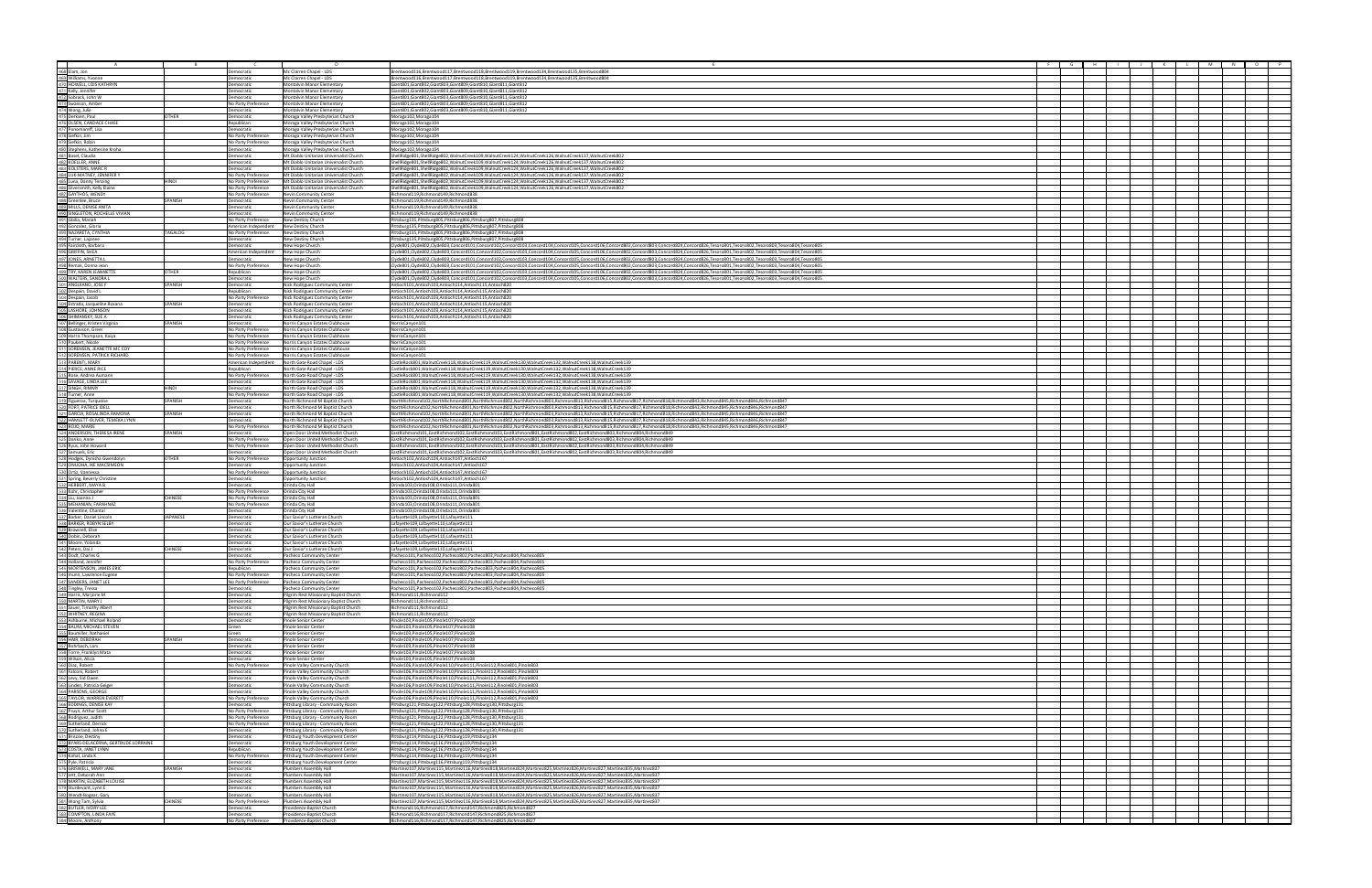|                                                                                                                                                                                                                                                      |                |                                            | n.                                                                     |                                                                                                                                                                                                                                                                                                                                                                                                                                                                  |  |  |  |  |
|------------------------------------------------------------------------------------------------------------------------------------------------------------------------------------------------------------------------------------------------------|----------------|--------------------------------------------|------------------------------------------------------------------------|------------------------------------------------------------------------------------------------------------------------------------------------------------------------------------------------------------------------------------------------------------------------------------------------------------------------------------------------------------------------------------------------------------------------------------------------------------------|--|--|--|--|
|                                                                                                                                                                                                                                                      |                | Democratic                                 | Mc Clarren Chapel - LDS                                                | Brentwood116,Brentwood117,Brentwood118,Brentwood119,Brentwood134,Brentwood135,Brentwood804                                                                                                                                                                                                                                                                                                                                                                       |  |  |  |  |
| Asses Elam, Jon<br>463 Elam, Jon<br>463 Williams, Yvonne<br>471 Kelly, Jennifer<br>471 Kelly, Jennifer<br>471 Kelly, Jennifer<br>472 Sovards, John W<br>472 Sovards, John W<br>472 Sovards, Dan Ber<br>472 Orsetsen, Paul<br>476 Orsetsen, Paul<br>4 |                | Democratic                                 | Mc Clarren Chapel - LDS                                                | Brentwood116,Brentwood117,Brentwood118,Brentwood119,Brentwood134,Brentwood135,Brentwood804                                                                                                                                                                                                                                                                                                                                                                       |  |  |  |  |
|                                                                                                                                                                                                                                                      |                | Democratic                                 | Montalvin Manor Elementary                                             | Giant801,Giant802,Giant803,Giant809,Giant810,Giant811,Giant812                                                                                                                                                                                                                                                                                                                                                                                                   |  |  |  |  |
|                                                                                                                                                                                                                                                      |                | Democratic                                 | Montalvin Manor Elementary                                             | Giant801, Giant802, Giant803, Giant809, Giant810, Giant811, Giant812                                                                                                                                                                                                                                                                                                                                                                                             |  |  |  |  |
|                                                                                                                                                                                                                                                      |                | <b>Democratic</b>                          | <b>Montalvin Manor Elementary</b>                                      | Giant801.Giant802.Giant803.Giant809.Giant810.Giant811.Giant812                                                                                                                                                                                                                                                                                                                                                                                                   |  |  |  |  |
|                                                                                                                                                                                                                                                      |                | No Party Preference                        | Montalvin Manor Elementary                                             | Giant801, Giant802, Giant803, Giant809, Giant810, Giant811, Giant812                                                                                                                                                                                                                                                                                                                                                                                             |  |  |  |  |
|                                                                                                                                                                                                                                                      |                | <b>Democratic</b>                          | Montalvin Manor Elementary                                             | Giant801, Giant802, Giant803, Giant809, Giant810, Giant811, Giant812                                                                                                                                                                                                                                                                                                                                                                                             |  |  |  |  |
|                                                                                                                                                                                                                                                      | OTHER          | emocratic                                  | Moraga Valley Presbyterian Church                                      | Moraga102, Moraga104                                                                                                                                                                                                                                                                                                                                                                                                                                             |  |  |  |  |
|                                                                                                                                                                                                                                                      |                | Republican                                 | Moraga Valley Presbyterian Church                                      | Moraga102, Moraga104                                                                                                                                                                                                                                                                                                                                                                                                                                             |  |  |  |  |
|                                                                                                                                                                                                                                                      |                | <b>Democratic</b><br>No Party Preference   | Moraga Valley Presbyterian Church<br>Moraga Valley Presbyterian Church | Moraga102, Moraga104                                                                                                                                                                                                                                                                                                                                                                                                                                             |  |  |  |  |
|                                                                                                                                                                                                                                                      |                | No Party Preference                        | Moraga Valley Presbyterian Church                                      | Moraga102, Moraga104<br>Moraga102, Moraga104                                                                                                                                                                                                                                                                                                                                                                                                                     |  |  |  |  |
|                                                                                                                                                                                                                                                      |                | Democratic                                 | Moraga Valley Presbyterian Church                                      | Moraga102, Moraga104                                                                                                                                                                                                                                                                                                                                                                                                                                             |  |  |  |  |
|                                                                                                                                                                                                                                                      |                | Democratic                                 | Mt Diablo Unitarian Universalist Church                                | ShellRidge801,ShellRidge802,WalnutCreek109,WalnutCreek124,WalnutCreek126,WalnutCreek137,WalnutCreek802                                                                                                                                                                                                                                                                                                                                                           |  |  |  |  |
|                                                                                                                                                                                                                                                      |                | Democratic                                 | Mt Diablo Unitarian Universalist Church                                | ShellRidge801,ShellRidge802,WalnutCreek109,WalnutCreek124,WalnutCreek126,WalnutCreek137,WalnutCreek802                                                                                                                                                                                                                                                                                                                                                           |  |  |  |  |
|                                                                                                                                                                                                                                                      |                | Democratic                                 | Mt Diablo Unitarian Universalist Church                                | ShellRidge801,ShellRidge802,WalnutCreek109,WalnutCreek124,WalnutCreek126,WalnutCreek137,WalnutCreek802                                                                                                                                                                                                                                                                                                                                                           |  |  |  |  |
|                                                                                                                                                                                                                                                      |                | No Party Preference                        | Mt Diablo Unitarian Universalist Church                                | ShellRidge801,ShellRidge802,WalnutCreek109,WalnutCreek124,WalnutCreek126,WalnutCreek137,WalnutCreek802                                                                                                                                                                                                                                                                                                                                                           |  |  |  |  |
|                                                                                                                                                                                                                                                      | HINDI          | No Party Preference                        | Mt Diablo Unitarian Universalist Church                                | ShellRidge801,ShellRidge802,WalnutCreek109,WalnutCreek124,WalnutCreek126,WalnutCreek137,WalnutCreek802                                                                                                                                                                                                                                                                                                                                                           |  |  |  |  |
|                                                                                                                                                                                                                                                      |                | No Party Preference                        | Mt Diablo Unitarian Universalist Church                                | ShellRidge801,ShellRidge802,WalnutCreek109,WalnutCreek124,WalnutCreek126,WalnutCreek137,WalnutCreek802                                                                                                                                                                                                                                                                                                                                                           |  |  |  |  |
|                                                                                                                                                                                                                                                      | SPANISH        | No Party Preference                        | Nevin Community Center                                                 | Richmond119, Richmond149, Richmond838<br>Richmond119, Richmond149, Richmond838                                                                                                                                                                                                                                                                                                                                                                                   |  |  |  |  |
|                                                                                                                                                                                                                                                      |                | Democratic<br>Democratic                   | Nevin Community Center<br>Nevin Community Center                       | Richmond119.Richmond149.Richmond838                                                                                                                                                                                                                                                                                                                                                                                                                              |  |  |  |  |
|                                                                                                                                                                                                                                                      |                | Democratic                                 | <b>Nevin Community Center</b>                                          | Richmond119, Richmond149, Richmond838                                                                                                                                                                                                                                                                                                                                                                                                                            |  |  |  |  |
|                                                                                                                                                                                                                                                      |                | No Party Preference                        | New Destiny Church                                                     | Pittsburg135,Pittsburg805,Pittsburg806,Pittsburg807,Pittsburg808                                                                                                                                                                                                                                                                                                                                                                                                 |  |  |  |  |
|                                                                                                                                                                                                                                                      |                | American Independent                       | New Destiny Church                                                     | Pittsburg135,Pittsburg805,Pittsburg806,Pittsburg807,Pittsburg808                                                                                                                                                                                                                                                                                                                                                                                                 |  |  |  |  |
|                                                                                                                                                                                                                                                      | TAGALOG        | No Party Preference                        | New Destiny Church                                                     | Pittsburg135, Pittsburg805, Pittsburg806, Pittsburg807, Pittsburg808                                                                                                                                                                                                                                                                                                                                                                                             |  |  |  |  |
|                                                                                                                                                                                                                                                      |                | Democratic                                 | New Destiny Church                                                     | Pittsburg135, Pittsburg805, Pittsburg806, Pittsburg807, Pittsburg808                                                                                                                                                                                                                                                                                                                                                                                             |  |  |  |  |
|                                                                                                                                                                                                                                                      |                | emocratic                                  | New Hope Church                                                        | Clyde801,Clyde802,Clyde803,Concord101,Concord102,Concord103,Concord104,Concord105,Concord106,Concord802,Concord803,Concord824,Concord824,Concord825,Tesoro801,Tesoro802,Tesoro803,Tesoro804,Tesoro804,Tesoro804,Tesoro804,Teso                                                                                                                                                                                                                                   |  |  |  |  |
|                                                                                                                                                                                                                                                      |                | American Independent<br>Democratic         | New Hope Church<br>New Hope Church                                     | Clyde801,Clyde802,Clyde803,Concord101,Concord102,Concord103,Concord104,Concord105,Concord106,Concord802,Concord803,Concord824,Concord824,Concord82,Tesoro801,Tesoro802,Tesoro803,Tesoro804,Tesoro804,Tesoro804,Tesoro804,Tesor<br>Elvde801.Clvde802.Clvde803.Concord101.Concord102.Concord103.Concord104.Concord105.Concord106.Concord802.Concord803.Concord824.Concord826.Tesoro801.Tesoro802.Tesoro803.Tesoro804.Tesoro804.Tesoro804.Tesoro804.Tesoro804.Tesor |  |  |  |  |
|                                                                                                                                                                                                                                                      |                | No Party Preference                        |                                                                        |                                                                                                                                                                                                                                                                                                                                                                                                                                                                  |  |  |  |  |
|                                                                                                                                                                                                                                                      | <b>THER</b>    | Republican                                 | New Hope Church<br>New Hope Church                                     | Clyde801,Clyde802,Clyde803,Concord101,Concord102,Concord103,Concord104,Concord105,Concord106,Concord802,Concord803,Concord804,Concord824,Concord824,Concord826,Tesoro802,Tesoro802,Tesoro803,Tesoro804,Tesoro805,Tesoro805,Tes<br>Clyde801,Clyde802,Clyde803,Concord101,Concord102,Concord103,Concord104,Concord105,Concord106,Concord802,Concord803,Concord824,Concord824,Concord825,Tesoro801,Tesoro802,Tesoro803,Tesoro804,Tesoro804,Tesoro804,Tesoro804,Teso |  |  |  |  |
|                                                                                                                                                                                                                                                      |                | Democratic                                 | New Hope Church                                                        | Clyde801,Clyde802,Clyde803,Concord101,Concord102,Concord103,Concord104,Concord105,Concord106,Concord802,Concord803,Concord824,Concord824,Concord825,Tesoro801,Tesoro802,Tesoro803,Tesoro804,Tesoro804,Tesoro804,Tesoro804,Teso                                                                                                                                                                                                                                   |  |  |  |  |
|                                                                                                                                                                                                                                                      | SPANISH        | Democratic                                 | Nick Rodriguez Community Center                                        | Antioch101.Antioch103.Antioch114.Antioch115.Antioch820                                                                                                                                                                                                                                                                                                                                                                                                           |  |  |  |  |
|                                                                                                                                                                                                                                                      |                | Republican                                 | Nick Rodriguez Community Center                                        | Antioch101,Antioch103,Antioch114,Antioch115,Antioch820                                                                                                                                                                                                                                                                                                                                                                                                           |  |  |  |  |
|                                                                                                                                                                                                                                                      |                | No Party Preference                        | Nick Rodriguez Community Center                                        | Antioch101.Antioch103.Antioch114.Antioch115.Antioch820                                                                                                                                                                                                                                                                                                                                                                                                           |  |  |  |  |
|                                                                                                                                                                                                                                                      | SPANISH        | Democratic                                 | Nick Rodriguez Community Center                                        | Antioch101.Antioch103.Antioch114.Antioch115.Antioch820                                                                                                                                                                                                                                                                                                                                                                                                           |  |  |  |  |
|                                                                                                                                                                                                                                                      |                | Democratic                                 | Nick Rodriguez Community Center                                        | Antioch101.Antioch103.Antioch114.Antioch115.Antioch820<br>Antioch101,Antioch103,Antioch114,Antioch115,Antioch820                                                                                                                                                                                                                                                                                                                                                 |  |  |  |  |
|                                                                                                                                                                                                                                                      | SPANISH        | Democratic<br>Democratic                   | Nick Rodriguez Community Center<br>Norris Canyon Estates Clubhouse     | NorrisCanyon101                                                                                                                                                                                                                                                                                                                                                                                                                                                  |  |  |  |  |
|                                                                                                                                                                                                                                                      |                | No Party Preference                        | Norris Canyon Estates Clubhouse                                        | NorrisCanyon101                                                                                                                                                                                                                                                                                                                                                                                                                                                  |  |  |  |  |
|                                                                                                                                                                                                                                                      |                | No Party Preference                        | Norris Canyon Estates Clubhouse                                        | NorrisCanyon10:                                                                                                                                                                                                                                                                                                                                                                                                                                                  |  |  |  |  |
|                                                                                                                                                                                                                                                      |                | No Party Preference                        | Norris Canyon Estates Clubhouse                                        | NorrisCanyon10                                                                                                                                                                                                                                                                                                                                                                                                                                                   |  |  |  |  |
|                                                                                                                                                                                                                                                      |                | No Party Preference                        | Norris Canyon Estates Clubhouse                                        | NorrisCanyon101                                                                                                                                                                                                                                                                                                                                                                                                                                                  |  |  |  |  |
|                                                                                                                                                                                                                                                      |                | No Party Preference                        | Norris Canyon Estates Clubhouse                                        | NorrisCanyon101                                                                                                                                                                                                                                                                                                                                                                                                                                                  |  |  |  |  |
|                                                                                                                                                                                                                                                      |                | American Independent                       | North Gate Road Chapel - LDS                                           | CastleRock801,WalnutCreek118,WalnutCreek119,WalnutCreek130,WalnutCreek132,WalnutCreek138,WalnutCreek139<br>CastleRock801 WalnutCreek118 WalnutCreek119 WalnutCreek130 WalnutCreek132 WalnutCreek138 WalnutCreek139                                                                                                                                                                                                                                               |  |  |  |  |
|                                                                                                                                                                                                                                                      |                | Republican                                 | North Gate Road Chapel - LDS                                           |                                                                                                                                                                                                                                                                                                                                                                                                                                                                  |  |  |  |  |
|                                                                                                                                                                                                                                                      |                | No Party Preference<br>Democratic          | North Gate Road Chapel - LDS<br>North Gate Road Chapel - LDS           | CastleRock801,WalnutCreek118,WalnutCreek119,WalnutCreek130,WalnutCreek132,WalnutCreek138,WalnutCreek139<br>ICastleRock801.WalnutCreek118.WalnutCreek119.WalnutCreek130.WalnutCreek132.WalnutCreek138.WalnutCreek139                                                                                                                                                                                                                                              |  |  |  |  |
|                                                                                                                                                                                                                                                      | <b>HINDI</b>   | Democratic                                 | North Gate Road Chapel - LDS                                           | CastleRock801,WalnutCreek118,WalnutCreek119,WalnutCreek130,WalnutCreek132,WalnutCreek138,WalnutCreek139                                                                                                                                                                                                                                                                                                                                                          |  |  |  |  |
|                                                                                                                                                                                                                                                      |                | No Party Preference                        | North Gate Road Chapel - LDS                                           | CastleRock801,WalnutCreek118,WalnutCreek119,WalnutCreek130,WalnutCreek132,WalnutCreek138,WalnutCreek139                                                                                                                                                                                                                                                                                                                                                          |  |  |  |  |
|                                                                                                                                                                                                                                                      | SPANISH        | Democratic                                 | North Richmond M Baptist Church                                        | NorthRichmond102,NorthRichmond801,NorthRichmond802,NorthRichmond803,Richmond813,Richmond815,Richmond817,Richmond818,Richmond843,Richmond843,Richmond845,Richmond846,Richmond846,Richmond846,Richmond846,Richmond846,Richmond84                                                                                                                                                                                                                                   |  |  |  |  |
|                                                                                                                                                                                                                                                      |                | Democratic                                 | North Richmond M Baptist Church                                        | NorthRichmond102,NorthRichmond801,NorthRichmond802,NorthRichmond802,Richmond813,Richmond815,Richmond817,Richmond817,Richmond818,Richmond843,Richmond845,Richmond846,Richmond846,Richmond846,Richmond846,Richmond846,Richmond84                                                                                                                                                                                                                                   |  |  |  |  |
|                                                                                                                                                                                                                                                      | SPANISH        | Democratic                                 | North Richmond M Baptist Church                                        | NorthRichmond102,NorthRichmond801,NorthRichmond802,NorthRichmond803,Richmond813,Richmond815,Richmond817,Richmond817,Richmond818,Richmond818,Richmond818,Richmond843,Richmond845,Richmond845,Richmond845,Richmond847                                                                                                                                                                                                                                              |  |  |  |  |
|                                                                                                                                                                                                                                                      |                | <b>Democratic</b>                          | North Richmond M Baptist Church                                        | NorthRichmond102.NorthRichmond801.NorthRichmond802.NorthRichmond803.Richmond813.Richmond815.Richmond817.Richmond818.Richmond843.Richmond843.Richmond843.Richmond845.Richmond846.Richmond846.Richmond846.Richmond847                                                                                                                                                                                                                                              |  |  |  |  |
|                                                                                                                                                                                                                                                      |                | No Party Preference                        | North Richmond M Baptist Church                                        | NorthRichmond102,NorthRichmond801,NorthRichmond802,NorthRichmond803,Richmond813,Richmond815,Richmond817,Richmond817,Richmond843,Richmond843,Richmond845,Richmond845,Richmond847,                                                                                                                                                                                                                                                                                 |  |  |  |  |
|                                                                                                                                                                                                                                                      | SPANISH        | Democratic                                 | Open Door United Methodist Church                                      | EastRichmond101,EastRichmond102,EastRichmond103,EastRichmond801,EastRichmond802,EastRichmond803,Richmond804,Richmond849                                                                                                                                                                                                                                                                                                                                          |  |  |  |  |
|                                                                                                                                                                                                                                                      |                | No Party Preference                        | Open Door United Methodist Church                                      | EastRichmond101,EastRichmond102,EastRichmond103,EastRichmond801,EastRichmond802,EastRichmond803,Richmond804,Richmond849                                                                                                                                                                                                                                                                                                                                          |  |  |  |  |
|                                                                                                                                                                                                                                                      |                | No Party Preference                        | Open Door United Methodist Church                                      | EastRichmond101,EastRichmond102,EastRichmond103,EastRichmond801,EastRichmond802,EastRichmond803,Richmond804,Richmond849<br>EastRichmond101,EastRichmond102,EastRichmond103,EastRichmond801,EastRichmond802,EastRichmond803,Richmond804,Richmond849                                                                                                                                                                                                               |  |  |  |  |
|                                                                                                                                                                                                                                                      | <b>OTHER</b>   | Democratic<br>No Party Preference          | Open Door United Methodist Church<br>Opportunity Junction              | Antioch102.Antioch104.Antioch147.Antioch167                                                                                                                                                                                                                                                                                                                                                                                                                      |  |  |  |  |
|                                                                                                                                                                                                                                                      |                | Democratic                                 | Opportunity Junction                                                   | Antioch102.Antioch104.Antioch147.Antioch167                                                                                                                                                                                                                                                                                                                                                                                                                      |  |  |  |  |
|                                                                                                                                                                                                                                                      |                | No Party Preference                        | Opportunity Junction                                                   | Antioch102.Antioch104.Antioch147.Antioch167                                                                                                                                                                                                                                                                                                                                                                                                                      |  |  |  |  |
|                                                                                                                                                                                                                                                      |                | Democratic                                 | Opportunity Junction                                                   | Antioch102,Antioch104,Antioch147,Antioch167                                                                                                                                                                                                                                                                                                                                                                                                                      |  |  |  |  |
|                                                                                                                                                                                                                                                      |                | Democratic                                 | Orinda City Hall                                                       | Orinda103,Orinda108,Orinda111,Orinda801                                                                                                                                                                                                                                                                                                                                                                                                                          |  |  |  |  |
|                                                                                                                                                                                                                                                      |                | No Party Preference                        | Orinda City Hall                                                       | Orinda103.Orinda108.Orinda111.Orinda801                                                                                                                                                                                                                                                                                                                                                                                                                          |  |  |  |  |
|                                                                                                                                                                                                                                                      | <b>CHINESE</b> | No Party Preference                        | Orinda City Hall                                                       | Orinda103,Orinda108,Orinda111,Orinda801                                                                                                                                                                                                                                                                                                                                                                                                                          |  |  |  |  |
|                                                                                                                                                                                                                                                      |                | No Party Preference                        | Orinda City Hall                                                       | Orinda103,Orinda108,Orinda111,Orinda801                                                                                                                                                                                                                                                                                                                                                                                                                          |  |  |  |  |
|                                                                                                                                                                                                                                                      | JAPANESE       | Democratic<br>Democratic                   | Orinda City Hall<br>Our Savior's Lutheran Church                       | Orinda103,Orinda108,Orinda111,Orinda801<br>Lafayette109,Lafayette110,Lafayette111                                                                                                                                                                                                                                                                                                                                                                                |  |  |  |  |
|                                                                                                                                                                                                                                                      |                | emocratic                                  | Our Savior's Lutheran Church                                           | Lafayette109,Lafayette110,Lafayette111                                                                                                                                                                                                                                                                                                                                                                                                                           |  |  |  |  |
|                                                                                                                                                                                                                                                      |                | emocratic                                  | Our Savior's Lutheran Church                                           | .afayette109,Lafayette110,Lafayette111                                                                                                                                                                                                                                                                                                                                                                                                                           |  |  |  |  |
|                                                                                                                                                                                                                                                      |                | Democratic                                 | Our Savior's Lutheran Church                                           | Lafayette109,Lafayette110,Lafayette111                                                                                                                                                                                                                                                                                                                                                                                                                           |  |  |  |  |
|                                                                                                                                                                                                                                                      |                | Democratic                                 | Our Savior's Lutheran Church                                           | Lafavette109.Lafavette110.Lafavette111                                                                                                                                                                                                                                                                                                                                                                                                                           |  |  |  |  |
|                                                                                                                                                                                                                                                      | <b>CHINESE</b> | Democratic                                 | Our Savior's Lutheran Church                                           | Lafayette109,Lafayette110,Lafayette111                                                                                                                                                                                                                                                                                                                                                                                                                           |  |  |  |  |
|                                                                                                                                                                                                                                                      |                | Democratic                                 | Pacheco Community Center                                               | Pacheco101,Pacheco102,Pacheco802,Pacheco803,Pacheco804,Pacheco805                                                                                                                                                                                                                                                                                                                                                                                                |  |  |  |  |
|                                                                                                                                                                                                                                                      |                | No Party Preference                        | Pacheco Community Center                                               | Pacheco101,Pacheco102,Pacheco802,Pacheco803,Pacheco804,Pacheco805                                                                                                                                                                                                                                                                                                                                                                                                |  |  |  |  |
|                                                                                                                                                                                                                                                      |                | Republican                                 | Pacheco Community Center                                               | Pacheco101,Pacheco102,Pacheco802,Pacheco803,Pacheco804,Pacheco805                                                                                                                                                                                                                                                                                                                                                                                                |  |  |  |  |
|                                                                                                                                                                                                                                                      |                | No Party Preference<br>No Party Preference | Pacheco Community Center                                               | Pacheco101,Pacheco102,Pacheco802,Pacheco803,Pacheco804,Pacheco805                                                                                                                                                                                                                                                                                                                                                                                                |  |  |  |  |
|                                                                                                                                                                                                                                                      |                | Democratic                                 | Pacheco Community Center<br>Pacheco Community Center                   | Pacheco101,Pacheco102,Pacheco802,Pacheco803,Pacheco804,Pacheco805<br>Pacheco101,Pacheco102,Pacheco802,Pacheco803,Pacheco804,Pacheco805                                                                                                                                                                                                                                                                                                                           |  |  |  |  |
|                                                                                                                                                                                                                                                      |                | <b>Democratic</b>                          | Pilgrim Rest Missionary Baptist Church                                 | Richmond111, Richmond112                                                                                                                                                                                                                                                                                                                                                                                                                                         |  |  |  |  |
|                                                                                                                                                                                                                                                      |                | Democratic                                 | Pilgrim Rest Missionary Baptist Church                                 | Richmond111, Richmond112                                                                                                                                                                                                                                                                                                                                                                                                                                         |  |  |  |  |
|                                                                                                                                                                                                                                                      |                | mocratic                                   | Pilgrim Rest Missionary Baptist Church                                 | Richmond111, Richmond112                                                                                                                                                                                                                                                                                                                                                                                                                                         |  |  |  |  |
|                                                                                                                                                                                                                                                      |                | Democratic                                 | Pilgrim Rest Missionary Baptist Church                                 | Richmond111, Richmond112                                                                                                                                                                                                                                                                                                                                                                                                                                         |  |  |  |  |
|                                                                                                                                                                                                                                                      |                | emocratic                                  | Pinole Senior Center                                                   | Pinole103, Pinole105, Pinole107, Pinole108                                                                                                                                                                                                                                                                                                                                                                                                                       |  |  |  |  |
|                                                                                                                                                                                                                                                      |                | Green<br>Green                             | Pinole Senior Center<br><b>Pinole Senior Center</b>                    | Pinole103.Pinole105.Pinole107.Pinole108<br>Pinole103, Pinole105, Pinole107, Pinole108                                                                                                                                                                                                                                                                                                                                                                            |  |  |  |  |
|                                                                                                                                                                                                                                                      | SPANISH        | Democratic                                 | Pinole Senior Center                                                   | Pinole103, Pinole105, Pinole107, Pinole108                                                                                                                                                                                                                                                                                                                                                                                                                       |  |  |  |  |
|                                                                                                                                                                                                                                                      |                | Democratic                                 | Pinole Senior Center                                                   | Pinole103, Pinole105, Pinole107, Pinole108                                                                                                                                                                                                                                                                                                                                                                                                                       |  |  |  |  |
|                                                                                                                                                                                                                                                      |                | Democratic                                 | Pinole Senior Center                                                   | Pinole103, Pinole105, Pinole107, Pinole108                                                                                                                                                                                                                                                                                                                                                                                                                       |  |  |  |  |
|                                                                                                                                                                                                                                                      |                | Democratic                                 | Pinole Senior Center                                                   | Pinole103, Pinole105, Pinole107, Pinole108                                                                                                                                                                                                                                                                                                                                                                                                                       |  |  |  |  |
|                                                                                                                                                                                                                                                      |                | No Party Preference                        | Pinole Valley Community Church                                         | Pinole106,Pinole109,Pinole110,Pinole111,Pinole112,Pinole801,Pinole803                                                                                                                                                                                                                                                                                                                                                                                            |  |  |  |  |
|                                                                                                                                                                                                                                                      |                | Democratic                                 | Pinole Valley Community Church                                         | Pinole106.Pinole109.Pinole110.Pinole111.Pinole112.Pinole801.Pinole803                                                                                                                                                                                                                                                                                                                                                                                            |  |  |  |  |
|                                                                                                                                                                                                                                                      |                | emocratic                                  | Pinole Valley Community Church                                         | Pinole106,Pinole109,Pinole110,Pinole111,Pinole112,Pinole801,Pinole803                                                                                                                                                                                                                                                                                                                                                                                            |  |  |  |  |
|                                                                                                                                                                                                                                                      |                | emocratic                                  | Pinole Valley Community Church                                         | Pinole106,Pinole109,Pinole110,Pinole111,Pinole112,Pinole801,Pinole803                                                                                                                                                                                                                                                                                                                                                                                            |  |  |  |  |
|                                                                                                                                                                                                                                                      |                | mocratic<br>No Party Preference            | Pinole Valley Community Church<br>Pinole Valley Community Church       | Pinole106, Pinole109, Pinole110, Pinole111, Pinole112, Pinole801, Pinole803<br>Pinole106,Pinole109,Pinole110,Pinole111,Pinole112,Pinole801,Pinole803                                                                                                                                                                                                                                                                                                             |  |  |  |  |
|                                                                                                                                                                                                                                                      |                | Democratic                                 | Pittsburg Library - Community Room                                     | Pittsburg121, Pittsburg122, Pittsburg128, Pittsburg130, Pittsburg131                                                                                                                                                                                                                                                                                                                                                                                             |  |  |  |  |
|                                                                                                                                                                                                                                                      |                | No Party Preference                        | Pittsburg Library - Community Room                                     | Pittsburg121,Pittsburg122,Pittsburg128,Pittsburg130,Pittsburg131                                                                                                                                                                                                                                                                                                                                                                                                 |  |  |  |  |
|                                                                                                                                                                                                                                                      |                | No Party Preference                        | Pittsburg Library - Community Room                                     | Pittsburg121,Pittsburg122,Pittsburg128,Pittsburg130,Pittsburg131                                                                                                                                                                                                                                                                                                                                                                                                 |  |  |  |  |
|                                                                                                                                                                                                                                                      |                | No Party Preference                        | Pittsburg Library - Community Room                                     | Pittsburg121,Pittsburg122,Pittsburg128,Pittsburg130,Pittsburg131                                                                                                                                                                                                                                                                                                                                                                                                 |  |  |  |  |
|                                                                                                                                                                                                                                                      |                | Democratic                                 | Pittsburg Library - Community Room                                     | Pittsburg121,Pittsburg122,Pittsburg128,Pittsburg130,Pittsburg131                                                                                                                                                                                                                                                                                                                                                                                                 |  |  |  |  |
|                                                                                                                                                                                                                                                      |                | emocratic                                  | Pittsburg Youth Development Center                                     | Pittsburg114,Pittsburg116,Pittsburg119,Pittsburg134                                                                                                                                                                                                                                                                                                                                                                                                              |  |  |  |  |
|                                                                                                                                                                                                                                                      |                | emocratic                                  | Pittsburg Youth Development Center                                     | Pittsburg114, Pittsburg116, Pittsburg119, Pittsburg134                                                                                                                                                                                                                                                                                                                                                                                                           |  |  |  |  |
|                                                                                                                                                                                                                                                      |                | Republican                                 | Pittsburg Youth Development Center                                     | Pittsburg114,Pittsburg116,Pittsburg119,Pittsburg134                                                                                                                                                                                                                                                                                                                                                                                                              |  |  |  |  |
|                                                                                                                                                                                                                                                      |                | No Party Preference                        | Pittsburg Youth Development Center                                     | Pittsburg114, Pittsburg116, Pittsburg119, Pittsburg134                                                                                                                                                                                                                                                                                                                                                                                                           |  |  |  |  |
|                                                                                                                                                                                                                                                      | SPANISH        | emocratic<br>emocratic                     | Pittsburg Youth Development Center<br>Plumbers Assembly Hall           | Pittsburg114, Pittsburg116, Pittsburg119, Pittsburg134<br>Martinez107, Martinez115, Martinez116, Martinez818, Martinez824, Martinez825, Martinez826, Martinez827, Martinez835, Martinez837                                                                                                                                                                                                                                                                       |  |  |  |  |
|                                                                                                                                                                                                                                                      |                | Democratic                                 | Plumbers Assembly Hall                                                 | Martinez107,Martinez115,Martinez116,Martinez818,Martinez824,Martinez825,Martinez826,Martinez827,Martinez835,Martinez837                                                                                                                                                                                                                                                                                                                                          |  |  |  |  |
|                                                                                                                                                                                                                                                      |                | emocratic                                  | <b>Plumbers Assembly Hall</b>                                          | Martinez107, Martinez115, Martinez116, Martinez818, Martinez824, Martinez825, Martinez826, Martinez827, Martinez835, Martinez837                                                                                                                                                                                                                                                                                                                                 |  |  |  |  |
|                                                                                                                                                                                                                                                      |                | Democratic                                 | Plumbers Assembly Hall                                                 | Martinez107, Martinez115, Martinez116, Martinez818, Martinez824, Martinez825, Martinez826, Martinez827, Martinez835, Martinez837                                                                                                                                                                                                                                                                                                                                 |  |  |  |  |
|                                                                                                                                                                                                                                                      |                | Democratic                                 | Plumbers Assembly Hall                                                 | Martinez107, Martinez115, Martinez116, Martinez818, Martinez824, Martinez825, Martinez826, Martinez827, Martinez835, Martinez837                                                                                                                                                                                                                                                                                                                                 |  |  |  |  |
|                                                                                                                                                                                                                                                      | CHINESE        | No Party Preference                        | Plumbers Assembly Hall                                                 | Martinez107, Martinez115, Martinez116, Martinez818, Martinez824, Martinez825, Martinez826, Martinez827, Martinez835, Martinez837                                                                                                                                                                                                                                                                                                                                 |  |  |  |  |
| $\frac{542}{542}$ Peters, Dail<br>Sat) Doot, Charles G<br>Sat) Moot First ON, Charles G<br>Sat) Moot First ON, Lamifor First Only a Montex Experience<br>Satel Himster, Marginetic Himster Charles Theory (1987)<br>Satisfy Himster, Margine         |                | Democratic                                 | Providence Baptist Church                                              | Richmond116,Richmond117,Richmond147,Richmond825,Richmond827                                                                                                                                                                                                                                                                                                                                                                                                      |  |  |  |  |
|                                                                                                                                                                                                                                                      |                | Democratic                                 | Providence Baptist Church                                              | Richmond116,Richmond117,Richmond147,Richmond825,Richmond827                                                                                                                                                                                                                                                                                                                                                                                                      |  |  |  |  |
|                                                                                                                                                                                                                                                      |                | No Party Preference                        | Providence Baptist Church                                              | Richmond116, Richmond117, Richmond147, Richmond825, Richmond827                                                                                                                                                                                                                                                                                                                                                                                                  |  |  |  |  |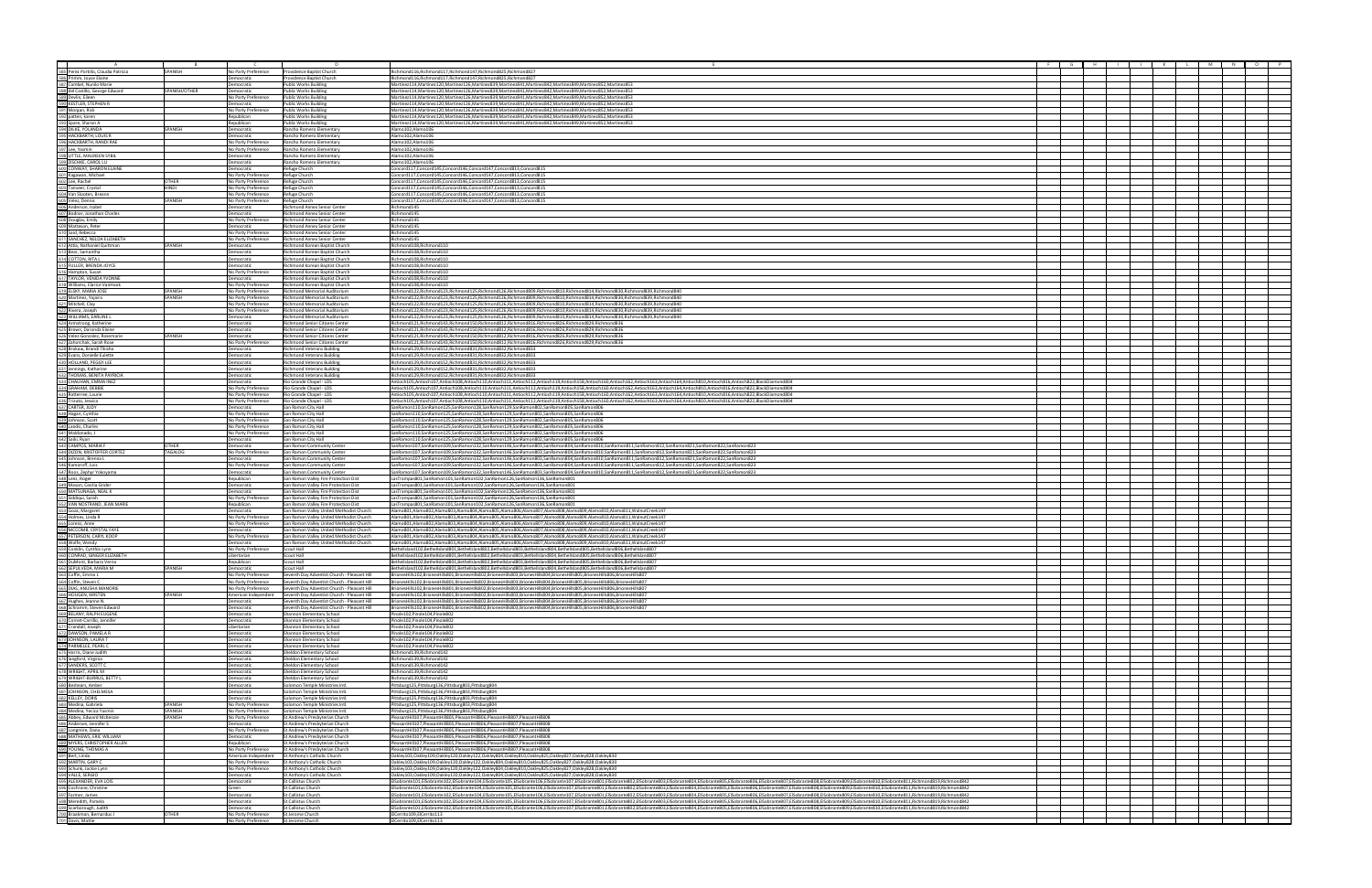| A<br>585 Perez Portillo, Claudia Patricia<br>586 Primm, Joyce Elaine                                                                                                                                                                                      | SPANISH                   | No Party Preference                        | Providence Baptist Church                                                                                         | Richmond116, Richmond117, Richmond147, Richmond825, Richmond827                                                                                                                                                                                                                                                                                                                                                                                                  |  |  |  |  |
|-----------------------------------------------------------------------------------------------------------------------------------------------------------------------------------------------------------------------------------------------------------|---------------------------|--------------------------------------------|-------------------------------------------------------------------------------------------------------------------|------------------------------------------------------------------------------------------------------------------------------------------------------------------------------------------------------------------------------------------------------------------------------------------------------------------------------------------------------------------------------------------------------------------------------------------------------------------|--|--|--|--|
|                                                                                                                                                                                                                                                           |                           | <b>Democratic</b>                          | Providence Baptist Church                                                                                         | Richmond116,Richmond117,Richmond147,Richmond825,Richmond827                                                                                                                                                                                                                                                                                                                                                                                                      |  |  |  |  |
|                                                                                                                                                                                                                                                           | SPANISH/OTHER             | <b>Democratic</b><br><b>Democratic</b>     | <b>Public Works Building</b><br>Public Works Buildin                                                              | Martinez114, Martinez120, Martinez126, Martinez839, Martinez841, Martinez842, Martinez849, Martinez852, Martinez853<br>Martinez114, Martinez120, Martinez126, Martinez839, Martinez841, Martinez842, Martinez849, Martinez852, Martinez853                                                                                                                                                                                                                       |  |  |  |  |
| 2021 Free: Voting Blag<br>380 Primm, Joyce Elaine<br>380 Primm, Joyce Elaine<br>380 del Castillo, George Edward<br>380 del Castillo, George Edward<br>390 KESTLER, STEPHEN R<br>391 Morgan, Rick<br>392 Joane, Sanch R. (VOLANDA<br>394 DIKE,             |                           | No Party Preference                        | Public Works Buildin                                                                                              | Martinez114.Martinez120.Martinez126.Martinez839.Martinez841.Martinez842.Martinez849.Martinez852.Martinez853                                                                                                                                                                                                                                                                                                                                                      |  |  |  |  |
|                                                                                                                                                                                                                                                           |                           | Democratic                                 | <b>Public Works Building</b>                                                                                      | Martinez114, Martinez120, Martinez126, Martinez839, Martinez841, Martinez842, Martinez849, Martinez852, Martinez853                                                                                                                                                                                                                                                                                                                                              |  |  |  |  |
|                                                                                                                                                                                                                                                           |                           | <b>Vo Party Preference</b>                 | <b>Public Works Building</b>                                                                                      | Martinez114, Martinez120, Martinez126, Martinez839, Martinez841, Martinez842, Martinez849, Martinez852, Martinez853                                                                                                                                                                                                                                                                                                                                              |  |  |  |  |
|                                                                                                                                                                                                                                                           |                           | lepublican<br>Republican                   | Public Works Building<br><b>Public Works Building</b>                                                             | Martinez114,Martinez120,Martinez126,Martinez839,Martinez841,Martinez842,Martinez849,Martinez852,Martinez853<br>Martinez114, Martinez120, Martinez126, Martinez839, Martinez841, Martinez842, Martinez849, Martinez852, Martinez853                                                                                                                                                                                                                               |  |  |  |  |
|                                                                                                                                                                                                                                                           | <b>SPANISH</b>            | <b>Democratic</b>                          | Rancho Romero Elementar                                                                                           | Alamo102.Alamo106                                                                                                                                                                                                                                                                                                                                                                                                                                                |  |  |  |  |
|                                                                                                                                                                                                                                                           |                           | emocratic                                  | Rancho Romero Elementary                                                                                          | Alamo102.Alamo106                                                                                                                                                                                                                                                                                                                                                                                                                                                |  |  |  |  |
|                                                                                                                                                                                                                                                           |                           | No Party Preference<br>No Party Preference | I Rancho Romero Elementary<br>Rancho Romero Elementary                                                            | Alamo102.Alamo106<br>Alamo102,Alamo106                                                                                                                                                                                                                                                                                                                                                                                                                           |  |  |  |  |
|                                                                                                                                                                                                                                                           |                           | Democratic                                 | Rancho Romero Elementary                                                                                          | Alamo102.Alamo106                                                                                                                                                                                                                                                                                                                                                                                                                                                |  |  |  |  |
|                                                                                                                                                                                                                                                           |                           | Democratic                                 | Rancho Romero Elementary                                                                                          | Alamo102,Alamo106                                                                                                                                                                                                                                                                                                                                                                                                                                                |  |  |  |  |
|                                                                                                                                                                                                                                                           |                           | Democratic                                 | Refuge Church                                                                                                     | Concord117,Concord145,Concord146,Concord147,Concord813,Concord815                                                                                                                                                                                                                                                                                                                                                                                                |  |  |  |  |
|                                                                                                                                                                                                                                                           | OTHER                     | No Party Preference<br>No Party Preference | Refuge Church<br>Refuge Church                                                                                    | Concord117,Concord145,Concord146,Concord147,Concord813,Concord815<br>Concord117,Concord145,Concord146,Concord147,Concord813,Concord815                                                                                                                                                                                                                                                                                                                           |  |  |  |  |
|                                                                                                                                                                                                                                                           | IONH                      | No Party Preference                        | Refuge Church                                                                                                     | Concord117,Concord145,Concord146,Concord147,Concord813,Concord815                                                                                                                                                                                                                                                                                                                                                                                                |  |  |  |  |
|                                                                                                                                                                                                                                                           |                           | No Party Preference                        | Refuge Church                                                                                                     | Concord117,Concord145,Concord146,Concord147,Concord813,Concord815                                                                                                                                                                                                                                                                                                                                                                                                |  |  |  |  |
|                                                                                                                                                                                                                                                           | SPANISH                   | No Party Preference<br>Democratic          | Refuge Church<br>Richmond Annex Senior Center                                                                     | Concord117,Concord145,Concord146,Concord147,Concord813,Concord815<br>Richmond145                                                                                                                                                                                                                                                                                                                                                                                 |  |  |  |  |
|                                                                                                                                                                                                                                                           |                           | <b>Democratic</b>                          | Richmond Annex Senior Center                                                                                      | Richmond145                                                                                                                                                                                                                                                                                                                                                                                                                                                      |  |  |  |  |
|                                                                                                                                                                                                                                                           |                           | No Party Preference                        | Richmond Annex Senior Center                                                                                      | Richmond145                                                                                                                                                                                                                                                                                                                                                                                                                                                      |  |  |  |  |
|                                                                                                                                                                                                                                                           |                           | Democratic                                 | <b>Richmond Annex Senior Center</b>                                                                               | Richmond145                                                                                                                                                                                                                                                                                                                                                                                                                                                      |  |  |  |  |
|                                                                                                                                                                                                                                                           |                           | No Party Preference<br>No Party Preference | Richmond Annex Senior Center<br>Richmond Annex Senior Center                                                      | Richmond145<br>Richmond145                                                                                                                                                                                                                                                                                                                                                                                                                                       |  |  |  |  |
|                                                                                                                                                                                                                                                           | SPANISH                   | Democratic                                 | Richmond Korean Baptist Church                                                                                    | Richmond108, Richmond110                                                                                                                                                                                                                                                                                                                                                                                                                                         |  |  |  |  |
|                                                                                                                                                                                                                                                           |                           | Democratic                                 | Richmond Korean Baptist Church                                                                                    | Richmond108, Richmond110                                                                                                                                                                                                                                                                                                                                                                                                                                         |  |  |  |  |
| <b>600</b> Matteon, Peter<br>610 Said, Rebecca<br>611 SANCHEZ, NELDA ELIZABETH<br>612 Atta, Nathaniel Quittman<br>612 Bear, Samantha<br>614 COTTON, RITA L<br>616 Hampton, Susan<br>617 TAYLOR, VENDA VYONNE<br>617 TAYLOR, VENDA VYONNE<br>617 TAYLO     |                           | Democratic<br>Democratic                   | Richmond Korean Baptist Church<br>Richmond Korean Baptist Church                                                  | Richmond108.Richmond110<br>Richmond108, Richmond110                                                                                                                                                                                                                                                                                                                                                                                                              |  |  |  |  |
|                                                                                                                                                                                                                                                           |                           | No Party Preference                        | Richmond Korean Baptist Church                                                                                    | Richmond108, Richmond110                                                                                                                                                                                                                                                                                                                                                                                                                                         |  |  |  |  |
|                                                                                                                                                                                                                                                           |                           | Democratic                                 | Richmond Korean Baptist Church                                                                                    | Richmond108, Richmond110                                                                                                                                                                                                                                                                                                                                                                                                                                         |  |  |  |  |
|                                                                                                                                                                                                                                                           |                           | No Party Preference                        | Richmond Korean Baptist Church                                                                                    | Richmond108.Richmond110                                                                                                                                                                                                                                                                                                                                                                                                                                          |  |  |  |  |
| 618 Williams, Clarice VanHook<br>619 ELSKY, MARIA JOSE<br>620 Martinez, Yajaira<br>621 Mitchell, Clay                                                                                                                                                     | <b>SPANISH</b><br>SPANISH | No Party Preference<br>No Party Preference | Richmond Memorial Auditorium<br>Richmond Memorial Auditorium                                                      | Richmond122,Richmond123,Richmond125,Richmond126,Richmond809,Richmond810,Richmond814,Richmond830,Richmond839,Richmond840<br>Richmond122.Richmond123.Richmond125.Richmond126.Richmond809.Richmond810.Richmond814.Richmond830.Richmond839.Richmond840                                                                                                                                                                                                               |  |  |  |  |
|                                                                                                                                                                                                                                                           |                           | No Party Preference                        | Richmond Memorial Auditorium                                                                                      | Richmond122. Richmond123. Richmond125. Richmond126. Richmond809. Richmond810. Richmond814. Richmond830. Richmond839. Richmond840                                                                                                                                                                                                                                                                                                                                 |  |  |  |  |
| 622 Rivera, Joseph                                                                                                                                                                                                                                        |                           | No Party Preference                        | Richmond Memorial Auditorium                                                                                      | Richmond122, Richmond123, Richmond125, Richmond126, Richmond809, Richmond810, Richmond814, Richmond830, Richmond839, Richmond840                                                                                                                                                                                                                                                                                                                                 |  |  |  |  |
| 623 WILLIAMS, EARLINE                                                                                                                                                                                                                                     |                           | <b>Democratic</b>                          | Richmond Memorial Auditorium                                                                                      | Richmond122,Richmond123,Richmond125,Richmond126,Richmond809,Richmond810,Richmond814,Richmond830,Richmond839,Richmond840<br>Richmond121,Richmond143,Richmond150,Richmond812,Richmond816,Richmond826,Richmond829,Richmond836                                                                                                                                                                                                                                       |  |  |  |  |
|                                                                                                                                                                                                                                                           |                           | Democratic<br>Democratic                   | Richmond Senior Citizens Center<br>Richmond Senior Citizens Center                                                | Richmond121,Richmond143,Richmond150,Richmond812,Richmond816,Richmond826,Richmond829,Richmond836                                                                                                                                                                                                                                                                                                                                                                  |  |  |  |  |
| 622 Williams, EARLINE<br>622 Martistong, Katherine<br>625 Brown, Daronda Elaine<br>625 Brown, Daronda Elaine<br>622 Velee-Gonzalez, Rosenarie<br>622 Zahorchak, Sarah Rose<br>628 Brokaw, Bandl Tikisha<br>631 Jennings, Katharine<br>631 Jenn            | SPANISH                   | Democratic                                 | <b>Richmond Senior Citizens Center</b>                                                                            | Richmond121, Richmond143, Richmond150, Richmond812, Richmond816, Richmond826, Richmond829, Richmond836                                                                                                                                                                                                                                                                                                                                                           |  |  |  |  |
|                                                                                                                                                                                                                                                           |                           | No Party Preference                        | Richmond Senior Citizens Cente                                                                                    | Richmond121, Richmond143, Richmond150, Richmond812, Richmond816, Richmond826, Richmond829, Richmond836                                                                                                                                                                                                                                                                                                                                                           |  |  |  |  |
|                                                                                                                                                                                                                                                           |                           | Democratic<br><b>Democratic</b>            | <b>Richmond Veterans Building</b><br><b>Richmond Veterans Building</b>                                            | Richmond129,Richmond152,Richmond831,Richmond832,Richmond833<br>Richmond129,Richmond152,Richmond831,Richmond832,Richmond833                                                                                                                                                                                                                                                                                                                                       |  |  |  |  |
|                                                                                                                                                                                                                                                           |                           | Democratic                                 | <b>Richmond Veterans Building</b>                                                                                 | Richmond129,Richmond152,Richmond831,Richmond832,Richmond833                                                                                                                                                                                                                                                                                                                                                                                                      |  |  |  |  |
|                                                                                                                                                                                                                                                           |                           | emocratic                                  | <b>Richmond Veterans Buildir</b>                                                                                  | Richmond129.Richmond152.Richmond831.Richmond832.Richmond833                                                                                                                                                                                                                                                                                                                                                                                                      |  |  |  |  |
|                                                                                                                                                                                                                                                           |                           | Democratic                                 | <b>Richmond Veterans Build</b>                                                                                    | Richmond129,Richmond152,Richmond831,Richmond832,Richmond833                                                                                                                                                                                                                                                                                                                                                                                                      |  |  |  |  |
| 634 GRAHAM, DEBBIE                                                                                                                                                                                                                                        |                           | Democratic<br>No Party Preference          | Rio Grande Chapel - LDS<br>Rio Grande Chapel - LDS                                                                | Antioch105.Antioch107.Antioch108.Antioch110.Antioch111.Antioch112.Antioch119.Antioch158.Antioch160.Antioch162.Antioch163.Antioch164.Antioch810.Antioch816.Antioch822.BlackDiamond804<br>Antioch107.Antioch108.Antioch1108.Antioch110.Antioch111.Antioch112.Antioch119.Antioch158.Antioch160.Antioch162.Antioch163.Antioch164.Antioch810.Antioch816.Antioch822.BlackDiamond804                                                                                    |  |  |  |  |
|                                                                                                                                                                                                                                                           |                           | No Party Preference                        | Rio Grande Chapel - LDS                                                                                           | Antioch107,Antioch107,Antioch108,Antioch110,Antioch111,Antioch112,Antioch119,Antioch158,Antioch168,Antioch162,Antioch163,Antioch164,Antioch810,Antioch816,Antioch822,BlackDiamond804                                                                                                                                                                                                                                                                             |  |  |  |  |
| 635 Ratterree, Laurie<br>636 Trizuto, Jessica<br>637 CARTER, JUDY<br>638 Hagan, Cynthia<br>639 Johnson, Scott                                                                                                                                             |                           | No Party Preference                        | Rio Grande Chapel - LDS                                                                                           | Antioch105,Antioch107,Antioch108,Antioch110,Antioch111,Antioch112,Antioch119,Antioch158,Antioch160,Antioch162,Antioch163,Antioch164,Antioch810,Antioch816,Antioch822,BlackDiamond804                                                                                                                                                                                                                                                                             |  |  |  |  |
|                                                                                                                                                                                                                                                           |                           | Democratic<br>No Party Preference          | San Ramon City Hall<br>San Ramon City Hall                                                                        | SanRamon110,SanRamon125,SanRamon128,SanRamon129,SanRamon802,SanRamon805,SanRamon806<br>SanRamon110,SanRamon125,SanRamon128,SanRamon129,SanRamon802,SanRamon805,SanRamon806                                                                                                                                                                                                                                                                                       |  |  |  |  |
|                                                                                                                                                                                                                                                           |                           | No Party Preference                        | San Ramon City Hall                                                                                               | SanRamon110,SanRamon125,SanRamon128,SanRamon129,SanRamon802,SanRamon805,SanRamon806                                                                                                                                                                                                                                                                                                                                                                              |  |  |  |  |
| 640 Landis, Charles<br>641 Maldonado, J<br>642 Saiki, Ryan                                                                                                                                                                                                |                           | No Party Preference                        | San Ramon City Hall                                                                                               | SanRamon110,SanRamon125,SanRamon128,SanRamon129,SanRamon802,SanRamon805,SanRamon806                                                                                                                                                                                                                                                                                                                                                                              |  |  |  |  |
|                                                                                                                                                                                                                                                           |                           | No Party Preference                        | San Ramon City Hall                                                                                               | SanRamon110,SanRamon125,SanRamon128,SanRamon129,SanRamon802,SanRamon805,SanRamon806                                                                                                                                                                                                                                                                                                                                                                              |  |  |  |  |
| 643 CAMPOS, MARIA F                                                                                                                                                                                                                                       | OTHER                     | Democratic<br>emocratic                    | San Ramon City Hall<br>San Ramon Community Center                                                                 | SanRamon110,SanRamon125,SanRamon128,SanRamon129,SanRamon802,SanRamon805,SanRamon806<br>SanRamon107,SanRamon109,SanRamon132,SanRamon146,SanRamon803,SanRamon804,SanRamon810,SanRamon811,SanRamon812,SanRamon821,SanRamon822,SanRamon822,SanRamon822,SanRamon822,                                                                                                                                                                                                  |  |  |  |  |
|                                                                                                                                                                                                                                                           | TAGALOG                   | No Party Preference                        | San Ramon Community Center                                                                                        | SanRamon107,SanRamon109,SanRamon132,SanRamon146,SanRamon803,SanRamon804,SanRamon810,SanRamon811,SanRamon812,SanRamon821,SanRamon822,SanRamon822,SanRamon822,                                                                                                                                                                                                                                                                                                     |  |  |  |  |
|                                                                                                                                                                                                                                                           |                           | Democratic                                 | San Ramon Community Center                                                                                        | SanRamon107.SanRamon109.SanRamon132.SanRamon146.SanRamon803.SanRamon804.SanRamon810.SanRamon811.SanRamon812.SanRamon821.SanRamon822.SanRamon822.SanRamon823                                                                                                                                                                                                                                                                                                      |  |  |  |  |
| 043 CANIFOR MISTORER CORTEZ<br>644 DIZON, KRISTOFFER CORTEZ<br>646 Kamoroff, Lois<br>647 Roos, Zephyr Yokoyama                                                                                                                                            |                           | No Party Preference<br><b>Democratic</b>   | San Ramon Community Center<br>San Ramon Community Center                                                          | SanRamon107.SanRamon109.SanRamon132.SanRamon146.SanRamon803.SanRamon804.SanRamon810.SanRamon811.SanRamon812.SanRamon821.SanRamon822.SanRamon822.SanRamon822.SanRamon823<br>SanRamon107,SanRamon109,SanRamon132,SanRamon146,SanRamon803,SanRamon804,SanRamon810,SanRamon811,SanRamon812,SanRamon821,SanRamon822,SanRamon822,SanRamon823                                                                                                                           |  |  |  |  |
|                                                                                                                                                                                                                                                           |                           | Republican                                 | San Ramon Valley Fire Protection Dist                                                                             | LasTrampas801,SanRamon101,SanRamon102,SanRamon126,SanRamon136,SanRamon801                                                                                                                                                                                                                                                                                                                                                                                        |  |  |  |  |
|                                                                                                                                                                                                                                                           |                           | Democratic                                 | San Ramon Valley Fire Protection Dist                                                                             | LasTrampas801,SanRamon101,SanRamon102,SanRamon126,SanRamon136,SanRamon801                                                                                                                                                                                                                                                                                                                                                                                        |  |  |  |  |
|                                                                                                                                                                                                                                                           |                           | Democratic                                 | San Ramon Valley Fire Protection Dist                                                                             | LasTrampas801.SanRamon101.SanRamon102.SanRamon126.SanRamon136.SanRamon801                                                                                                                                                                                                                                                                                                                                                                                        |  |  |  |  |
|                                                                                                                                                                                                                                                           |                           | No Party Preference<br>Republican          | San Ramon Valley Fire Protection Dist<br>San Ramon Valley Fire Protection Dist                                    | LasTrampas801,SanRamon101,SanRamon102,SanRamon126,SanRamon136,SanRamon801<br>LasTrampas801,SanRamon101,SanRamon102,SanRamon126,SanRamon136,SanRamon801                                                                                                                                                                                                                                                                                                           |  |  |  |  |
|                                                                                                                                                                                                                                                           |                           | Democratic                                 | San Ramon Valley United Methodist Church                                                                          | Alamo801.Alamo802.Alamo803.Alamo804.Alamo805.Alamo806.Alamo807.Alamo808.Alamo809.Alamo810.Alamo811.WalnutCreek147                                                                                                                                                                                                                                                                                                                                                |  |  |  |  |
|                                                                                                                                                                                                                                                           |                           | No Party Preference                        | San Ramon Valley United Methodist Church                                                                          | Alamo801,Alamo802,Alamo803,Alamo804,Alamo805,Alamo806,Alamo807,Alamo808,Alamo809,Alamo810,Alamo811,WalnutCreek147                                                                                                                                                                                                                                                                                                                                                |  |  |  |  |
|                                                                                                                                                                                                                                                           |                           | No Party Preference                        | San Ramon Valley United Methodist Church                                                                          | Alamo801,Alamo802,Alamo803,Alamo804,Alamo805,Alamo806,Alamo807,Alamo808,Alamo809,Alamo810,Alamo811,WalnutCreek147<br>Alamo801,Alamo802,Alamo803,Alamo804,Alamo805,Alamo806,Alamo807,Alamo808,Alamo809,Alamo810,Alamo811,WalnutCreek147                                                                                                                                                                                                                           |  |  |  |  |
|                                                                                                                                                                                                                                                           |                           | emocratic<br>No Party Preference           | San Ramon Valley United Methodist Church<br>San Ramon Valley United Methodist Church                              | Alamo801,Alamo802,Alamo803,Alamo804,Alamo805,Alamo806,Alamo807,Alamo808,Alamo809,Alamo810,Alamo811,WalnutCreek147                                                                                                                                                                                                                                                                                                                                                |  |  |  |  |
|                                                                                                                                                                                                                                                           |                           | Democratic                                 | San Ramon Valley United Methodist Church                                                                          | Alamo801.Alamo802.Alamo803.Alamo804.Alamo805.Alamo806.Alamo807.Alamo808.Alamo809.Alamo810.Alamo811.WalnutCreek147                                                                                                                                                                                                                                                                                                                                                |  |  |  |  |
|                                                                                                                                                                                                                                                           |                           | No Party Preference                        | Scout Hall                                                                                                        | Bethellsland102,Bethellsland801,Bethellsland802,Bethellsland803,Bethellsland804,Bethellsland805,Bethellsland806,Bethellsland806                                                                                                                                                                                                                                                                                                                                  |  |  |  |  |
| 647 Roos, Zephyr Yokoyama<br>649 Lenz, Roger<br>649 Mason, Cecilia Grider<br>659 Mason, Cecilia Grider<br>655 Niddiqui, Sarah<br>652 VAN NOSTRAND, IEAN MARIE<br>653 Goza, Margaret<br>655 Lorenz, American<br>655 Lorenz, American Control, Sarah 655    |                           | ibertarian<br>Republican                   | Scout Hall<br>Scout Hall                                                                                          | Bethellsland102,Bethellsland801,Bethellsland802,Bethellsland803,Bethellsland804,Bethellsland805,Bethellsland806,Bethellsland806<br>Bethellsland102.Bethellsland801.Bethellsland802.Bethellsland803.Bethellsland804.Bethellsland805.Bethellsland806.Bethellsland80                                                                                                                                                                                                |  |  |  |  |
|                                                                                                                                                                                                                                                           | SPANISH                   | Democratic                                 | Scout Hall                                                                                                        | Bethellsland102,Bethellsland801,Bethellsland802,Bethellsland803,Bethellsland804,Bethellsland805,Bethellsland806,Bethellsland807                                                                                                                                                                                                                                                                                                                                  |  |  |  |  |
| 661 DuMont, Barbara Verna<br>662 SEPULVEDA, MARIA M<br>663 Coffin, Emma L<br>664 Coffin, Steven C                                                                                                                                                         |                           | No Party Preference                        | Seventh Day Adventist Church - Pleasant Hill                                                                      | BrionesHills102,BrionesHills801,BrionesHills802,BrionesHills803,BrionesHills804,BrionesHills805,BrionesHills806,BrionesHills807                                                                                                                                                                                                                                                                                                                                  |  |  |  |  |
|                                                                                                                                                                                                                                                           |                           | No Party Preference<br>No Party Preference | Seventh Day Adventist Church - Pleasant Hill                                                                      | BrionesHills102,BrionesHills801,BrionesHills802,BrionesHills803,BrionesHills804,BrionesHills805,BrionesHills806,BrionesHills807                                                                                                                                                                                                                                                                                                                                  |  |  |  |  |
|                                                                                                                                                                                                                                                           | SPANISH                   |                                            | Seventh Day Adventist Church - Pleasant Hill<br>American Independent Seventh Day Adventist Church - Pleasant Hill | BrionesHills102,BrionesHills801,BrionesHills802,BrionesHills803,BrionesHills804,BrionesHills805,BrionesHills806,BrionesHills807<br>BrionesHills102,BrionesHills801,BrionesHills802,BrionesHills803,BrionesHills804,BrionesHills805,BrionesHills806,BrionesHills807                                                                                                                                                                                               |  |  |  |  |
|                                                                                                                                                                                                                                                           |                           | Democratic                                 | Seventh Day Adventist Church - Pleasant Hill                                                                      | BrionesHills102,BrionesHills801,BrionesHills802,BrionesHills803,BrionesHills804,BrionesHills805,BrionesHills806,BrionesHills807                                                                                                                                                                                                                                                                                                                                  |  |  |  |  |
| 664 Coffin, Steven C<br>665 DIAS, ANUSHA MANORIE<br>665 DIAS, ANUSHA MANORIE<br>667 Hughes, Jeanne N.<br>669 Schramm, Steven Edward<br>669 BELANY, RALPH EUGENE<br>672 DAWSON, PANELA R<br>672 DAWSON, PAMELA R<br>672 DAWSON, PAMELA R<br>672 D          |                           | emocratic                                  | Seventh Day Adventist Church - Pleasant Hill                                                                      | BrionesHills102,BrionesHills801,BrionesHills802,BrionesHills803,BrionesHills804,BrionesHills805,BrionesHills806,BrionesHills807                                                                                                                                                                                                                                                                                                                                  |  |  |  |  |
|                                                                                                                                                                                                                                                           |                           | Democratic<br>Democratic                   | Shannon Elementary School<br><b>Shannon Elementary School</b>                                                     | Pinole102, Pinole104, Pinole802<br>Pinole102.Pinole104.Pinole802                                                                                                                                                                                                                                                                                                                                                                                                 |  |  |  |  |
|                                                                                                                                                                                                                                                           |                           | Libertarian                                | Shannon Elementary School                                                                                         | Pinole102.Pinole104.Pinole802                                                                                                                                                                                                                                                                                                                                                                                                                                    |  |  |  |  |
|                                                                                                                                                                                                                                                           |                           | Democratic                                 | Shannon Elementary School                                                                                         | Pinole102, Pinole104, Pinole802                                                                                                                                                                                                                                                                                                                                                                                                                                  |  |  |  |  |
| 871 Cramani, Joseph<br>T. Granda, Joseph Maria Cramani, 1972<br>1972 DAWSON, LAURAT C<br>1972 PARMELLE, PEARL C<br>1972 GAMMELE, PEARL C<br>1972 GAMMELE, PEARL C<br>1972 GAMMERE, PEARL C<br>1972 GAMDERS, SCOTT C<br>1982 GAMMERS, SCOTT C<br>1982 GAMM |                           | Democratic<br>Democratic                   | Shannon Elementary School                                                                                         | Pinole102, Pinole104, Pinole802<br>Pinole102, Pinole104, Pinole802                                                                                                                                                                                                                                                                                                                                                                                               |  |  |  |  |
|                                                                                                                                                                                                                                                           |                           | Democratic                                 | Shannon Elementary School<br>Sheldon Elementary School                                                            | Richmond139.Richmond142                                                                                                                                                                                                                                                                                                                                                                                                                                          |  |  |  |  |
|                                                                                                                                                                                                                                                           |                           | Democratic                                 | <b>Sheldon Elementary School</b>                                                                                  | Richmond139, Richmond142                                                                                                                                                                                                                                                                                                                                                                                                                                         |  |  |  |  |
|                                                                                                                                                                                                                                                           |                           | Democratic                                 | Sheldon Elementary School                                                                                         | Richmond139.Richmond142                                                                                                                                                                                                                                                                                                                                                                                                                                          |  |  |  |  |
|                                                                                                                                                                                                                                                           |                           | Democratic<br><b>Democratic</b>            | Sheldon Elementary School<br>Sheldon Elementary School                                                            | Richmond139, Richmond142<br>Richmond139, Richmond142                                                                                                                                                                                                                                                                                                                                                                                                             |  |  |  |  |
|                                                                                                                                                                                                                                                           |                           | emocratic                                  | Solomon Temple Ministries Intl.                                                                                   | Pittsburg125,Pittsburg136,Pittsburg803,Pittsburg804                                                                                                                                                                                                                                                                                                                                                                                                              |  |  |  |  |
|                                                                                                                                                                                                                                                           |                           | Democratic                                 | Solomon Temple Ministries Intl.                                                                                   | Pittsburg125, Pittsburg136, Pittsburg803, Pittsburg804                                                                                                                                                                                                                                                                                                                                                                                                           |  |  |  |  |
|                                                                                                                                                                                                                                                           | SPANISH                   | Democratic<br>No Party Preference          | Solomon Temple Ministries Intl.<br>Solomon Temple Ministries Intl.                                                | Pittsburg125, Pittsburg136, Pittsburg803, Pittsburg804                                                                                                                                                                                                                                                                                                                                                                                                           |  |  |  |  |
|                                                                                                                                                                                                                                                           | SPANISH                   | No Party Preference                        | Solomon Temple Ministries Intl.                                                                                   | Pittsburg125, Pittsburg136, Pittsburg803, Pittsburg804<br>Pittsburg125,Pittsburg136,Pittsburg803,Pittsburg804                                                                                                                                                                                                                                                                                                                                                    |  |  |  |  |
|                                                                                                                                                                                                                                                           | SPANISH                   | No Party Preference                        | St Andrew's Presbyterian Church                                                                                   | PleasantHill107,PleasantHill805,PleasantHill806,PleasantHill807,PleasantHill808                                                                                                                                                                                                                                                                                                                                                                                  |  |  |  |  |
|                                                                                                                                                                                                                                                           |                           | Democratic                                 | St Andrew's Presbyterian Church                                                                                   | PleasantHill107,PleasantHill805,PleasantHill806,PleasantHill807,PleasantHill808                                                                                                                                                                                                                                                                                                                                                                                  |  |  |  |  |
|                                                                                                                                                                                                                                                           |                           | Democratic                                 | No Party Preference St Andrew's Presbyterian Church<br>St Andrew's Presbyterian Church                            | PleasantHill107,PleasantHill805,PleasantHill806,PleasantHill807,PleasantHill808<br>PleasantHill107,PleasantHill805,PleasantHill806,PleasantHill807,PleasantHill808                                                                                                                                                                                                                                                                                               |  |  |  |  |
|                                                                                                                                                                                                                                                           |                           | Republican                                 | St Andrew's Presbyterian Church                                                                                   | PleasantHill107,PleasantHill805,PleasantHill806,PleasantHill807,PleasantHill808                                                                                                                                                                                                                                                                                                                                                                                  |  |  |  |  |
|                                                                                                                                                                                                                                                           |                           | No Party Preference                        | St Andrew's Presbyterian Church                                                                                   | PleasantHill107,PleasantHill805,PleasantHill806,PleasantHill807,PleasantHill808                                                                                                                                                                                                                                                                                                                                                                                  |  |  |  |  |
|                                                                                                                                                                                                                                                           |                           |                                            | American Independent St Anthony's Catholic Church                                                                 | Oakley103,Oakley109,Oakley120,Oakley122,Oakley804,Oakley810,Oakley825,Oakley827,Oakley828,Oakley830                                                                                                                                                                                                                                                                                                                                                              |  |  |  |  |
|                                                                                                                                                                                                                                                           |                           | No Party Preference<br>No Party Preference | St Anthony's Catholic Church<br>St Anthony's Catholic Church                                                      | Oakley103,Oakley109,Oakley120,Oakley122,Oakley804,Oakley810,Oakley825,Oakley827,Oakley828,Oakley830<br>Oakley103,Oakley109,Oakley120,Oakley122,Oakley804,Oakley810,Oakley825,Oakley827,Oakley828,Oakley830                                                                                                                                                                                                                                                       |  |  |  |  |
|                                                                                                                                                                                                                                                           |                           | Democratic                                 | St Anthony's Catholic Church                                                                                      | Oakley103,Oakley109,Oakley120,Oakley122,Oakley804,Oakley810,Oakley825,Oakley827,Oakley828,Oakley830                                                                                                                                                                                                                                                                                                                                                              |  |  |  |  |
|                                                                                                                                                                                                                                                           |                           | <b>Democratic</b>                          | St Callistus Church                                                                                               | ElSobrante101,ElSobrante102,ElSobrante104,ElSobrante105,ElSobrante105,ElSobrante107,ElSobrante801,ElSobrante802,ElSobrante802,ElSobrante803,ElSobrante804,ElSobrante805,ElSobrante805,ElSobrante805,ElSobrante805,ElSobrante80                                                                                                                                                                                                                                   |  |  |  |  |
|                                                                                                                                                                                                                                                           |                           | Green<br>Democratic                        | <b>St Callistus Church</b><br>St Callistus Church                                                                 | ElSobrante101,ElSobrante102,ElSobrante104,ElSobrante105,ElSobrante106,ElSobrante107,ElSobrante801,ElSobrante801,ElSobrante802,ElSobrante803,ElSobrante804,ElSobrante804,ElSobrante804,ElSobrante804,ElSobrante804,ElSobrante80<br>ElSobrante101,ElSobrante102,ElSobrante104,ElSobrante105,ElSobrante106,ElSobrante107,ElSobrante801,ElSobrante802,ElSobrante802,ElSobrante803,ElSobrante804,ElSobrante804,ElSobrante804,ElSobrante804,ElSobrante804,ElSobrante80 |  |  |  |  |
|                                                                                                                                                                                                                                                           |                           | Democratic                                 | St Callistus Church                                                                                               | EISobrante101,EISobrante102,EISobrante104,EISobrante105,EISobrante105,EISobrante107,EISobrante801,EISobrante802,EISobrante803,EISobrante804,EISobrante804,EISobrante804,EISobrante804,EISobrante804,EISobrante805,EISobrante80                                                                                                                                                                                                                                   |  |  |  |  |
| 698 Meredith, Pamela<br>699 Scarborough, Judith<br>700 Braakman, Bernardus J<br>701 Davis, Mattie                                                                                                                                                         |                           | Democratic                                 | St Callistus Church                                                                                               | EISobrante101,EISobrante102,EISobrante104,EISobrante105,EISobrante105,EISobrante107,EISobrante801,EISobrante802,EISobrante803,EISobrante804,EISobrante805,EISobrante805,EISobrante805,EISobrante807,EISobrante807,EISobrante80                                                                                                                                                                                                                                   |  |  |  |  |
|                                                                                                                                                                                                                                                           | <b>OTHER</b>              | No Party Preference                        | St Jerome Church                                                                                                  | ElCerrito109,ElCerrito113                                                                                                                                                                                                                                                                                                                                                                                                                                        |  |  |  |  |
|                                                                                                                                                                                                                                                           |                           | No Party Preference                        | St Jerome Church                                                                                                  | ElCerrito109.ElCerrito113                                                                                                                                                                                                                                                                                                                                                                                                                                        |  |  |  |  |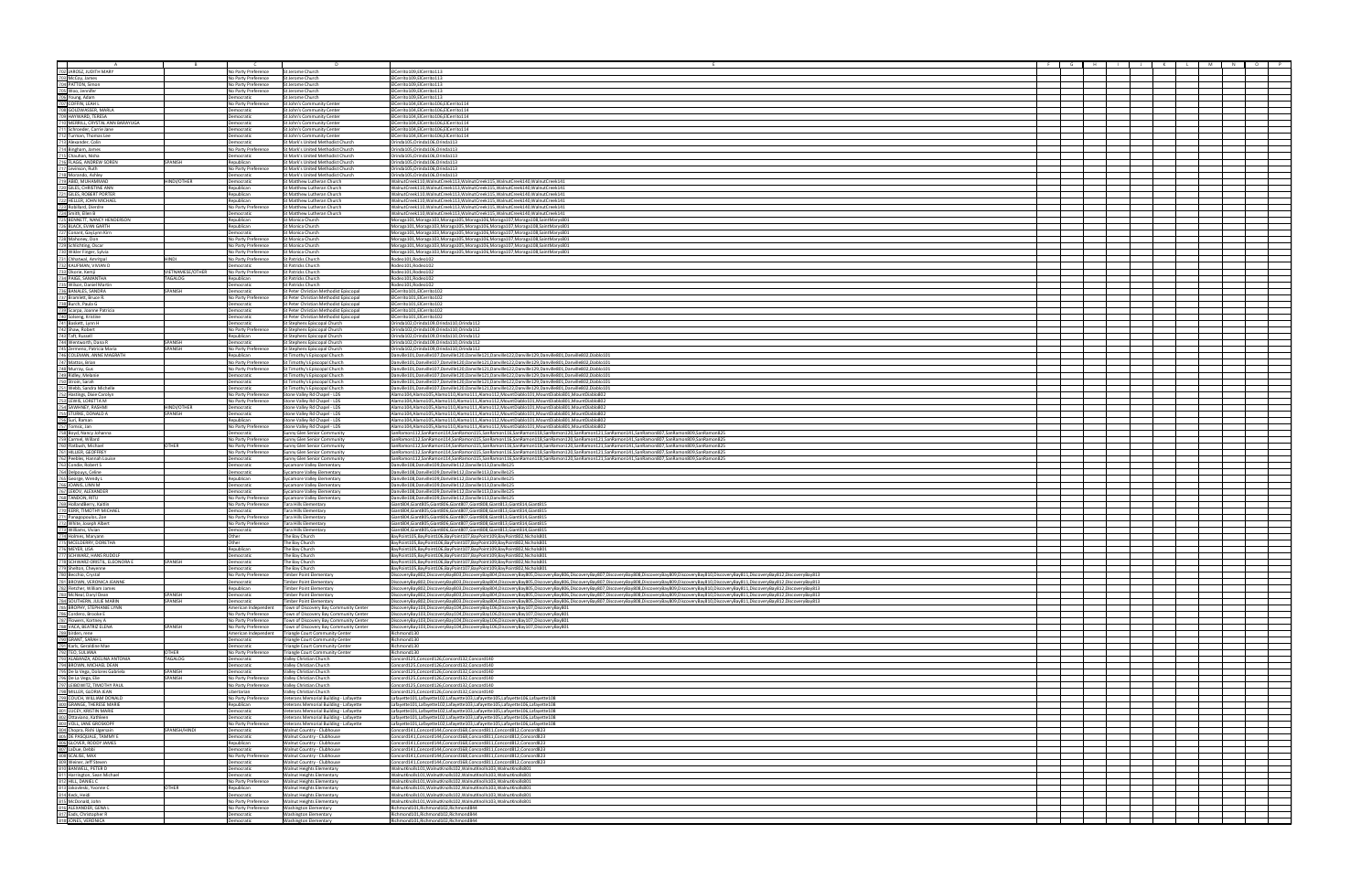|                                                                                                                                                                                                                                                                                                                                                                                                                                                                                                |                             | No Party Preference                        | St Jerome Church                                                                 | ElCerrito109,ElCerrito113                                                                                                                                                                                                                                                                                                                                                                                                                                        |  |  |
|------------------------------------------------------------------------------------------------------------------------------------------------------------------------------------------------------------------------------------------------------------------------------------------------------------------------------------------------------------------------------------------------------------------------------------------------------------------------------------------------|-----------------------------|--------------------------------------------|----------------------------------------------------------------------------------|------------------------------------------------------------------------------------------------------------------------------------------------------------------------------------------------------------------------------------------------------------------------------------------------------------------------------------------------------------------------------------------------------------------------------------------------------------------|--|--|
| $\begin{tabular}{l} $702]\,\mathrm{JAROZ},\mathrm{JUDITH}\,\mathrm{MARY} \\ \hline \color{red}{702}\,\mathrm{JACOy},\mathrm{James} \\ \color{red}{704}\,\mathrm{PATION},\mathrm{Simon} \\ \color{red}{703}\,\mathrm{W0},\mathrm{peno} \\ \color{red}{708}\,\mathrm{Woo},\mathrm{peno} \\ \color{red}{708}\,\mathrm{Voup},\mathrm{Adam} \\ \color{red}{709}\,\mathrm{COFHN},\mathrm{LEAH} \\ \color{red}{709}\,\mathrm{GOLDWASSE},\mathrm{MARA} \\ \color{red}{709}\,\mathrm{HAWVABO},\mathrm{$ |                             | No Party Preference                        | St Jerome Church                                                                 | ElCerrito109,ElCerrito113                                                                                                                                                                                                                                                                                                                                                                                                                                        |  |  |
|                                                                                                                                                                                                                                                                                                                                                                                                                                                                                                |                             | No Party Preference                        | St Jerome Church                                                                 | ElCerrito109,ElCerrito113                                                                                                                                                                                                                                                                                                                                                                                                                                        |  |  |
|                                                                                                                                                                                                                                                                                                                                                                                                                                                                                                |                             | No Party Preference                        | St Jerome Church                                                                 | ElCerrito109,ElCerrito113                                                                                                                                                                                                                                                                                                                                                                                                                                        |  |  |
|                                                                                                                                                                                                                                                                                                                                                                                                                                                                                                |                             | Democratic                                 | St Jerome Church                                                                 | ElCerrito109,ElCerrito113                                                                                                                                                                                                                                                                                                                                                                                                                                        |  |  |
|                                                                                                                                                                                                                                                                                                                                                                                                                                                                                                |                             | No Party Preference<br>Democratic          | St John's Community Center<br>St John's Community Center                         | ElCerrito104,ElCerrito106,ElCerrito114<br>:ICerrito104,EICerrito106,EICerrito114                                                                                                                                                                                                                                                                                                                                                                                 |  |  |
|                                                                                                                                                                                                                                                                                                                                                                                                                                                                                                |                             | Democratic                                 | St John's Community Center                                                       | ElCerrito104,ElCerrito106,ElCerrito114                                                                                                                                                                                                                                                                                                                                                                                                                           |  |  |
|                                                                                                                                                                                                                                                                                                                                                                                                                                                                                                |                             | Democratic                                 | St John's Community Center                                                       | ElCerrito104,ElCerrito106,ElCerrito114                                                                                                                                                                                                                                                                                                                                                                                                                           |  |  |
|                                                                                                                                                                                                                                                                                                                                                                                                                                                                                                |                             | Democratic                                 | St John's Community Center                                                       | ElCerrito104,ElCerrito106,ElCerrito114                                                                                                                                                                                                                                                                                                                                                                                                                           |  |  |
|                                                                                                                                                                                                                                                                                                                                                                                                                                                                                                |                             | Democratic<br>Democratic                   | St John's Community Center<br>St Mark's United Methodist Church                  | ECerrito104.ElCerrito106.ElCerrito114<br>Orinda105.Orinda106.Orinda113                                                                                                                                                                                                                                                                                                                                                                                           |  |  |
|                                                                                                                                                                                                                                                                                                                                                                                                                                                                                                |                             | No Party Preference                        | St Mark's United Methodist Church                                                | Orinda105, Orinda106, Orinda113                                                                                                                                                                                                                                                                                                                                                                                                                                  |  |  |
|                                                                                                                                                                                                                                                                                                                                                                                                                                                                                                |                             | Democratic                                 | St Mark's United Methodist Church                                                | Orinda105, Orinda106, Orinda113                                                                                                                                                                                                                                                                                                                                                                                                                                  |  |  |
|                                                                                                                                                                                                                                                                                                                                                                                                                                                                                                | SPANISH                     | Republican                                 | St Mark's United Methodist Church                                                | Orinda105,Orinda106,Orinda113                                                                                                                                                                                                                                                                                                                                                                                                                                    |  |  |
|                                                                                                                                                                                                                                                                                                                                                                                                                                                                                                |                             | No Party Preference                        | <b>St Mark's United Methodist Church</b><br>St Mark's United Methodist Church    | Orinda105,Orinda106,Orinda113                                                                                                                                                                                                                                                                                                                                                                                                                                    |  |  |
|                                                                                                                                                                                                                                                                                                                                                                                                                                                                                                | <b>INDI/OTHER</b>           | Democratic<br>Democratic                   | St Matthew Lutheran Church                                                       | Orinda105,Orinda106,Orinda113<br>WalnutCreek110, WalnutCreek113, WalnutCreek115, WalnutCreek140, WalnutCreek141                                                                                                                                                                                                                                                                                                                                                  |  |  |
|                                                                                                                                                                                                                                                                                                                                                                                                                                                                                                |                             | Republican                                 | St Matthew Lutheran Church                                                       | WalnutCreek110,WalnutCreek113,WalnutCreek115,WalnutCreek140,WalnutCreek141                                                                                                                                                                                                                                                                                                                                                                                       |  |  |
|                                                                                                                                                                                                                                                                                                                                                                                                                                                                                                |                             | Republican                                 | St Matthew Lutheran Church                                                       | WalnutCreek110, WalnutCreek113, WalnutCreek115, WalnutCreek140, WalnutCreek141                                                                                                                                                                                                                                                                                                                                                                                   |  |  |
|                                                                                                                                                                                                                                                                                                                                                                                                                                                                                                |                             | Republican                                 | St Matthew Lutheran Church                                                       | WalnutCreek110, WalnutCreek113, WalnutCreek115, WalnutCreek140, WalnutCreek141                                                                                                                                                                                                                                                                                                                                                                                   |  |  |
| 715 Chauhan, Nish<br>717 Levinson, Ruth<br>717 Levinson, Ruth<br>717 Levinson, Ruth<br>717 Monardo, Ashley<br>719 ABID, MUHAMMAD<br>722 HELLER, CHNSTINE ANN<br>722 HELLER, DOBRIT CORTER<br>722 HELLER, DOBRIT CORTER<br>722 HENDIETT, NANCY HE                                                                                                                                                                                                                                               |                             | No Party Preference<br>Democratic          | St Matthew Lutheran Church<br>St Matthew Lutheran Church                         | WalnutCreek110, WalnutCreek113, WalnutCreek115, WalnutCreek140, WalnutCreek141<br>WalnutCreek110, WalnutCreek113, WalnutCreek115, WalnutCreek140, WalnutCreek141                                                                                                                                                                                                                                                                                                 |  |  |
|                                                                                                                                                                                                                                                                                                                                                                                                                                                                                                |                             | Republican                                 | St Monica Church                                                                 | Moraga101, Moraga103, Moraga105, Moraga106, Moraga107, Moraga108, Saint Marys 801                                                                                                                                                                                                                                                                                                                                                                                |  |  |
|                                                                                                                                                                                                                                                                                                                                                                                                                                                                                                |                             | Republican                                 | St Monica Church                                                                 | Moraga101, Moraga103, Moraga105, Moraga106, Moraga107, Moraga108, Saint Marys801                                                                                                                                                                                                                                                                                                                                                                                 |  |  |
|                                                                                                                                                                                                                                                                                                                                                                                                                                                                                                |                             | Democratic                                 | St Monica Church                                                                 | Moraga101, Moraga103, Moraga105, Moraga106, Moraga107, Moraga108, Saint Marys 801                                                                                                                                                                                                                                                                                                                                                                                |  |  |
|                                                                                                                                                                                                                                                                                                                                                                                                                                                                                                |                             | No Party Preference<br>No Party Preference | St Monica Church<br><b>St Monica Church</b>                                      | Moraga101, Moraga103, Moraga105, Moraga106, Moraga107, Moraga108, Saint Marys801                                                                                                                                                                                                                                                                                                                                                                                 |  |  |
|                                                                                                                                                                                                                                                                                                                                                                                                                                                                                                |                             | No Party Preference                        | St Monica Church                                                                 | Moraga101, Moraga103, Moraga105, Moraga106, Moraga107, Moraga108, Saint Marys801<br>Moraga101, Moraga103, Moraga105, Moraga106, Moraga107, Moraga108, Saint Marys801                                                                                                                                                                                                                                                                                             |  |  |
|                                                                                                                                                                                                                                                                                                                                                                                                                                                                                                | IINDI                       | No Party Preference                        | St Patricks Church                                                               | Rodeo101, Rodeo102                                                                                                                                                                                                                                                                                                                                                                                                                                               |  |  |
| 726 BLACK, EVAN GARTH<br>722 Mahoney, Don<br>722 Schlichting, Oscar<br>722 Schlichting, Oscar<br>723 Unikler Finger, Sylvia<br>731 Chhatwal, Amritpal<br>732 KAUFMAN, VIVIAN D<br>732 KAUFMAN, VIVIAN<br>7325 Wislon, Daniel Martin<br>7325 Wisl                                                                                                                                                                                                                                               |                             | Democratic                                 | St Patricks Church                                                               | Rodeo101,Rodeo102                                                                                                                                                                                                                                                                                                                                                                                                                                                |  |  |
|                                                                                                                                                                                                                                                                                                                                                                                                                                                                                                | /IETNAMESE/OTHER<br>TAGALOG | No Party Preference                        | St Patricks Church                                                               | Rodeo101,Rodeo102                                                                                                                                                                                                                                                                                                                                                                                                                                                |  |  |
|                                                                                                                                                                                                                                                                                                                                                                                                                                                                                                |                             | Republican<br>Democratic                   | St Patricks Church<br>St Patricks Church                                         | Rodeo101, Rodeo102<br>Rodeo101,Rodeo102                                                                                                                                                                                                                                                                                                                                                                                                                          |  |  |
|                                                                                                                                                                                                                                                                                                                                                                                                                                                                                                | SPANISH                     | Democratic                                 | St Peter Christian Methodist Episcopal                                           | ElCerrito101,ElCerrito102                                                                                                                                                                                                                                                                                                                                                                                                                                        |  |  |
|                                                                                                                                                                                                                                                                                                                                                                                                                                                                                                |                             | No Party Preference                        | St Peter Christian Methodist Enisconal                                           | ElCerrito101.ElCerrito102                                                                                                                                                                                                                                                                                                                                                                                                                                        |  |  |
|                                                                                                                                                                                                                                                                                                                                                                                                                                                                                                |                             | Democratic                                 | st Peter Christian Methodist Episcopal                                           | ElCerrito101,ElCerrito102                                                                                                                                                                                                                                                                                                                                                                                                                                        |  |  |
|                                                                                                                                                                                                                                                                                                                                                                                                                                                                                                |                             | Democratic<br>Democratic                   | St Peter Christian Methodist Episcopal<br>St Peter Christian Methodist Episcopal | ElCerrito101,ElCerrito102<br>ElCerrito101,ElCerrito102                                                                                                                                                                                                                                                                                                                                                                                                           |  |  |
|                                                                                                                                                                                                                                                                                                                                                                                                                                                                                                |                             | Democratic                                 | St Stephens Episcopal Church                                                     | Orinda102,Orinda109,Orinda110,Orinda112                                                                                                                                                                                                                                                                                                                                                                                                                          |  |  |
|                                                                                                                                                                                                                                                                                                                                                                                                                                                                                                |                             | No Party Preference                        | St Stephens Episcopal Church                                                     | Orinda102,Orinda109,Orinda110,Orinda112                                                                                                                                                                                                                                                                                                                                                                                                                          |  |  |
|                                                                                                                                                                                                                                                                                                                                                                                                                                                                                                |                             | Republican                                 | St Stephens Episcopal Church                                                     | Orinda102,Orinda109,Orinda110,Orinda112                                                                                                                                                                                                                                                                                                                                                                                                                          |  |  |
|                                                                                                                                                                                                                                                                                                                                                                                                                                                                                                | SPANISH<br>PANISH           | Democratic<br>No Party Preference          | St Stephens Episcopal Church<br>St Stephens Episcopal Church                     | Orinda102.Orinda109.Orinda110.Orinda112<br>Orinda102,Orinda109,Orinda110,Orinda112                                                                                                                                                                                                                                                                                                                                                                               |  |  |
| $\frac{732}{729}$ Bramlett, Bruce R.<br>$\frac{738}{729}$ Bruch, Paula G $\frac{8}{729}$ Scarpa, Joanne Patricia<br>$\frac{741}{724}$ Shakett, Lynn H<br>$\frac{742}{724}$ Shakett, Lynn H<br>$\frac{742}{724}$ Taft, Russell<br>$\frac{744}{724}$ Ventworth, Dana R                                                                                                                                                                                                                           |                             | Republican                                 | St Timothy's Episcopal Church                                                    | 2anville101,Danville107,Danville120,Danville121,Danville122,Danville129,Danville801,Danville802,Diablo101                                                                                                                                                                                                                                                                                                                                                        |  |  |
|                                                                                                                                                                                                                                                                                                                                                                                                                                                                                                |                             | No Party Preference                        | St Timothy's Episcopal Church                                                    | Danville101,Danville107,Danville120,Danville121,Danville122,Danville129,Danville801,Danville802,Diablo101                                                                                                                                                                                                                                                                                                                                                        |  |  |
|                                                                                                                                                                                                                                                                                                                                                                                                                                                                                                |                             | No Party Preference                        | St Timothy's Episcopal Church                                                    | Danville101,Danville107,Danville120,Danville121,Danville122,Danville129,Danville801,Danville802,Diablo101                                                                                                                                                                                                                                                                                                                                                        |  |  |
|                                                                                                                                                                                                                                                                                                                                                                                                                                                                                                |                             | Democratic                                 | St Timothy's Episcopal Church                                                    | Danville101,Danville107,Danville120,Danville121,Danville122,Danville129,Danville801,Danville802,Diablo101                                                                                                                                                                                                                                                                                                                                                        |  |  |
|                                                                                                                                                                                                                                                                                                                                                                                                                                                                                                |                             | Democratic<br>Democratic                   | t Timothy's Episcopal Church<br>St Timothy's Episcopal Church                    | :00 Danville101,Danville107,Danville120,Danville121,Danville122,Danville129,Danville801,Danville802,Diablo<br>Danville101,Danville107,Danville120,Danville121,Danville122,Danville129,Danville801,Danville802,Diablo101                                                                                                                                                                                                                                          |  |  |
| 752 Hastings, Dixie Carolyn<br>753 LEWIS, LORETTA M                                                                                                                                                                                                                                                                                                                                                                                                                                            |                             | No Party Preference                        | Stone Valley Rd Chapel - LDS                                                     | Alamo104,Alamo105,Alamo110,Alamo111,Alamo112,MountDiablo101,MountDiablo801,MountDiablo802                                                                                                                                                                                                                                                                                                                                                                        |  |  |
|                                                                                                                                                                                                                                                                                                                                                                                                                                                                                                |                             | No Party Preference                        | Stone Valley Rd Chapel - LDS                                                     | Alamo104,Alamo105,Alamo110,Alamo111,Alamo112,MountDiablo101,MountDiablo801,MountDiablo802                                                                                                                                                                                                                                                                                                                                                                        |  |  |
|                                                                                                                                                                                                                                                                                                                                                                                                                                                                                                | HINDI/OTHER                 | Democratic                                 | Stone Valley Rd Chapel - LDS                                                     | 2026/ilamo104,Alamo105,Alamo110,Alamo111,Alamo112,MountDiablo101,MountDiablo801,MountDiablo80                                                                                                                                                                                                                                                                                                                                                                    |  |  |
|                                                                                                                                                                                                                                                                                                                                                                                                                                                                                                | SPANISH                     | Democratic<br>Republican                   | Stone Valley Rd Chapel - LDS<br>Stone Valley Rd Chapel - LDS                     | Alamo104,Alamo105,Alamo110,Alamo111,Alamo112,MountDiablo101,MountDiablo801,MountDiablo802<br>Alamo104.Alamo105.Alamo110.Alamo111.Alamo112.MountDiablo101.MountDiablo801.MountDiablo802                                                                                                                                                                                                                                                                           |  |  |
|                                                                                                                                                                                                                                                                                                                                                                                                                                                                                                |                             | No Party Preference                        | Stone Valley Rd Chapel - LDS                                                     | Alamo104,Alamo105,Alamo110,Alamo111,Alamo112,MountDiablo101,MountDiablo801,MountDiablo802                                                                                                                                                                                                                                                                                                                                                                        |  |  |
|                                                                                                                                                                                                                                                                                                                                                                                                                                                                                                |                             | Democratic                                 | Sunny Glen Senior Community                                                      | SanRamon112,SanRamon114,SanRamon115,SanRamon116,SanRamon118,SanRamon120,SanRamon121,SanRamon141,SanRamon807,SanRamon809,SanRamon825                                                                                                                                                                                                                                                                                                                              |  |  |
|                                                                                                                                                                                                                                                                                                                                                                                                                                                                                                |                             | No Party Preference                        | Sunny Glen Senior Community                                                      | SanRamon112,SanRamon114,SanRamon115,SanRamon116,SanRamon118,SanRamon120,SanRamon121,SanRamon141,SanRamon807,SanRamon809,SanRamon825                                                                                                                                                                                                                                                                                                                              |  |  |
|                                                                                                                                                                                                                                                                                                                                                                                                                                                                                                | OTHER                       | No Party Preference                        | Sunny Glen Senior Community                                                      | SanRamon112,SanRamon114,SanRamon115,SanRamon116,SanRamon118,SanRamon120,SanRamon121,SanRamon141,SanRamon807,SanRamon809,SanRamon825                                                                                                                                                                                                                                                                                                                              |  |  |
|                                                                                                                                                                                                                                                                                                                                                                                                                                                                                                |                             | No Party Preference<br>emocratic           | Sunny Glen Senior Community<br>Sunny Glen Senior Community                       | SanRamon112,SanRamon114,SanRamon115,SanRamon116,SanRamon118,SanRamon120,SanRamon121,SanRamon141,SanRamon807,SanRamon809,SanRamon825<br>SanRamon112,SanRamon114,SanRamon115,SanRamon116,SanRamon118,SanRamon120,SanRamon121,SanRamon141,SanRamon807,SanRamon809,SanRamon825                                                                                                                                                                                       |  |  |
|                                                                                                                                                                                                                                                                                                                                                                                                                                                                                                |                             | Democratic                                 | Sycamore Valley Elementary                                                       | Danville108.Danville109.Danville112.Danville113.Danville125                                                                                                                                                                                                                                                                                                                                                                                                      |  |  |
|                                                                                                                                                                                                                                                                                                                                                                                                                                                                                                |                             | Democratic                                 | Sycamore Valley Elementary                                                       | Danville108,Danville109,Danville112,Danville113,Danville125                                                                                                                                                                                                                                                                                                                                                                                                      |  |  |
|                                                                                                                                                                                                                                                                                                                                                                                                                                                                                                |                             | Republican                                 | <b>Sycamore Valley Elementary</b>                                                | Danville108,Danville109,Danville112,Danville113,Danville125                                                                                                                                                                                                                                                                                                                                                                                                      |  |  |
|                                                                                                                                                                                                                                                                                                                                                                                                                                                                                                |                             | Democratic<br>Democratic                   | Sycamore Valley Elementary<br>Sycamore Valley Elementary                         | Danville108,Danville109,Danville112,Danville113,Danville125<br>Danville108,Danville109,Danville112,Danville113,Danville125                                                                                                                                                                                                                                                                                                                                       |  |  |
|                                                                                                                                                                                                                                                                                                                                                                                                                                                                                                |                             | No Party Preference                        | Sycamore Valley Elementary                                                       | Danville108,Danville109,Danville112,Danville113,Danville125                                                                                                                                                                                                                                                                                                                                                                                                      |  |  |
|                                                                                                                                                                                                                                                                                                                                                                                                                                                                                                |                             | No Party Preference                        | Tara Hills Elementary                                                            | 3iant804,Giant805,Giant806,Giant807,Giant808,Giant813,Giant814,Giant815                                                                                                                                                                                                                                                                                                                                                                                          |  |  |
|                                                                                                                                                                                                                                                                                                                                                                                                                                                                                                |                             | Democratic                                 | <b>Tara Hills Elementary</b>                                                     | 3iant804.Giant805.Giant806.Giant807.Giant808.Giant813.Giant814.Giant815                                                                                                                                                                                                                                                                                                                                                                                          |  |  |
|                                                                                                                                                                                                                                                                                                                                                                                                                                                                                                |                             | No Party Preference<br>No Party Preference | <b>Tara Hills Elementary</b><br>Tara Hills Elementary                            | Giant804, Giant805, Giant806, Giant807, Giant808, Giant813, Giant814, Giant815<br>Giant804, Giant805, Giant806, Giant807, Giant808, Giant813, Giant814, Giant815                                                                                                                                                                                                                                                                                                 |  |  |
|                                                                                                                                                                                                                                                                                                                                                                                                                                                                                                |                             | Democratic                                 | Tara Hills Elementary                                                            | Giant804,Giant805,Giant806,Giant807,Giant808,Giant813,Giant814,Giant815                                                                                                                                                                                                                                                                                                                                                                                          |  |  |
| $\frac{L_{224}^{\text{max}} \text{D, 206}}{7524 \text{ max.} \times 0.0 \times 100 \times 100 \times 100 \times 100 \times 100 \times 100 \times 100 \times 100 \times 100 \times 100 \times 100 \times 100 \times 100 \times 100 \times 100 \times 100 \times 100 \times 100 \times 100 \times 100 \times 100 \times 100 \times 100 \times 100 \times 100 \times 100 \times 100 \times 100 \times 100 \times 1$                                                                               |                             | Other                                      | The Bay Church                                                                   | BayPoint105,BayPoint106,BayPoint107,BayPoint109,BayPoint802,Nichols801                                                                                                                                                                                                                                                                                                                                                                                           |  |  |
|                                                                                                                                                                                                                                                                                                                                                                                                                                                                                                |                             | Other                                      | The Bay Church                                                                   | BayPoint105,BayPoint106,BayPoint107,BayPoint109,BayPoint802,Nichols801                                                                                                                                                                                                                                                                                                                                                                                           |  |  |
|                                                                                                                                                                                                                                                                                                                                                                                                                                                                                                |                             | Republican                                 | The Bay Church                                                                   | BayPoint105,BayPoint106,BayPoint107,BayPoint109,BayPoint802,Nichols801                                                                                                                                                                                                                                                                                                                                                                                           |  |  |
|                                                                                                                                                                                                                                                                                                                                                                                                                                                                                                | <b>PANISH</b>               | Democratic<br>Democratic                   | The Bay Church<br>The Bay Church                                                 | BayPoint105,BayPoint106,BayPoint107,BayPoint109,BayPoint802,Nichols801<br>BayPoint105,BayPoint106,BayPoint107,BayPoint109,BayPoint802,Nichols801                                                                                                                                                                                                                                                                                                                 |  |  |
|                                                                                                                                                                                                                                                                                                                                                                                                                                                                                                |                             | Democratic                                 | The Bay Church                                                                   | BayPoint105,BayPoint106,BayPoint107,BayPoint109,BayPoint802,Nichols801                                                                                                                                                                                                                                                                                                                                                                                           |  |  |
|                                                                                                                                                                                                                                                                                                                                                                                                                                                                                                |                             | No Party Preference                        | Timber Point Elementan                                                           | DiscoveryBay802,DiscoveryBay803,DiscoveryBay804,DiscoveryBay805,DiscoveryBay806,DiscoveryBay807,DiscoveryBay808,DiscoveryBay809,DiscoveryBay810,DiscoveryBay811,DiscoveryBay811,DiscoveryBay812,DiscoveryBay812,DiscoveryBay81                                                                                                                                                                                                                                   |  |  |
|                                                                                                                                                                                                                                                                                                                                                                                                                                                                                                |                             | Democratic<br>Republican                   | <b>Fimber Point Elementary</b><br><b>Timber Point Elementary</b>                 | DiscoveryBay802,DiscoveryBay803,DiscoveryBay804,DiscoveryBay805,DiscoveryBay806,DiscoveryBay807,DiscoveryBay808,DiscoveryBay808,DiscoveryBay810,DiscoveryBay811,DiscoveryBay811,DiscoveryBay812,DiscoveryBay812,DiscoveryBay81<br>DiscoveryBay802,DiscoveryBay803,DiscoveryBay804,DiscoveryBay805,DiscoveryBay806,DiscoveryBay807,DiscoveryBay808,DiscoveryBay809,DiscoveryBay810,DiscoveryBay811,DiscoveryBay812,DiscoveryBay812,DiscoveryBay812,DiscoveryBay81 |  |  |
|                                                                                                                                                                                                                                                                                                                                                                                                                                                                                                | PANISH                      | Democratic                                 | <b>Timber Point Elementary</b>                                                   | DiscoveryBay802,DiscoveryBay803,DiscoveryBay804,DiscoveryBay805,DiscoveryBay806,DiscoveryBay807,DiscoveryBay808,DiscoveryBay809,DiscoveryBay800,DiscoveryBay810,DiscoveryBay811,DiscoveryBay812,DiscoveryBay812,DiscoveryBay81                                                                                                                                                                                                                                   |  |  |
|                                                                                                                                                                                                                                                                                                                                                                                                                                                                                                | SPANISH                     | Democratic                                 | <b>Timber Point Elementary</b>                                                   | DiscoveryBay802,DiscoveryBay803,DiscoveryBay804,DiscoveryBay805,DiscoveryBay806,DiscoveryBay807,DiscoveryBay809,DiscoveryBay809,DiscoveryBay810,DiscoveryBay811,DiscoveryBay812,DiscoveryBay811,DiscoveryBay812,DiscoveryBay81                                                                                                                                                                                                                                   |  |  |
|                                                                                                                                                                                                                                                                                                                                                                                                                                                                                                |                             | American Independent                       | Town of Discovery Bay Community Center                                           | DiscoveryBay103,DiscoveryBay104,DiscoveryBay106,DiscoveryBay107,DiscoveryBay801                                                                                                                                                                                                                                                                                                                                                                                  |  |  |
|                                                                                                                                                                                                                                                                                                                                                                                                                                                                                                |                             | No Party Preference                        | Town of Discovery Bay Community Center                                           | DiscoveryBay103,DiscoveryBay104,DiscoveryBay106,DiscoveryBay107,DiscoveryBay801                                                                                                                                                                                                                                                                                                                                                                                  |  |  |
|                                                                                                                                                                                                                                                                                                                                                                                                                                                                                                | SPANISH                     | No Party Preference<br>No Party Preference | Town of Discovery Bay Community Center<br>Town of Discovery Bay Community Center | DiscoveryBay103,DiscoveryBay104,DiscoveryBay106,DiscoveryBay107,DiscoveryBay801<br>DiscoveryBay103,DiscoveryBay104,DiscoveryBay106,DiscoveryBay107,DiscoveryBay801                                                                                                                                                                                                                                                                                               |  |  |
|                                                                                                                                                                                                                                                                                                                                                                                                                                                                                                |                             | American Independent                       | <b>Triangle Court Community Center</b>                                           | Richmond130                                                                                                                                                                                                                                                                                                                                                                                                                                                      |  |  |
|                                                                                                                                                                                                                                                                                                                                                                                                                                                                                                |                             | Democratic                                 | <b>Triangle Court Community Center</b>                                           | Richmond130                                                                                                                                                                                                                                                                                                                                                                                                                                                      |  |  |
|                                                                                                                                                                                                                                                                                                                                                                                                                                                                                                | <b>ITHER</b>                | Democratic                                 | <b>Triangle Court Community Center</b>                                           | Richmond130<br>Richmond130                                                                                                                                                                                                                                                                                                                                                                                                                                       |  |  |
|                                                                                                                                                                                                                                                                                                                                                                                                                                                                                                | TAGALOG                     | No Party Preference<br>Democratic          | <b>Triangle Court Community Center</b><br>Valley Christian Church                | Concord125,Concord126,Concord132,Concord140                                                                                                                                                                                                                                                                                                                                                                                                                      |  |  |
| <b>777)</b> SCHWARZ, HANS RUDOUE<br>777) SCHWARZ, HANS RUDOUE<br>779) SHEMARZ, HANS RUDOUE<br>779) SHEMOn, Chyslem CRONATIL, ELEONORA E<br>789) SHEMON, CYSTAIN (KRONICA JEANNE<br>789) SHEMON, VIERONICA JEANNE<br>789) SMONN, VIERONICA JEANN                                                                                                                                                                                                                                                |                             | Democratic                                 | Valley Christian Church                                                          | Concord125.Concord126.Concord132.Concord140                                                                                                                                                                                                                                                                                                                                                                                                                      |  |  |
|                                                                                                                                                                                                                                                                                                                                                                                                                                                                                                | SPANISH                     | Democratic                                 | Valley Christian Church                                                          | Concord125,Concord126,Concord132,Concord140                                                                                                                                                                                                                                                                                                                                                                                                                      |  |  |
|                                                                                                                                                                                                                                                                                                                                                                                                                                                                                                | PANISH                      | No Party Preference                        | Valley Christian Church                                                          | Concord125,Concord126,Concord132,Concord140                                                                                                                                                                                                                                                                                                                                                                                                                      |  |  |
|                                                                                                                                                                                                                                                                                                                                                                                                                                                                                                |                             | No Party Preference<br>Libertarian         | Valley Christian Church<br>Valley Christian Church                               | Concord125.Concord126.Concord132.Concord140<br>Concord125,Concord126,Concord132,Concord140                                                                                                                                                                                                                                                                                                                                                                       |  |  |
|                                                                                                                                                                                                                                                                                                                                                                                                                                                                                                |                             | No Party Preference                        | Veterans Memorial Building - Lafayette                                           | Lafayette101,Lafayette102,Lafayette103,Lafayette105,Lafayette106,Lafayette108                                                                                                                                                                                                                                                                                                                                                                                    |  |  |
|                                                                                                                                                                                                                                                                                                                                                                                                                                                                                                |                             | Republican                                 | Veterans Memorial Building - Lafayette                                           | .afayette101,Lafayette102,Lafayette103,Lafayette105,Lafayette106,Lafayette108                                                                                                                                                                                                                                                                                                                                                                                    |  |  |
|                                                                                                                                                                                                                                                                                                                                                                                                                                                                                                |                             | Democratic                                 | Veterans Memorial Building - Lafayette                                           | Lafayette101,Lafayette102,Lafayette103,Lafayette105,Lafayette106,Lafayette108                                                                                                                                                                                                                                                                                                                                                                                    |  |  |
|                                                                                                                                                                                                                                                                                                                                                                                                                                                                                                |                             | Democratic<br>No Party Preference          | Veterans Memorial Building - Lafayette                                           | Lafayette101,Lafayette102,Lafayette103,Lafayette105,Lafayette106,Lafayette108<br>Lafayette101,Lafayette102,Lafayette103,Lafayette105,Lafayette106,Lafayette108                                                                                                                                                                                                                                                                                                   |  |  |
| 803 VOLI, JANE GROSKOPF<br>2021 Chena, Rishi Ugersain<br>2031 Chopra, Rishi Ugersain<br>2031 GLOVER, RODIV JAMES<br>2021 LaDue, Debbl<br>2029 Velener, Jeff Steven<br>303 SCALISE, NAME (1. PFIRR D<br>311 Harrington, Sean Michael<br>313 Jakovieski,                                                                                                                                                                                                                                         | SPANISH/HINDI               | Democratic                                 | Veterans Memorial Building - Lafayette<br>Walnut Country - Clubhouse             | Concord141,Concord144,Concord168,Concord811,Concord812,Concord823                                                                                                                                                                                                                                                                                                                                                                                                |  |  |
|                                                                                                                                                                                                                                                                                                                                                                                                                                                                                                |                             | Democratic                                 | Walnut Country - Clubhouse                                                       | Concord141,Concord144,Concord168,Concord811,Concord812,Concord823                                                                                                                                                                                                                                                                                                                                                                                                |  |  |
|                                                                                                                                                                                                                                                                                                                                                                                                                                                                                                |                             | Republican                                 | Walnut Country - Clubhouse                                                       | Concord141.Concord144.Concord168.Concord811.Concord812.Concord823                                                                                                                                                                                                                                                                                                                                                                                                |  |  |
|                                                                                                                                                                                                                                                                                                                                                                                                                                                                                                |                             | Democratic                                 | Walnut Country - Clubhouse                                                       | Concord141,Concord144,Concord168,Concord811,Concord812,Concord823                                                                                                                                                                                                                                                                                                                                                                                                |  |  |
|                                                                                                                                                                                                                                                                                                                                                                                                                                                                                                |                             | No Party Preference<br>Democratic          | Walnut Country - Clubhouse<br>Walnut Country - Clubhouse                         | Concord141,Concord144,Concord168,Concord811,Concord812,Concord823<br>Concord141,Concord144,Concord168,Concord811,Concord812,Concord823                                                                                                                                                                                                                                                                                                                           |  |  |
|                                                                                                                                                                                                                                                                                                                                                                                                                                                                                                |                             | Democratic                                 | Walnut Heights Elementary                                                        | WalnutKnolls101, WalnutKnolls102, WalnutKnolls103, WalnutKnolls801                                                                                                                                                                                                                                                                                                                                                                                               |  |  |
|                                                                                                                                                                                                                                                                                                                                                                                                                                                                                                |                             | Democratic                                 | <b>Walnut Heights Elementary</b>                                                 | WalnutKnolls101.WalnutKnolls102.WalnutKnolls103.WalnutKnolls801                                                                                                                                                                                                                                                                                                                                                                                                  |  |  |
|                                                                                                                                                                                                                                                                                                                                                                                                                                                                                                |                             | No Party Preference                        | <b>Walnut Heights Elementary</b>                                                 | WalnutKnolls101, WalnutKnolls102, WalnutKnolls103, WalnutKnolls801                                                                                                                                                                                                                                                                                                                                                                                               |  |  |
|                                                                                                                                                                                                                                                                                                                                                                                                                                                                                                | OTHER                       | Republican<br>Democratic                   | <b>Walnut Heights Elementary</b><br>Walnut Heights Elementary                    | WalnutKnolls101.WalnutKnolls102.WalnutKnolls103.WalnutKnolls801<br>WalnutKnolls101.WalnutKnolls102.WalnutKnolls103.WalnutKnolls801                                                                                                                                                                                                                                                                                                                               |  |  |
|                                                                                                                                                                                                                                                                                                                                                                                                                                                                                                |                             | No Party Preference                        | <b>Walnut Heights Elementary</b>                                                 | WalnutKnolls101, WalnutKnolls102, WalnutKnolls103, WalnutKnolls801                                                                                                                                                                                                                                                                                                                                                                                               |  |  |
|                                                                                                                                                                                                                                                                                                                                                                                                                                                                                                |                             | No Party Preference                        | <b>Washington Elementary</b>                                                     | Richmond101, Richmond102, Richmond844                                                                                                                                                                                                                                                                                                                                                                                                                            |  |  |
|                                                                                                                                                                                                                                                                                                                                                                                                                                                                                                |                             | Democratic                                 | <b>Washington Elementary</b>                                                     | Richmond101.Richmond102.Richmond844                                                                                                                                                                                                                                                                                                                                                                                                                              |  |  |
|                                                                                                                                                                                                                                                                                                                                                                                                                                                                                                |                             | Democratic                                 | <b>Washington Elementary</b>                                                     | Richmond101,Richmond102,Richmond844                                                                                                                                                                                                                                                                                                                                                                                                                              |  |  |